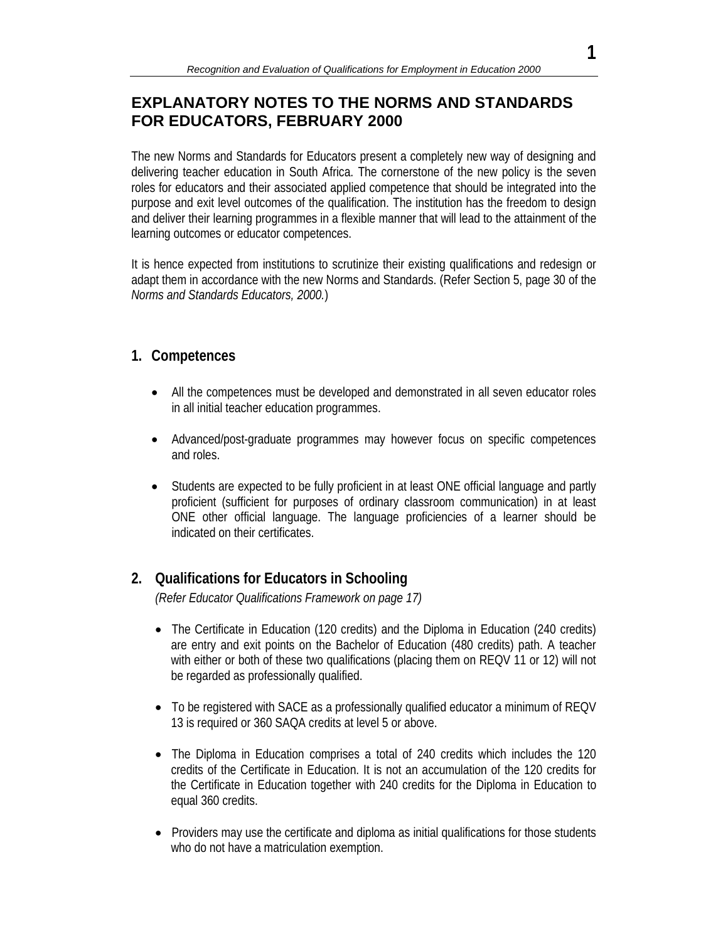# **EXPLANATORY NOTES TO THE NORMS AND STANDARDS FOR EDUCATORS, FEBRUARY 2000**

The new Norms and Standards for Educators present a completely new way of designing and delivering teacher education in South Africa. The cornerstone of the new policy is the seven roles for educators and their associated applied competence that should be integrated into the purpose and exit level outcomes of the qualification. The institution has the freedom to design and deliver their learning programmes in a flexible manner that will lead to the attainment of the learning outcomes or educator competences.

It is hence expected from institutions to scrutinize their existing qualifications and redesign or adapt them in accordance with the new Norms and Standards. (Refer Section 5, page 30 of the *Norms and Standards Educators, 2000.*)

## **1. Competences**

- All the competences must be developed and demonstrated in all seven educator roles in all initial teacher education programmes.
- Advanced/post-graduate programmes may however focus on specific competences and roles.
- Students are expected to be fully proficient in at least ONE official language and partly proficient (sufficient for purposes of ordinary classroom communication) in at least ONE other official language. The language proficiencies of a learner should be indicated on their certificates.

## **2. Qualifications for Educators in Schooling**

*(Refer Educator Qualifications Framework on page 17)* 

- The Certificate in Education (120 credits) and the Diploma in Education (240 credits) are entry and exit points on the Bachelor of Education (480 credits) path. A teacher with either or both of these two qualifications (placing them on REQV 11 or 12) will not be regarded as professionally qualified.
- To be registered with SACE as a professionally qualified educator a minimum of REQV 13 is required or 360 SAQA credits at level 5 or above.
- The Diploma in Education comprises a total of 240 credits which includes the 120 credits of the Certificate in Education. It is not an accumulation of the 120 credits for the Certificate in Education together with 240 credits for the Diploma in Education to equal 360 credits.
- Providers may use the certificate and diploma as initial qualifications for those students who do not have a matriculation exemption.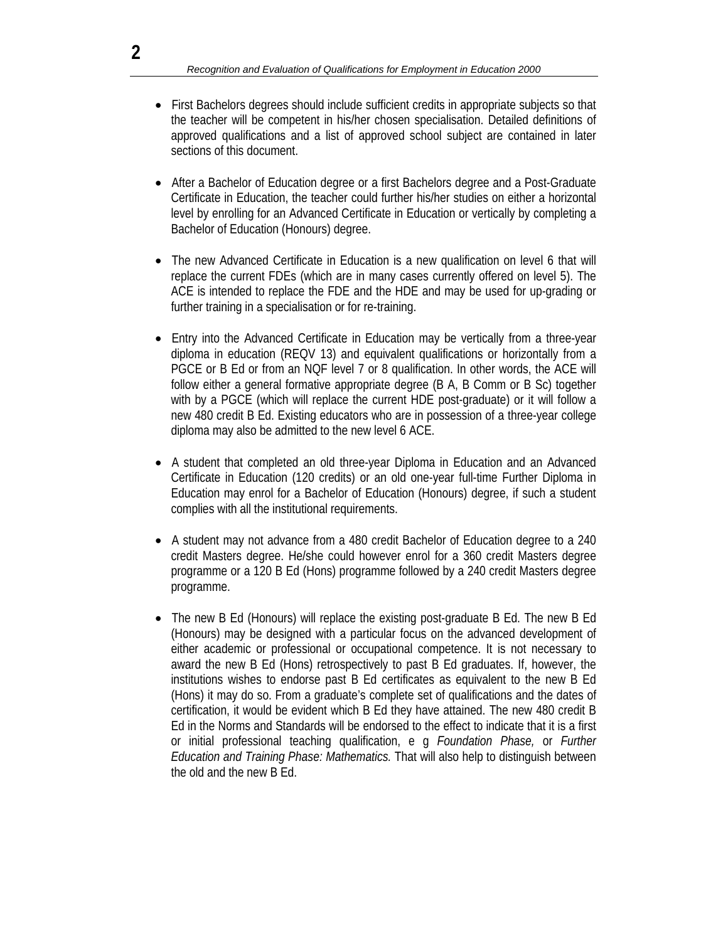- First Bachelors degrees should include sufficient credits in appropriate subjects so that the teacher will be competent in his/her chosen specialisation. Detailed definitions of approved qualifications and a list of approved school subject are contained in later sections of this document.
- After a Bachelor of Education degree or a first Bachelors degree and a Post-Graduate Certificate in Education, the teacher could further his/her studies on either a horizontal level by enrolling for an Advanced Certificate in Education or vertically by completing a Bachelor of Education (Honours) degree.
- The new Advanced Certificate in Education is a new qualification on level 6 that will replace the current FDEs (which are in many cases currently offered on level 5). The ACE is intended to replace the FDE and the HDE and may be used for up-grading or further training in a specialisation or for re-training.
- Entry into the Advanced Certificate in Education may be vertically from a three-year diploma in education (REQV 13) and equivalent qualifications or horizontally from a PGCE or B Ed or from an NQF level 7 or 8 qualification. In other words, the ACE will follow either a general formative appropriate degree (B A, B Comm or B Sc) together with by a PGCE (which will replace the current HDE post-graduate) or it will follow a new 480 credit B Ed. Existing educators who are in possession of a three-year college diploma may also be admitted to the new level 6 ACE.
- A student that completed an old three-year Diploma in Education and an Advanced Certificate in Education (120 credits) or an old one-year full-time Further Diploma in Education may enrol for a Bachelor of Education (Honours) degree, if such a student complies with all the institutional requirements.
- A student may not advance from a 480 credit Bachelor of Education degree to a 240 credit Masters degree. He/she could however enrol for a 360 credit Masters degree programme or a 120 B Ed (Hons) programme followed by a 240 credit Masters degree programme.
- The new B Ed (Honours) will replace the existing post-graduate B Ed. The new B Ed (Honours) may be designed with a particular focus on the advanced development of either academic or professional or occupational competence. It is not necessary to award the new B Ed (Hons) retrospectively to past B Ed graduates. If, however, the institutions wishes to endorse past B Ed certificates as equivalent to the new B Ed (Hons) it may do so. From a graduate's complete set of qualifications and the dates of certification, it would be evident which B Ed they have attained. The new 480 credit B Ed in the Norms and Standards will be endorsed to the effect to indicate that it is a first or initial professional teaching qualification, e g *Foundation Phase,* or *Further Education and Training Phase: Mathematics.* That will also help to distinguish between the old and the new B Ed.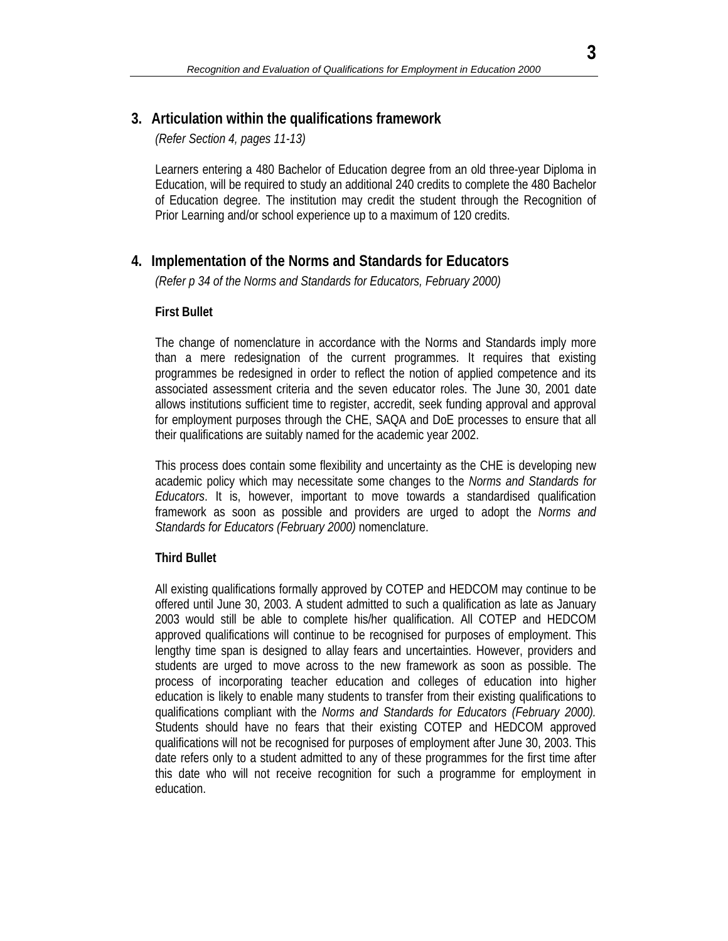## **3. Articulation within the qualifications framework**

*(Refer Section 4, pages 11-13)* 

 Learners entering a 480 Bachelor of Education degree from an old three-year Diploma in Education, will be required to study an additional 240 credits to complete the 480 Bachelor of Education degree. The institution may credit the student through the Recognition of Prior Learning and/or school experience up to a maximum of 120 credits.

## **4. Implementation of the Norms and Standards for Educators**

*(Refer p 34 of the Norms and Standards for Educators, February 2000)* 

### **First Bullet**

The change of nomenclature in accordance with the Norms and Standards imply more than a mere redesignation of the current programmes. It requires that existing programmes be redesigned in order to reflect the notion of applied competence and its associated assessment criteria and the seven educator roles. The June 30, 2001 date allows institutions sufficient time to register, accredit, seek funding approval and approval for employment purposes through the CHE, SAQA and DoE processes to ensure that all their qualifications are suitably named for the academic year 2002.

This process does contain some flexibility and uncertainty as the CHE is developing new academic policy which may necessitate some changes to the *Norms and Standards for Educators*. It is, however, important to move towards a standardised qualification framework as soon as possible and providers are urged to adopt the *Norms and Standards for Educators (February 2000)* nomenclature.

### **Third Bullet**

All existing qualifications formally approved by COTEP and HEDCOM may continue to be offered until June 30, 2003. A student admitted to such a qualification as late as January 2003 would still be able to complete his/her qualification. All COTEP and HEDCOM approved qualifications will continue to be recognised for purposes of employment. This lengthy time span is designed to allay fears and uncertainties. However, providers and students are urged to move across to the new framework as soon as possible. The process of incorporating teacher education and colleges of education into higher education is likely to enable many students to transfer from their existing qualifications to qualifications compliant with the *Norms and Standards for Educators (February 2000).* Students should have no fears that their existing COTEP and HEDCOM approved qualifications will not be recognised for purposes of employment after June 30, 2003. This date refers only to a student admitted to any of these programmes for the first time after this date who will not receive recognition for such a programme for employment in education.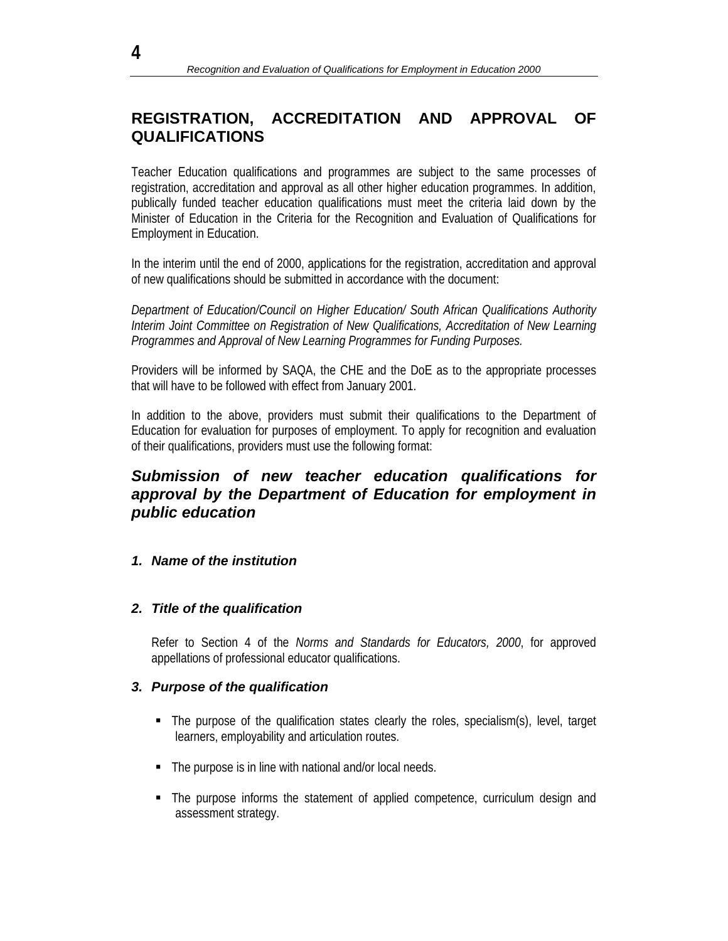# **REGISTRATION, ACCREDITATION AND APPROVAL OF QUALIFICATIONS**

Teacher Education qualifications and programmes are subject to the same processes of registration, accreditation and approval as all other higher education programmes. In addition, publically funded teacher education qualifications must meet the criteria laid down by the Minister of Education in the Criteria for the Recognition and Evaluation of Qualifications for Employment in Education.

In the interim until the end of 2000, applications for the registration, accreditation and approval of new qualifications should be submitted in accordance with the document:

*Department of Education/Council on Higher Education/ South African Qualifications Authority Interim Joint Committee on Registration of New Qualifications, Accreditation of New Learning Programmes and Approval of New Learning Programmes for Funding Purposes.* 

Providers will be informed by SAQA, the CHE and the DoE as to the appropriate processes that will have to be followed with effect from January 2001.

In addition to the above, providers must submit their qualifications to the Department of Education for evaluation for purposes of employment. To apply for recognition and evaluation of their qualifications, providers must use the following format:

## *Submission of new teacher education qualifications for approval by the Department of Education for employment in public education*

### *1. Name of the institution*

#### *2. Title of the qualification*

Refer to Section 4 of the *Norms and Standards for Educators, 2000*, for approved appellations of professional educator qualifications.

#### *3. Purpose of the qualification*

- The purpose of the qualification states clearly the roles, specialism(s), level, target learners, employability and articulation routes.
- The purpose is in line with national and/or local needs.
- The purpose informs the statement of applied competence, curriculum design and assessment strategy.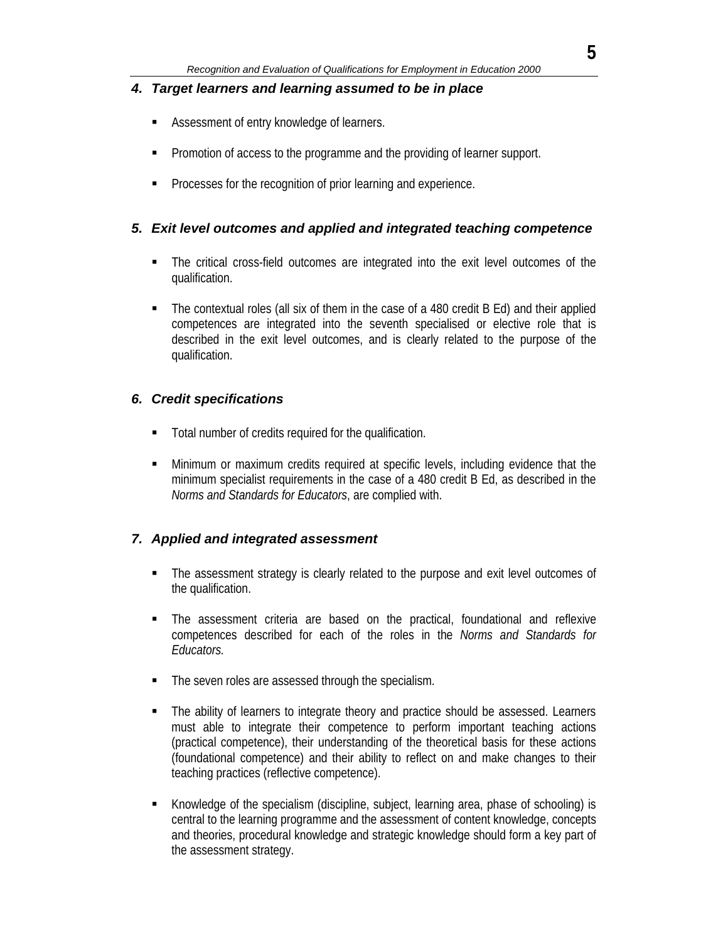### *4. Target learners and learning assumed to be in place*

- Assessment of entry knowledge of learners.
- Promotion of access to the programme and the providing of learner support.
- **Processes for the recognition of prior learning and experience.**

## *5. Exit level outcomes and applied and integrated teaching competence*

- The critical cross-field outcomes are integrated into the exit level outcomes of the qualification.
- The contextual roles (all six of them in the case of a 480 credit B Ed) and their applied competences are integrated into the seventh specialised or elective role that is described in the exit level outcomes, and is clearly related to the purpose of the qualification.

## *6. Credit specifications*

- Total number of credits required for the qualification.
- Minimum or maximum credits required at specific levels, including evidence that the minimum specialist requirements in the case of a 480 credit B Ed, as described in the *Norms and Standards for Educators*, are complied with.

## *7. Applied and integrated assessment*

- The assessment strategy is clearly related to the purpose and exit level outcomes of the qualification.
- The assessment criteria are based on the practical, foundational and reflexive competences described for each of the roles in the *Norms and Standards for Educators.*
- The seven roles are assessed through the specialism.
- The ability of learners to integrate theory and practice should be assessed. Learners must able to integrate their competence to perform important teaching actions (practical competence), their understanding of the theoretical basis for these actions (foundational competence) and their ability to reflect on and make changes to their teaching practices (reflective competence).
- Knowledge of the specialism (discipline, subject, learning area, phase of schooling) is central to the learning programme and the assessment of content knowledge, concepts and theories, procedural knowledge and strategic knowledge should form a key part of the assessment strategy.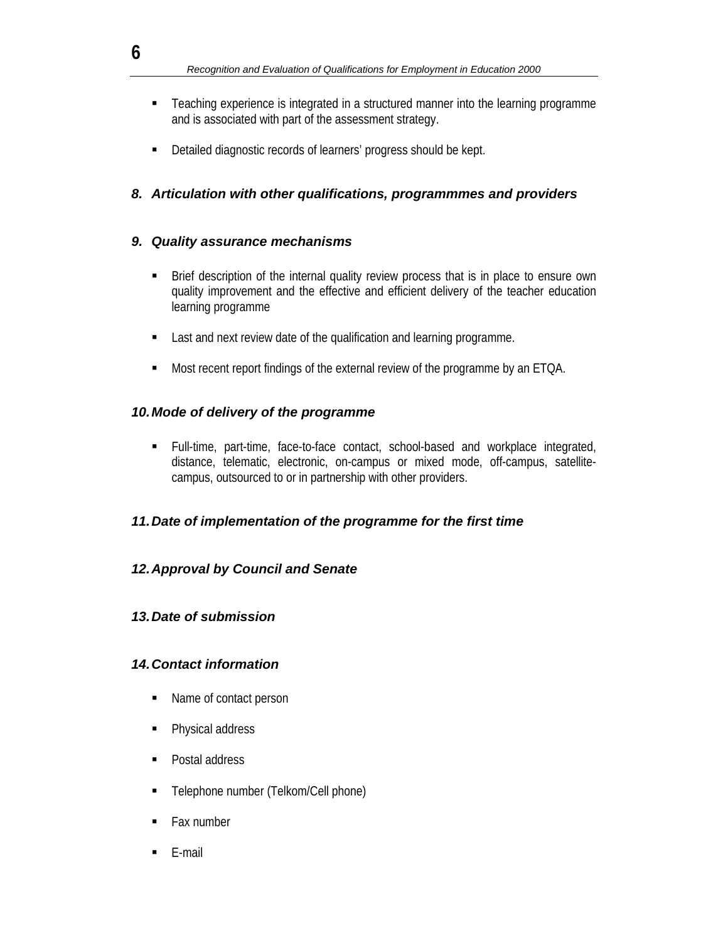- Teaching experience is integrated in a structured manner into the learning programme and is associated with part of the assessment strategy.
- Detailed diagnostic records of learners' progress should be kept.

## *8. Articulation with other qualifications, programmmes and providers*

### *9. Quality assurance mechanisms*

- Brief description of the internal quality review process that is in place to ensure own quality improvement and the effective and efficient delivery of the teacher education learning programme
- **EXECT** Last and next review date of the qualification and learning programme.
- Most recent report findings of the external review of the programme by an ETQA.

### *10. Mode of delivery of the programme*

 Full-time, part-time, face-to-face contact, school-based and workplace integrated, distance, telematic, electronic, on-campus or mixed mode, off-campus, satellitecampus, outsourced to or in partnership with other providers.

## *11. Date of implementation of the programme for the first time*

## *12. Approval by Council and Senate*

### *13. Date of submission*

## *14. Contact information*

- Name of contact person
- Physical address
- Postal address
- Telephone number (Telkom/Cell phone)
- Fax number
- $\blacksquare$  E-mail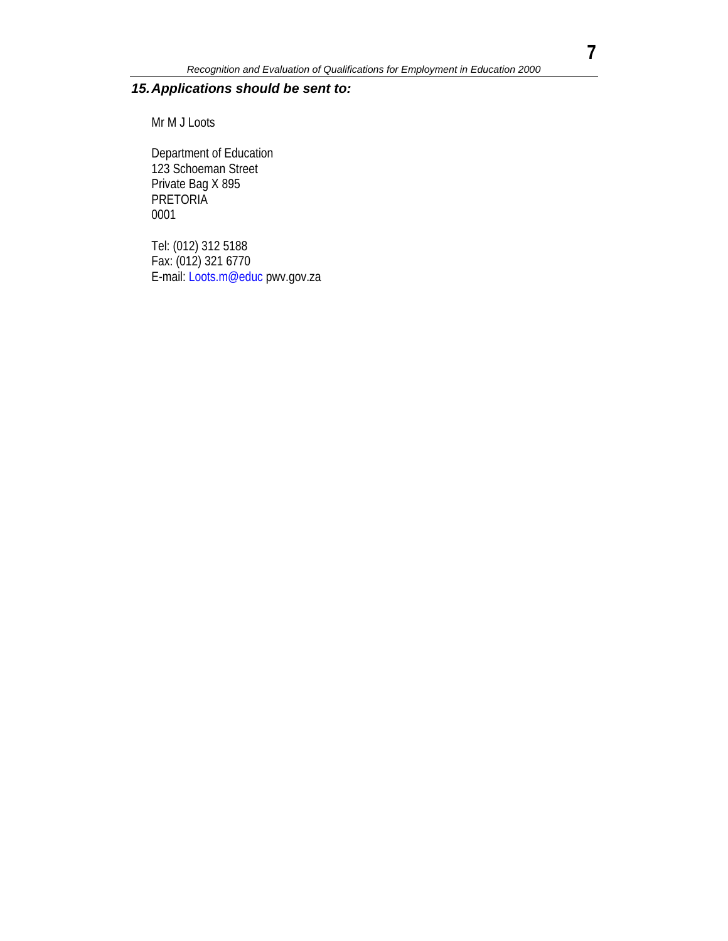## *15. Applications should be sent to:*

Mr M J Loots

Department of Education 123 Schoeman Street Private Bag X 895 **PRETORIA** 0001

Tel: (012) 312 5188 Fax: (012) 321 6770 E-mail: Loots.m@educ pwv.gov.za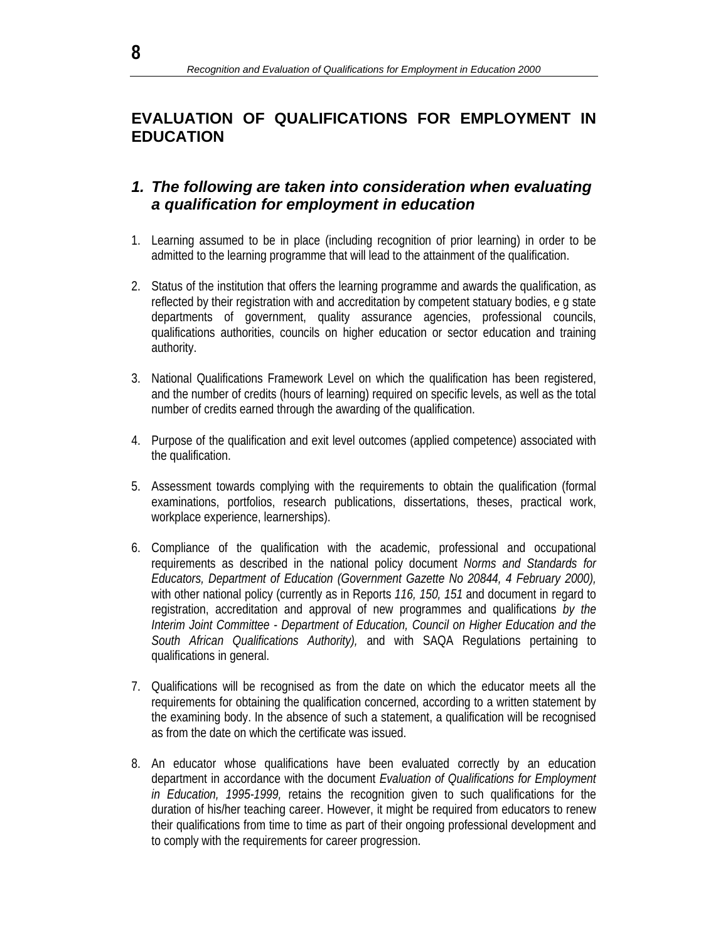# **EVALUATION OF QUALIFICATIONS FOR EMPLOYMENT IN EDUCATION**

## *1. The following are taken into consideration when evaluating a qualification for employment in education*

- 1. Learning assumed to be in place (including recognition of prior learning) in order to be admitted to the learning programme that will lead to the attainment of the qualification.
- 2. Status of the institution that offers the learning programme and awards the qualification, as reflected by their registration with and accreditation by competent statuary bodies, e g state departments of government, quality assurance agencies, professional councils, qualifications authorities, councils on higher education or sector education and training authority.
- 3. National Qualifications Framework Level on which the qualification has been registered, and the number of credits (hours of learning) required on specific levels, as well as the total number of credits earned through the awarding of the qualification.
- 4. Purpose of the qualification and exit level outcomes (applied competence) associated with the qualification.
- 5. Assessment towards complying with the requirements to obtain the qualification (formal examinations, portfolios, research publications, dissertations, theses, practical work, workplace experience, learnerships).
- 6. Compliance of the qualification with the academic, professional and occupational requirements as described in the national policy document *Norms and Standards for Educators, Department of Education (Government Gazette No 20844, 4 February 2000),*  with other national policy (currently as in Reports *116, 150, 151* and document in regard to registration, accreditation and approval of new programmes and qualifications *by the Interim Joint Committee - Department of Education, Council on Higher Education and the South African Qualifications Authority),* and with SAQA Regulations pertaining to qualifications in general.
- 7. Qualifications will be recognised as from the date on which the educator meets all the requirements for obtaining the qualification concerned, according to a written statement by the examining body. In the absence of such a statement, a qualification will be recognised as from the date on which the certificate was issued.
- 8. An educator whose qualifications have been evaluated correctly by an education department in accordance with the document *Evaluation of Qualifications for Employment in Education, 1995-1999,* retains the recognition given to such qualifications for the duration of his/her teaching career. However, it might be required from educators to renew their qualifications from time to time as part of their ongoing professional development and to comply with the requirements for career progression.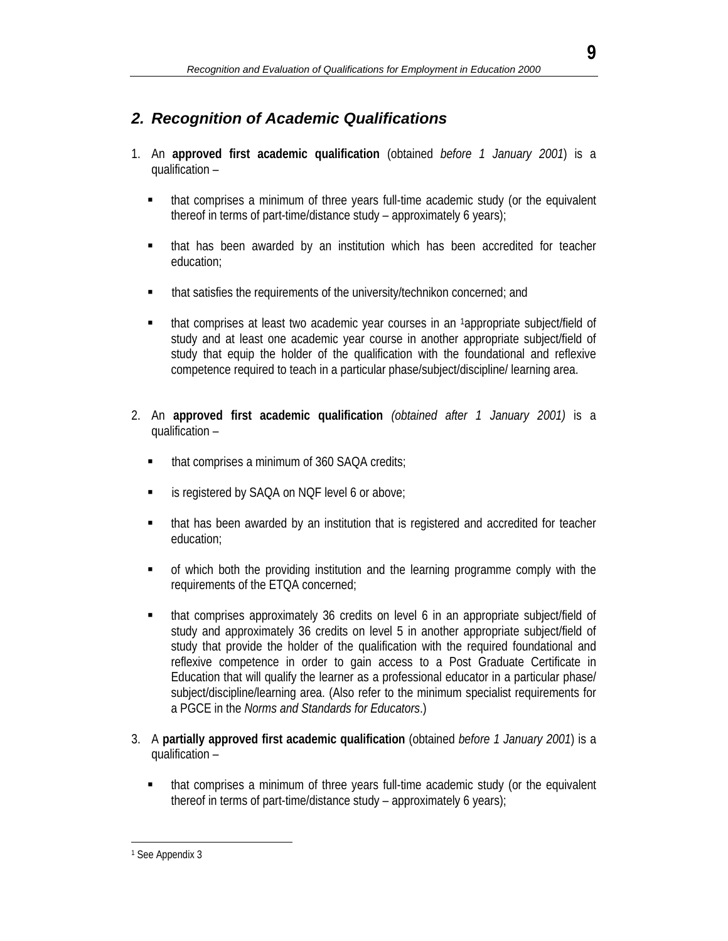# *2. Recognition of Academic Qualifications*

- 1. An **approved first academic qualification** (obtained *before 1 January 2001*) is a qualification –
	- that comprises a minimum of three years full-time academic study (or the equivalent thereof in terms of part-time/distance study – approximately 6 years);
	- that has been awarded by an institution which has been accredited for teacher education;
	- **that satisfies the requirements of the university/technikon concerned; and**
	- that comprises at least two academic year courses in an 1appropriate subject/field of study and at least one academic year course in another appropriate subject/field of study that equip the holder of the qualification with the foundational and reflexive competence required to teach in a particular phase/subject/discipline/ learning area.
- 2. An **approved first academic qualification** *(obtained after 1 January 2001)* is a qualification –
	- that comprises a minimum of 360 SAQA credits;
	- is registered by SAQA on NQF level 6 or above;
	- that has been awarded by an institution that is registered and accredited for teacher education;
	- of which both the providing institution and the learning programme comply with the requirements of the ETQA concerned;
	- that comprises approximately 36 credits on level 6 in an appropriate subject/field of study and approximately 36 credits on level 5 in another appropriate subject/field of study that provide the holder of the qualification with the required foundational and reflexive competence in order to gain access to a Post Graduate Certificate in Education that will qualify the learner as a professional educator in a particular phase/ subject/discipline/learning area. (Also refer to the minimum specialist requirements for a PGCE in the *Norms and Standards for Educators*.)
- 3. A **partially approved first academic qualification** (obtained *before 1 January 2001*) is a qualification –
	- that comprises a minimum of three years full-time academic study (or the equivalent thereof in terms of part-time/distance study – approximately 6 years);

l 1 See Appendix 3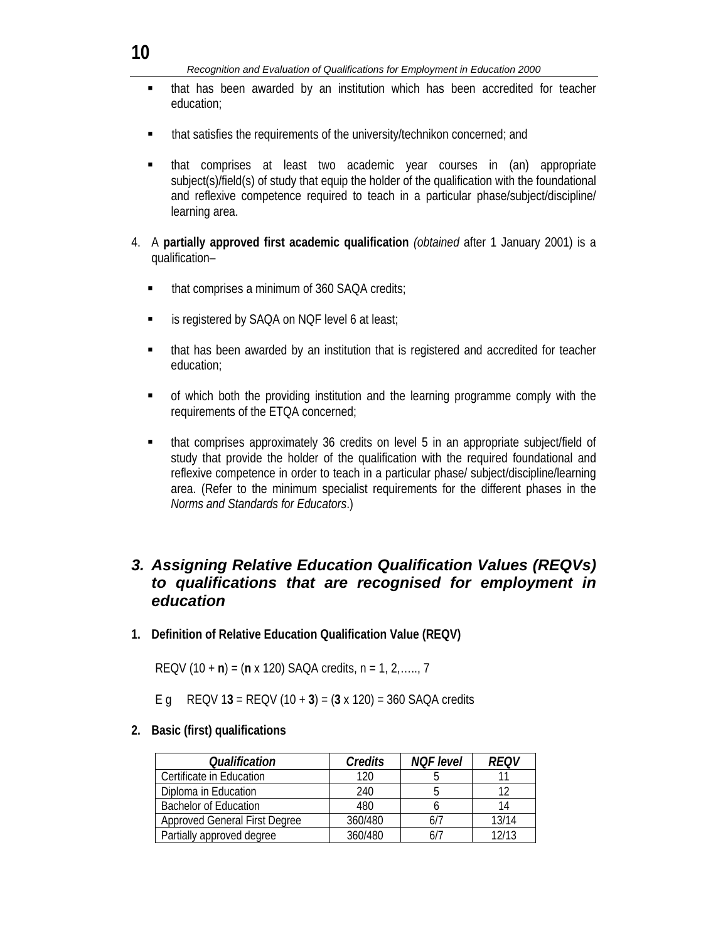- that has been awarded by an institution which has been accredited for teacher education;
- **that satisfies the requirements of the university/technikon concerned; and**
- that comprises at least two academic year courses in (an) appropriate subject(s)/field(s) of study that equip the holder of the qualification with the foundational and reflexive competence required to teach in a particular phase/subject/discipline/ learning area.
- 4. A **partially approved first academic qualification** *(obtained* after 1 January 2001) is a qualification–
	- that comprises a minimum of 360 SAQA credits;
	- **EXECUTE:** is registered by SAQA on NQF level 6 at least;
	- that has been awarded by an institution that is registered and accredited for teacher education;
	- of which both the providing institution and the learning programme comply with the requirements of the ETQA concerned;
	- that comprises approximately 36 credits on level 5 in an appropriate subject/field of study that provide the holder of the qualification with the required foundational and reflexive competence in order to teach in a particular phase/ subject/discipline/learning area. (Refer to the minimum specialist requirements for the different phases in the *Norms and Standards for Educators*.)

## *3. Assigning Relative Education Qualification Values (REQVs) to qualifications that are recognised for employment in education*

**1. Definition of Relative Education Qualification Value (REQV)** 

REQV (10 + **n**) = (**n** x 120) SAQA credits, n = 1, 2,….., 7

E g REQV 1**3** = REQV (10 + **3**) = (**3** x 120) = 360 SAQA credits

**2. Basic (first) qualifications** 

| Qualification                        | Credits | <b>NOF</b> level | <i>REQV</i> |
|--------------------------------------|---------|------------------|-------------|
| Certificate in Education             | 120     |                  |             |
| Diploma in Education                 | 240     |                  | 12          |
| <b>Bachelor of Education</b>         | 480     |                  | 14          |
| <b>Approved General First Degree</b> | 360/480 |                  | 13/14       |
| Partially approved degree            | 360/480 |                  | 12/13       |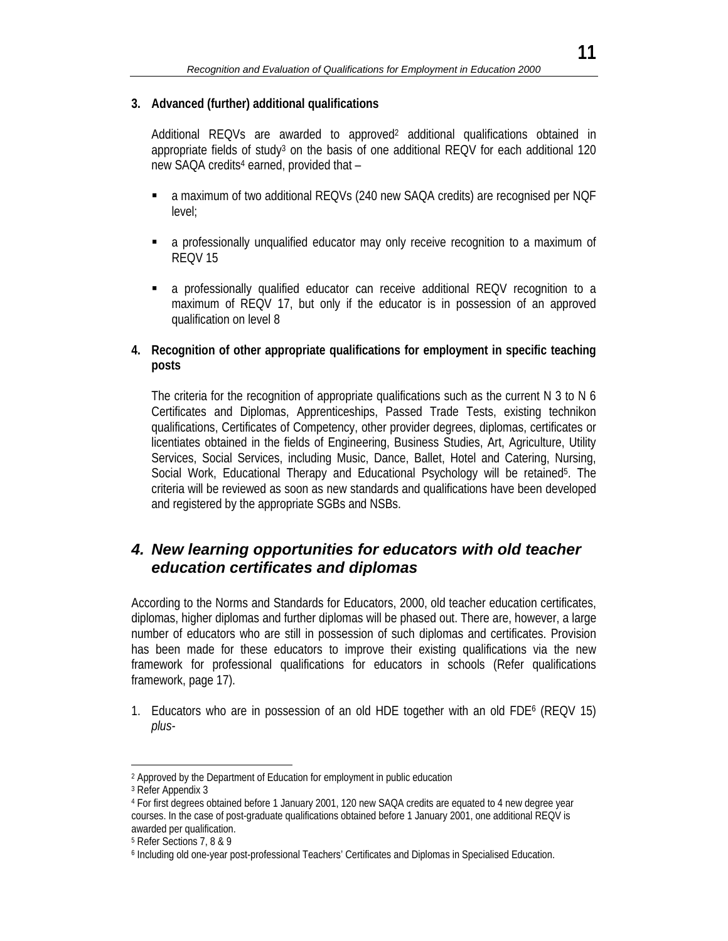#### **3. Advanced (further) additional qualifications**

Additional REQVs are awarded to approved<sup>2</sup> additional qualifications obtained in appropriate fields of study<sup>3</sup> on the basis of one additional REQV for each additional 120 new SAQA credits<sup>4</sup> earned, provided that -

- a maximum of two additional REQVs (240 new SAQA credits) are recognised per NQF level;
- a professionally unqualified educator may only receive recognition to a maximum of REQV 15
- a professionally qualified educator can receive additional REQV recognition to a maximum of REQV 17, but only if the educator is in possession of an approved qualification on level 8

#### **4. Recognition of other appropriate qualifications for employment in specific teaching posts**

The criteria for the recognition of appropriate qualifications such as the current N 3 to N 6 Certificates and Diplomas, Apprenticeships, Passed Trade Tests, existing technikon qualifications, Certificates of Competency, other provider degrees, diplomas, certificates or licentiates obtained in the fields of Engineering, Business Studies, Art, Agriculture, Utility Services, Social Services, including Music, Dance, Ballet, Hotel and Catering, Nursing, Social Work, Educational Therapy and Educational Psychology will be retained<sup>5</sup>. The criteria will be reviewed as soon as new standards and qualifications have been developed and registered by the appropriate SGBs and NSBs.

## *4. New learning opportunities for educators with old teacher education certificates and diplomas*

According to the Norms and Standards for Educators, 2000, old teacher education certificates, diplomas, higher diplomas and further diplomas will be phased out. There are, however, a large number of educators who are still in possession of such diplomas and certificates. Provision has been made for these educators to improve their existing qualifications via the new framework for professional qualifications for educators in schools (Refer qualifications framework, page 17).

1. Educators who are in possession of an old HDE together with an old FDE6 (REQV 15) *plus-*

l

<sup>2</sup> Approved by the Department of Education for employment in public education

<sup>3</sup> Refer Appendix 3

<sup>4</sup> For first degrees obtained before 1 January 2001, 120 new SAQA credits are equated to 4 new degree year courses. In the case of post-graduate qualifications obtained before 1 January 2001, one additional REQV is awarded per qualification.

<sup>5</sup> Refer Sections 7, 8 & 9

<sup>6</sup> Including old one-year post-professional Teachers' Certificates and Diplomas in Specialised Education.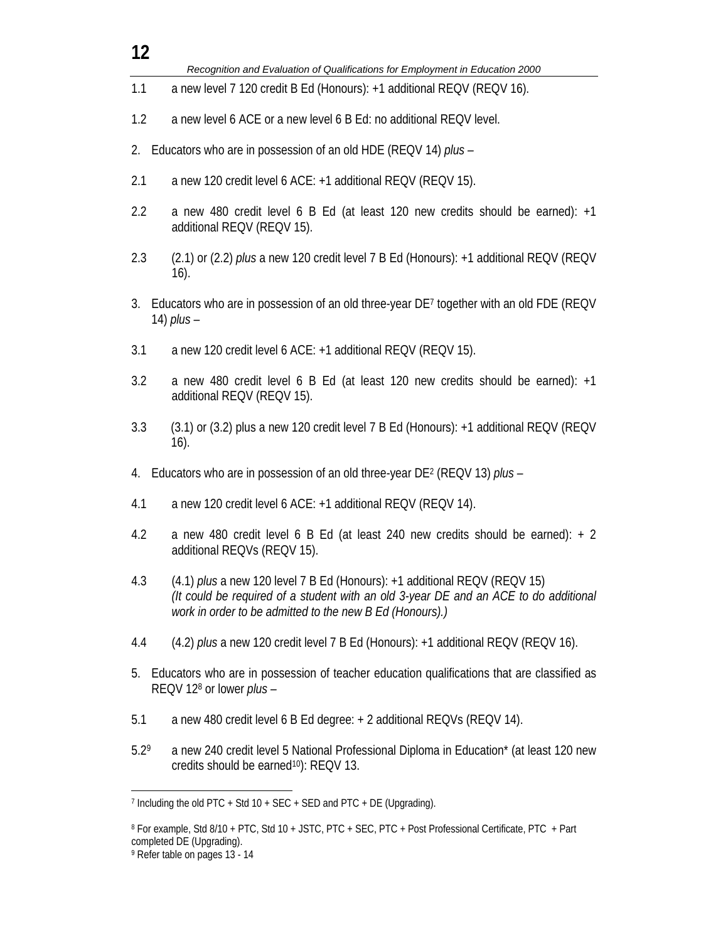| 12   |                                                                                                                                                                                                                               |
|------|-------------------------------------------------------------------------------------------------------------------------------------------------------------------------------------------------------------------------------|
|      | Recognition and Evaluation of Qualifications for Employment in Education 2000                                                                                                                                                 |
| 1.1  | a new level 7 120 credit B Ed (Honours): +1 additional REQV (REQV 16).                                                                                                                                                        |
| 1.2  | a new level 6 ACE or a new level 6 B Ed: no additional REQV level.                                                                                                                                                            |
| 2.   | Educators who are in possession of an old HDE (REQV 14) plus -                                                                                                                                                                |
| 2.1  | a new 120 credit level 6 ACE: +1 additional REQV (REQV 15).                                                                                                                                                                   |
| 2.2  | a new 480 credit level 6 B Ed (at least 120 new credits should be earned): +1<br>additional REQV (REQV 15).                                                                                                                   |
| 2.3  | (2.1) or (2.2) plus a new 120 credit level 7 B Ed (Honours): +1 additional REQV (REQV<br>$16)$ .                                                                                                                              |
| 3.   | Educators who are in possession of an old three-year DE7 together with an old FDE (REQV<br>14) $plus -$                                                                                                                       |
| 3.1  | a new 120 credit level 6 ACE: +1 additional REQV (REQV 15).                                                                                                                                                                   |
| 3.2  | a new 480 credit level 6 B Ed (at least 120 new credits should be earned): +1<br>additional REQV (REQV 15).                                                                                                                   |
| 3.3  | (3.1) or (3.2) plus a new 120 credit level 7 B Ed (Honours): +1 additional REQV (REQV<br>$16)$ .                                                                                                                              |
| 4.   | Educators who are in possession of an old three-year DE <sup>2</sup> (REQV 13) plus -                                                                                                                                         |
| 4.1  | a new 120 credit level 6 ACE: +1 additional REQV (REQV 14).                                                                                                                                                                   |
| 4.2  | a new 480 credit level 6 B Ed (at least 240 new credits should be earned): $+2$<br>additional REQVs (REQV 15).                                                                                                                |
| 4.3  | (4.1) plus a new 120 level 7 B Ed (Honours): +1 additional REQV (REQV 15)<br>(It could be required of a student with an old 3-year DE and an ACE to do additional<br>work in order to be admitted to the new B Ed (Honours).) |
| 4.4  | (4.2) <i>plus</i> a new 120 credit level 7 B Ed (Honours): +1 additional REQV (REQV 16).                                                                                                                                      |
| 5.   | Educators who are in possession of teacher education qualifications that are classified as<br>REQV 12 <sup>8</sup> or lower <i>plus -</i>                                                                                     |
| 5.1  | a new 480 credit level 6 B Ed degree: + 2 additional REQVs (REQV 14).                                                                                                                                                         |
| 5.29 | a new 240 credit level 5 National Professional Diploma in Education* (at least 120 new<br>credits should be earned <sup>10</sup> ): REQV 13.                                                                                  |
|      | 7 Including the old PTC + Std 10 + SEC + SED and PTC + DE (Upgrading).                                                                                                                                                        |

<sup>8</sup> For example, Std 8/10 + PTC, Std 10 + JSTC, PTC + SEC, PTC + Post Professional Certificate, PTC + Part completed DE (Upgrading).

<sup>9</sup> Refer table on pages 13 - 14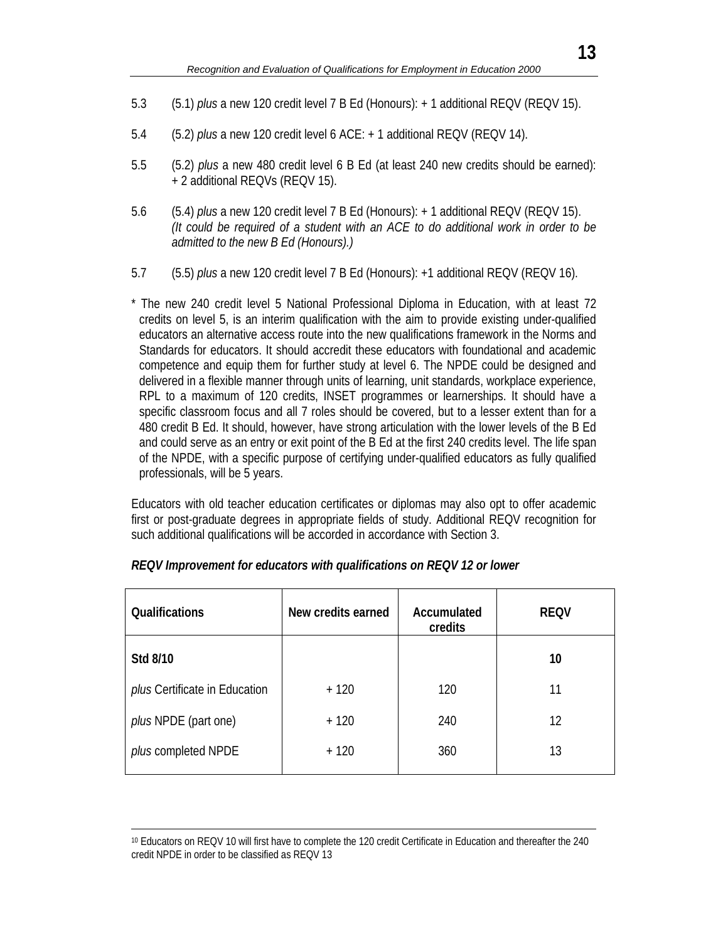- 5.3 (5.1) *plus* a new 120 credit level 7 B Ed (Honours): + 1 additional REQV (REQV 15).
- 5.4 (5.2) *plus* a new 120 credit level 6 ACE: + 1 additional REQV (REQV 14).
- 5.5 (5.2) *plus* a new 480 credit level 6 B Ed (at least 240 new credits should be earned): + 2 additional REQVs (REQV 15).
- 5.6 (5.4) *plus* a new 120 credit level 7 B Ed (Honours): + 1 additional REQV (REQV 15). *(It could be required of a student with an ACE to do additional work in order to be admitted to the new B Ed (Honours).)*
- 5.7 (5.5) *plus* a new 120 credit level 7 B Ed (Honours): +1 additional REQV (REQV 16).

\* The new 240 credit level 5 National Professional Diploma in Education, with at least 72 credits on level 5, is an interim qualification with the aim to provide existing under-qualified educators an alternative access route into the new qualifications framework in the Norms and Standards for educators. It should accredit these educators with foundational and academic competence and equip them for further study at level 6. The NPDE could be designed and delivered in a flexible manner through units of learning, unit standards, workplace experience, RPL to a maximum of 120 credits, INSET programmes or learnerships. It should have a specific classroom focus and all 7 roles should be covered, but to a lesser extent than for a 480 credit B Ed. It should, however, have strong articulation with the lower levels of the B Ed and could serve as an entry or exit point of the B Ed at the first 240 credits level. The life span of the NPDE, with a specific purpose of certifying under-qualified educators as fully qualified professionals, will be 5 years.

Educators with old teacher education certificates or diplomas may also opt to offer academic first or post-graduate degrees in appropriate fields of study. Additional REQV recognition for such additional qualifications will be accorded in accordance with Section 3.

| <b>Qualifications</b>         | New credits earned | Accumulated<br>credits | <b>REQV</b> |
|-------------------------------|--------------------|------------------------|-------------|
| Std 8/10                      |                    |                        | 10          |
| plus Certificate in Education | $+120$             | 120                    | 11          |
| <i>plus</i> NPDE (part one)   | $+120$             | 240                    | 12          |
| plus completed NPDE           | $+120$             | 360                    | 13          |

| REQV Improvement for educators with qualifications on REQV 12 or lower |  |
|------------------------------------------------------------------------|--|
|------------------------------------------------------------------------|--|

 <sup>10</sup> Educators on REQV 10 will first have to complete the 120 credit Certificate in Education and thereafter the 240 credit NPDE in order to be classified as REQV 13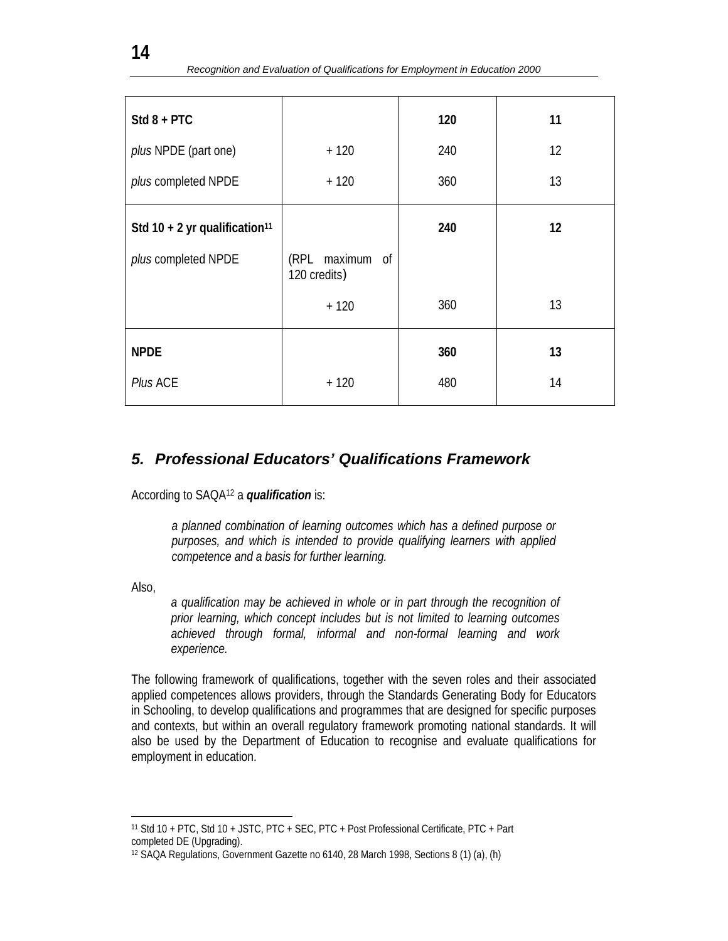| $Std 8 + PTC$                             |                                 | 120 | 11 |
|-------------------------------------------|---------------------------------|-----|----|
| plus NPDE (part one)                      | $+120$                          | 240 | 12 |
| plus completed NPDE                       | $+120$                          | 360 | 13 |
|                                           |                                 |     |    |
| Std 10 + 2 yr qualification <sup>11</sup> |                                 | 240 | 12 |
| plus completed NPDE                       | (RPL maximum of<br>120 credits) |     |    |
|                                           | $+120$                          | 360 | 13 |
| <b>NPDE</b>                               |                                 | 360 | 13 |
| Plus ACE                                  | $+120$                          | 480 | 14 |

# *5. Professional Educators' Qualifications Framework*

According to SAQA12 a *qualification* is:

*a planned combination of learning outcomes which has a defined purpose or purposes, and which is intended to provide qualifying learners with applied competence and a basis for further learning.* 

Also,

*a qualification may be achieved in whole or in part through the recognition of prior learning, which concept includes but is not limited to learning outcomes achieved through formal, informal and non-formal learning and work experience.* 

The following framework of qualifications, together with the seven roles and their associated applied competences allows providers, through the Standards Generating Body for Educators in Schooling, to develop qualifications and programmes that are designed for specific purposes and contexts, but within an overall regulatory framework promoting national standards. It will also be used by the Department of Education to recognise and evaluate qualifications for employment in education.

l 11 Std 10 + PTC, Std 10 + JSTC, PTC + SEC, PTC + Post Professional Certificate, PTC + Part completed DE (Upgrading).

<sup>12</sup> SAQA Regulations, Government Gazette no 6140, 28 March 1998, Sections 8 (1) (a), (h)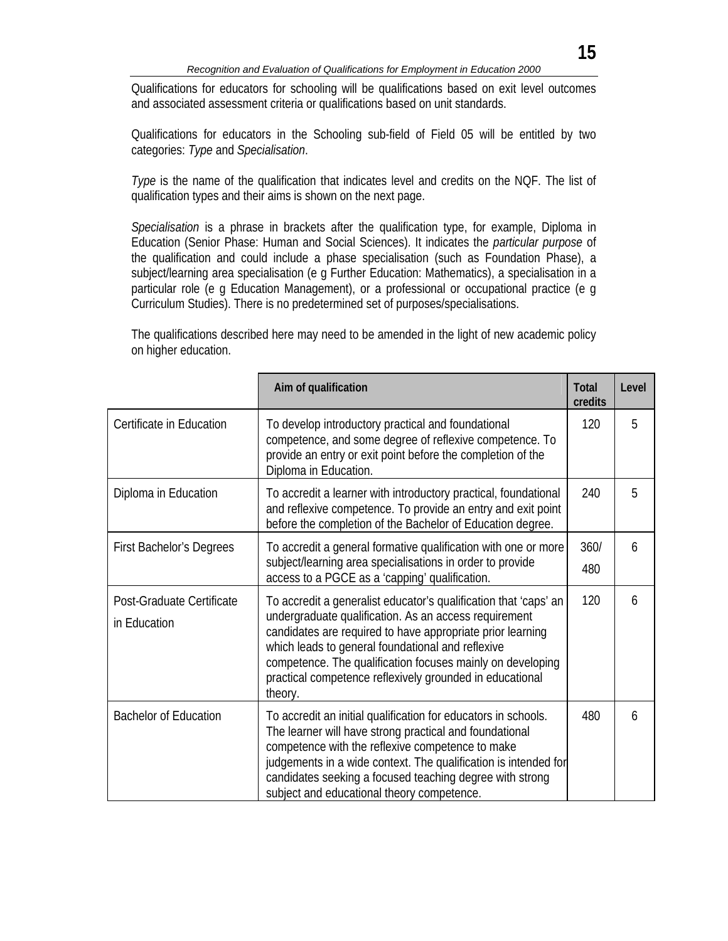Qualifications for educators for schooling will be qualifications based on exit level outcomes and associated assessment criteria or qualifications based on unit standards.

Qualifications for educators in the Schooling sub-field of Field 05 will be entitled by two categories: *Type* and *Specialisation*.

*Type* is the name of the qualification that indicates level and credits on the NQF. The list of qualification types and their aims is shown on the next page.

*Specialisation* is a phrase in brackets after the qualification type, for example, Diploma in Education (Senior Phase: Human and Social Sciences). It indicates the *particular purpose* of the qualification and could include a phase specialisation (such as Foundation Phase), a subject/learning area specialisation (e g Further Education: Mathematics), a specialisation in a particular role (e g Education Management), or a professional or occupational practice (e g Curriculum Studies). There is no predetermined set of purposes/specialisations.

The qualifications described here may need to be amended in the light of new academic policy on higher education.

|                                           | Aim of qualification                                                                                                                                                                                                                                                                                                                                                              | <b>Total</b><br>credits | Level |
|-------------------------------------------|-----------------------------------------------------------------------------------------------------------------------------------------------------------------------------------------------------------------------------------------------------------------------------------------------------------------------------------------------------------------------------------|-------------------------|-------|
| Certificate in Education                  | To develop introductory practical and foundational<br>competence, and some degree of reflexive competence. To<br>provide an entry or exit point before the completion of the<br>Diploma in Education.                                                                                                                                                                             | 120                     | 5     |
| Diploma in Education                      | To accredit a learner with introductory practical, foundational<br>and reflexive competence. To provide an entry and exit point<br>before the completion of the Bachelor of Education degree.                                                                                                                                                                                     | 240                     | 5     |
| <b>First Bachelor's Degrees</b>           | To accredit a general formative qualification with one or more<br>subject/learning area specialisations in order to provide<br>access to a PGCE as a 'capping' qualification.                                                                                                                                                                                                     | 360/<br>480             | 6     |
| Post-Graduate Certificate<br>in Education | To accredit a generalist educator's qualification that 'caps' an<br>undergraduate qualification. As an access requirement<br>candidates are required to have appropriate prior learning<br>which leads to general foundational and reflexive<br>competence. The qualification focuses mainly on developing<br>practical competence reflexively grounded in educational<br>theory. | 120                     | 6     |
| <b>Bachelor of Education</b>              | To accredit an initial qualification for educators in schools.<br>The learner will have strong practical and foundational<br>competence with the reflexive competence to make<br>judgements in a wide context. The qualification is intended for<br>candidates seeking a focused teaching degree with strong<br>subject and educational theory competence.                        | 480                     | 6     |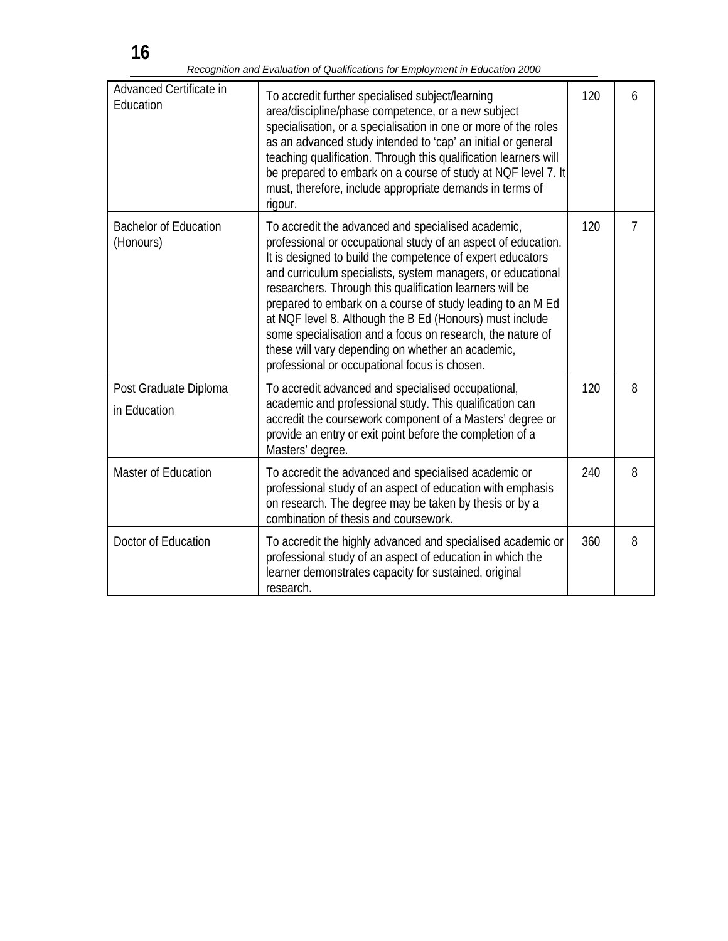*Recognition and Evaluation of Qualifications for Employment in Education 2000* 

| Advanced Certificate in<br>Education      | To accredit further specialised subject/learning<br>area/discipline/phase competence, or a new subject<br>specialisation, or a specialisation in one or more of the roles<br>as an advanced study intended to 'cap' an initial or general<br>teaching qualification. Through this qualification learners will<br>be prepared to embark on a course of study at NQF level 7. It<br>must, therefore, include appropriate demands in terms of<br>rigour.                                                                                                                                                      | 120 | 6              |
|-------------------------------------------|------------------------------------------------------------------------------------------------------------------------------------------------------------------------------------------------------------------------------------------------------------------------------------------------------------------------------------------------------------------------------------------------------------------------------------------------------------------------------------------------------------------------------------------------------------------------------------------------------------|-----|----------------|
| <b>Bachelor of Education</b><br>(Honours) | To accredit the advanced and specialised academic,<br>professional or occupational study of an aspect of education.<br>It is designed to build the competence of expert educators<br>and curriculum specialists, system managers, or educational<br>researchers. Through this qualification learners will be<br>prepared to embark on a course of study leading to an M Ed<br>at NQF level 8. Although the B Ed (Honours) must include<br>some specialisation and a focus on research, the nature of<br>these will vary depending on whether an academic,<br>professional or occupational focus is chosen. | 120 | $\overline{7}$ |
| Post Graduate Diploma<br>in Education     | To accredit advanced and specialised occupational,<br>academic and professional study. This qualification can<br>accredit the coursework component of a Masters' degree or<br>provide an entry or exit point before the completion of a<br>Masters' degree.                                                                                                                                                                                                                                                                                                                                                | 120 | 8              |
| Master of Education                       | To accredit the advanced and specialised academic or<br>professional study of an aspect of education with emphasis<br>on research. The degree may be taken by thesis or by a<br>combination of thesis and coursework.                                                                                                                                                                                                                                                                                                                                                                                      | 240 | 8              |
| Doctor of Education                       | To accredit the highly advanced and specialised academic or<br>professional study of an aspect of education in which the<br>learner demonstrates capacity for sustained, original<br>research.                                                                                                                                                                                                                                                                                                                                                                                                             | 360 | 8              |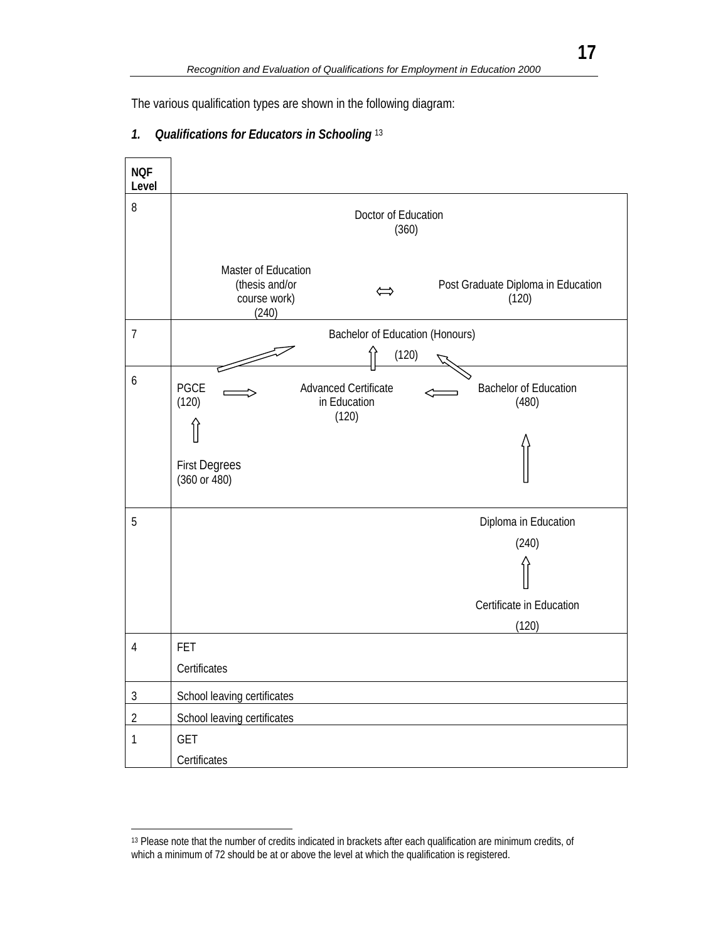The various qualification types are shown in the following diagram:

### *1. Qualifications for Educators in Schooling* <sup>13</sup>



<sup>13</sup> Please note that the number of credits indicated in brackets after each qualification are minimum credits, of which a minimum of 72 should be at or above the level at which the qualification is registered.

l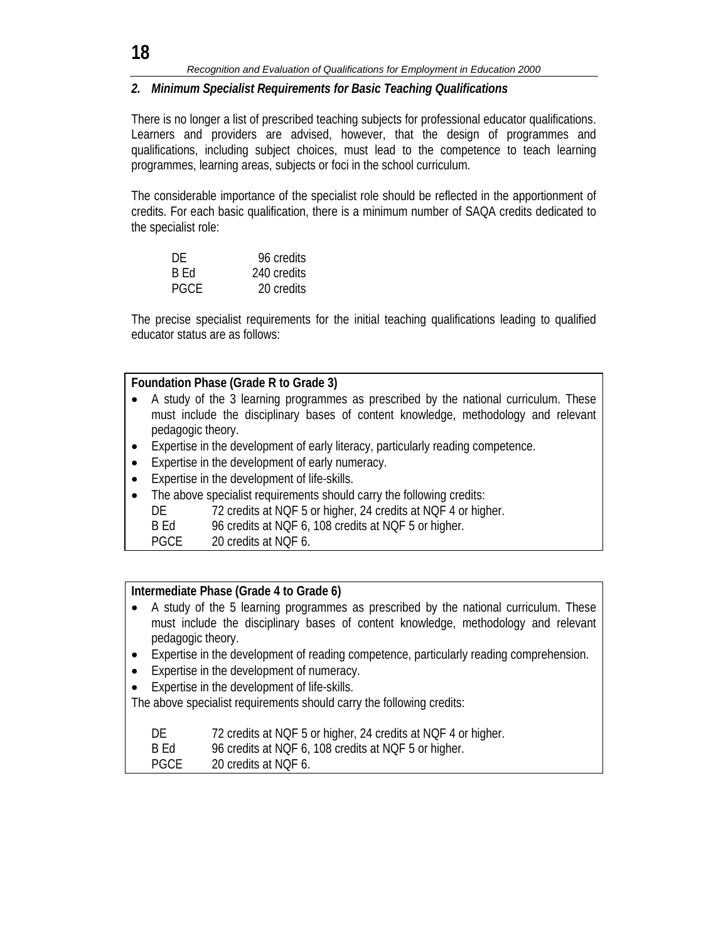## *2. Minimum Specialist Requirements for Basic Teaching Qualifications*

There is no longer a list of prescribed teaching subjects for professional educator qualifications. Learners and providers are advised, however, that the design of programmes and qualifications, including subject choices, must lead to the competence to teach learning programmes, learning areas, subjects or foci in the school curriculum.

The considerable importance of the specialist role should be reflected in the apportionment of credits. For each basic qualification, there is a minimum number of SAQA credits dedicated to the specialist role:

| DE   | 96 credits  |
|------|-------------|
| B Ed | 240 credits |
| PGCF | 20 credits  |

The precise specialist requirements for the initial teaching qualifications leading to qualified educator status are as follows:

### **Foundation Phase (Grade R to Grade 3)**

- A study of the 3 learning programmes as prescribed by the national curriculum. These must include the disciplinary bases of content knowledge, methodology and relevant pedagogic theory.
- Expertise in the development of early literacy, particularly reading competence.
- Expertise in the development of early numeracy.
- Expertise in the development of life-skills.
- The above specialist requirements should carry the following credits:
	- DE 72 credits at NQF 5 or higher, 24 credits at NQF 4 or higher.
	- B Ed 96 credits at NQF 6, 108 credits at NQF 5 or higher.
	- PGCE 20 credits at NQF 6.

### **Intermediate Phase (Grade 4 to Grade 6)**

- A study of the 5 learning programmes as prescribed by the national curriculum. These must include the disciplinary bases of content knowledge, methodology and relevant pedagogic theory.
- Expertise in the development of reading competence, particularly reading comprehension.
- Expertise in the development of numeracy.
- Expertise in the development of life-skills.

The above specialist requirements should carry the following credits:

| DE.         | 72 credits at NQF 5 or higher, 24 credits at NQF 4 or higher. |
|-------------|---------------------------------------------------------------|
| B Ed        | 96 credits at NQF 6, 108 credits at NQF 5 or higher.          |
| <b>PGCE</b> | 20 credits at NQF 6.                                          |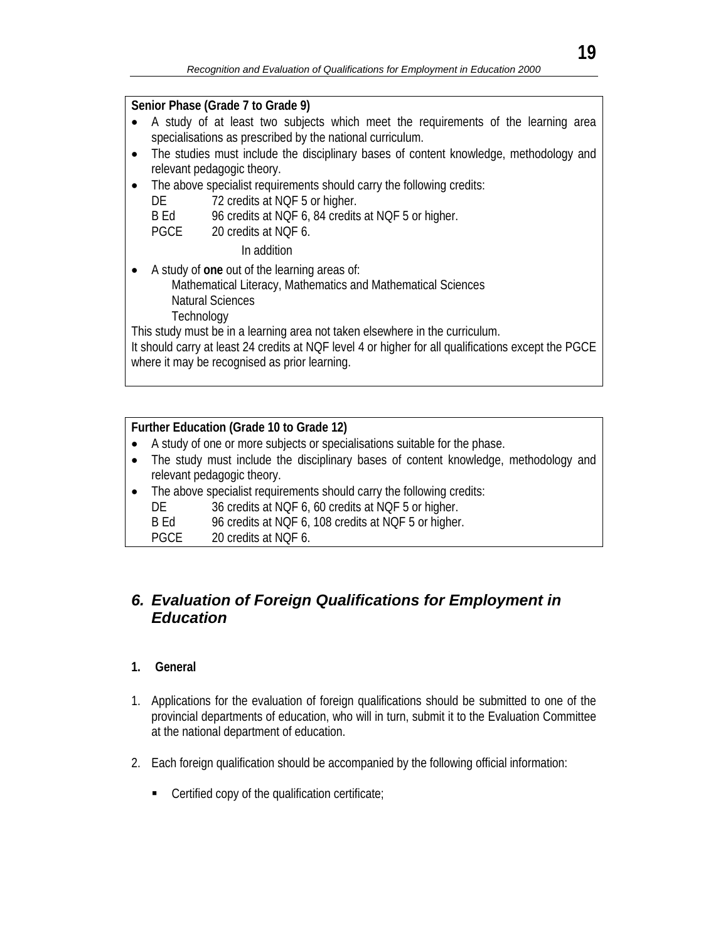### **Senior Phase (Grade 7 to Grade 9)**

- A study of at least two subjects which meet the requirements of the learning area specialisations as prescribed by the national curriculum.
- The studies must include the disciplinary bases of content knowledge, methodology and relevant pedagogic theory.
- The above specialist requirements should carry the following credits:
	- DE 72 credits at NQF 5 or higher.
	- B Ed 96 credits at NQF 6, 84 credits at NQF 5 or higher.
	- PGCE 20 credits at NQF 6.

In addition

- A study of **one** out of the learning areas of:
	- Mathematical Literacy, Mathematics and Mathematical Sciences
	- Natural Sciences
	- **Technology**

This study must be in a learning area not taken elsewhere in the curriculum.

It should carry at least 24 credits at NQF level 4 or higher for all qualifications except the PGCE where it may be recognised as prior learning.

## **Further Education (Grade 10 to Grade 12)**

- A study of one or more subjects or specialisations suitable for the phase.
- The study must include the disciplinary bases of content knowledge, methodology and relevant pedagogic theory.
- The above specialist requirements should carry the following credits:
	- DE 36 credits at NQF 6, 60 credits at NQF 5 or higher.
	- B Ed 96 credits at NQF 6, 108 credits at NQF 5 or higher.
	- PGCE 20 credits at NQF 6.

# *6. Evaluation of Foreign Qualifications for Employment in Education*

## **1. General**

- 1. Applications for the evaluation of foreign qualifications should be submitted to one of the provincial departments of education, who will in turn, submit it to the Evaluation Committee at the national department of education.
- 2. Each foreign qualification should be accompanied by the following official information:
	- $\blacksquare$  Certified copy of the qualification certificate;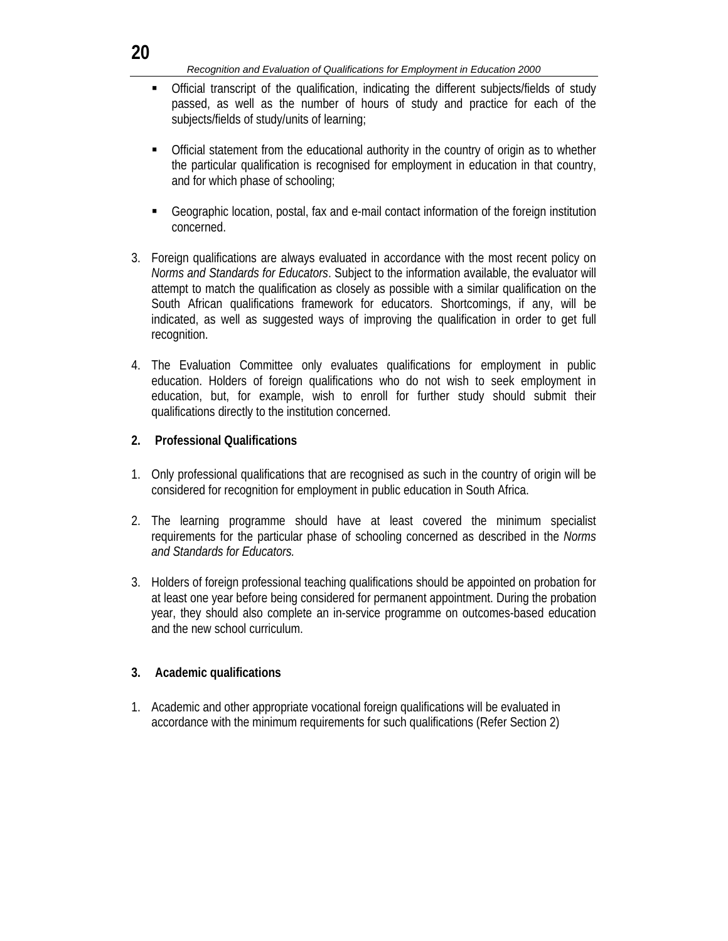#### *Recognition and Evaluation of Qualifications for Employment in Education 2000*

- Official transcript of the qualification, indicating the different subjects/fields of study passed, as well as the number of hours of study and practice for each of the subjects/fields of study/units of learning;
- Official statement from the educational authority in the country of origin as to whether the particular qualification is recognised for employment in education in that country, and for which phase of schooling;
- Geographic location, postal, fax and e-mail contact information of the foreign institution concerned.
- 3. Foreign qualifications are always evaluated in accordance with the most recent policy on *Norms and Standards for Educators*. Subject to the information available, the evaluator will attempt to match the qualification as closely as possible with a similar qualification on the South African qualifications framework for educators. Shortcomings, if any, will be indicated, as well as suggested ways of improving the qualification in order to get full recognition.
- 4. The Evaluation Committee only evaluates qualifications for employment in public education. Holders of foreign qualifications who do not wish to seek employment in education, but, for example, wish to enroll for further study should submit their qualifications directly to the institution concerned.

### **2. Professional Qualifications**

- 1. Only professional qualifications that are recognised as such in the country of origin will be considered for recognition for employment in public education in South Africa.
- 2. The learning programme should have at least covered the minimum specialist requirements for the particular phase of schooling concerned as described in the *Norms and Standards for Educators.*
- 3. Holders of foreign professional teaching qualifications should be appointed on probation for at least one year before being considered for permanent appointment. During the probation year, they should also complete an in-service programme on outcomes-based education and the new school curriculum.

### **3. Academic qualifications**

1. Academic and other appropriate vocational foreign qualifications will be evaluated in accordance with the minimum requirements for such qualifications (Refer Section 2)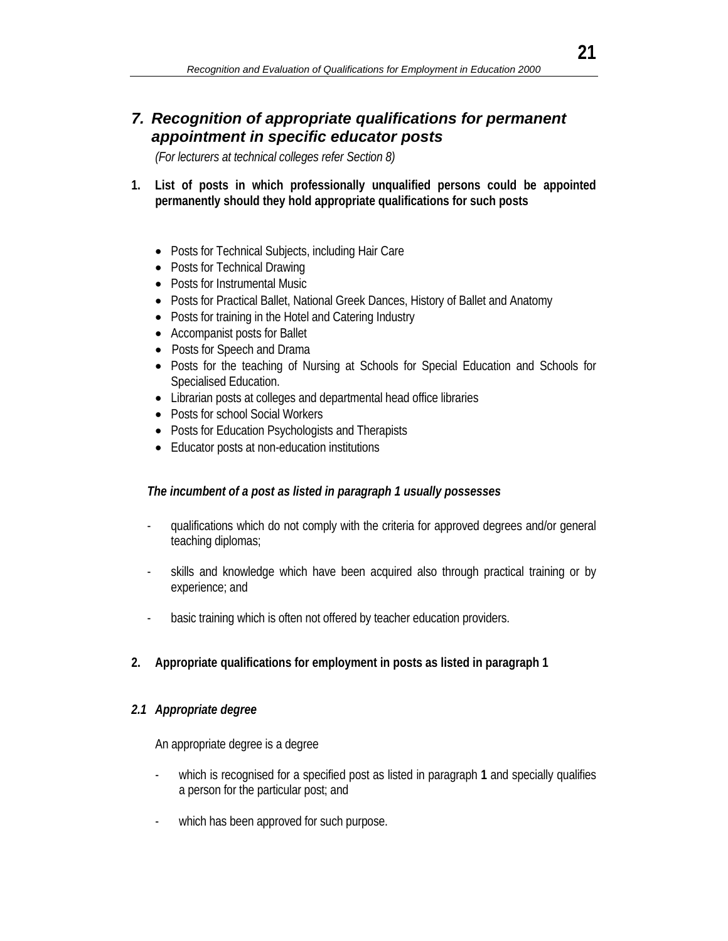# *7. Recognition of appropriate qualifications for permanent appointment in specific educator posts*

*(For lecturers at technical colleges refer Section 8)* 

- **1. List of posts in which professionally unqualified persons could be appointed permanently should they hold appropriate qualifications for such posts** 
	- Posts for Technical Subjects, including Hair Care
	- Posts for Technical Drawing
	- Posts for Instrumental Music
	- Posts for Practical Ballet, National Greek Dances, History of Ballet and Anatomy
	- Posts for training in the Hotel and Catering Industry
	- Accompanist posts for Ballet
	- Posts for Speech and Drama
	- Posts for the teaching of Nursing at Schools for Special Education and Schools for Specialised Education.
	- Librarian posts at colleges and departmental head office libraries
	- Posts for school Social Workers
	- Posts for Education Psychologists and Therapists
	- Educator posts at non-education institutions

### *The incumbent of a post as listed in paragraph 1 usually possesses*

- qualifications which do not comply with the criteria for approved degrees and/or general teaching diplomas;
- skills and knowledge which have been acquired also through practical training or by experience; and
- basic training which is often not offered by teacher education providers.

## **2. Appropriate qualifications for employment in posts as listed in paragraph 1**

### *2.1 Appropriate degree*

An appropriate degree is a degree

- which is recognised for a specified post as listed in paragraph **1** and specially qualifies a person for the particular post; and
- which has been approved for such purpose.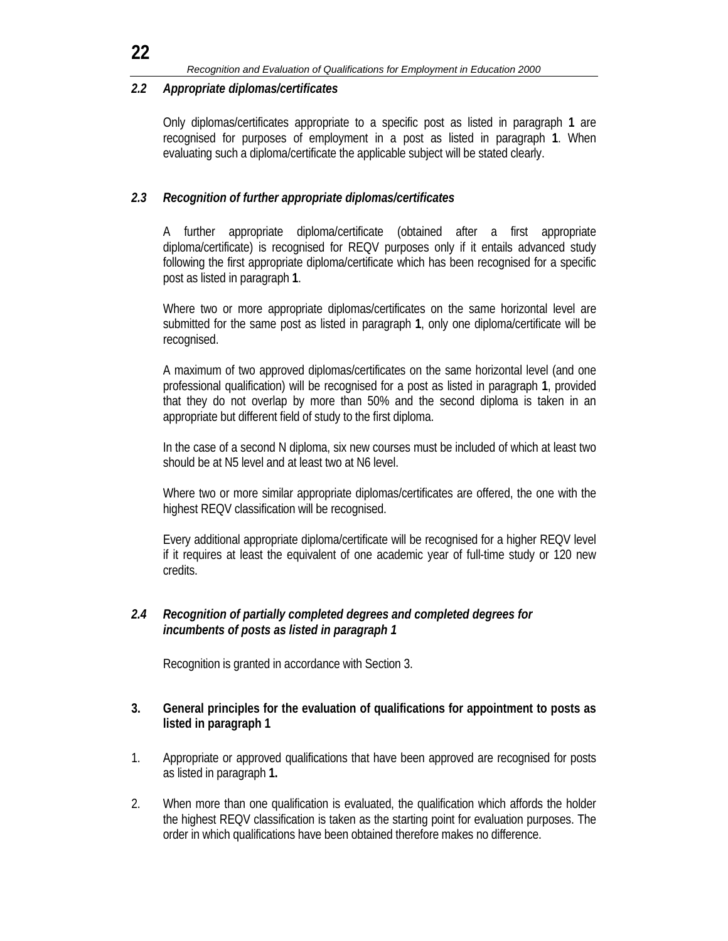#### *2.2 Appropriate diplomas/certificates*

Only diplomas/certificates appropriate to a specific post as listed in paragraph **1** are recognised for purposes of employment in a post as listed in paragraph **1**. When evaluating such a diploma/certificate the applicable subject will be stated clearly.

### *2.3 Recognition of further appropriate diplomas/certificates*

A further appropriate diploma/certificate (obtained after a first appropriate diploma/certificate) is recognised for REQV purposes only if it entails advanced study following the first appropriate diploma/certificate which has been recognised for a specific post as listed in paragraph **1**.

Where two or more appropriate diplomas/certificates on the same horizontal level are submitted for the same post as listed in paragraph **1**, only one diploma/certificate will be recognised.

A maximum of two approved diplomas/certificates on the same horizontal level (and one professional qualification) will be recognised for a post as listed in paragraph **1**, provided that they do not overlap by more than 50% and the second diploma is taken in an appropriate but different field of study to the first diploma.

In the case of a second N diploma, six new courses must be included of which at least two should be at N5 level and at least two at N6 level.

Where two or more similar appropriate diplomas/certificates are offered, the one with the highest REQV classification will be recognised.

Every additional appropriate diploma/certificate will be recognised for a higher REQV level if it requires at least the equivalent of one academic year of full-time study or 120 new credits.

### *2.4 Recognition of partially completed degrees and completed degrees for incumbents of posts as listed in paragraph 1*

Recognition is granted in accordance with Section 3.

### **3. General principles for the evaluation of qualifications for appointment to posts as listed in paragraph 1**

- 1. Appropriate or approved qualifications that have been approved are recognised for posts as listed in paragraph **1.**
- 2. When more than one qualification is evaluated, the qualification which affords the holder the highest REQV classification is taken as the starting point for evaluation purposes. The order in which qualifications have been obtained therefore makes no difference.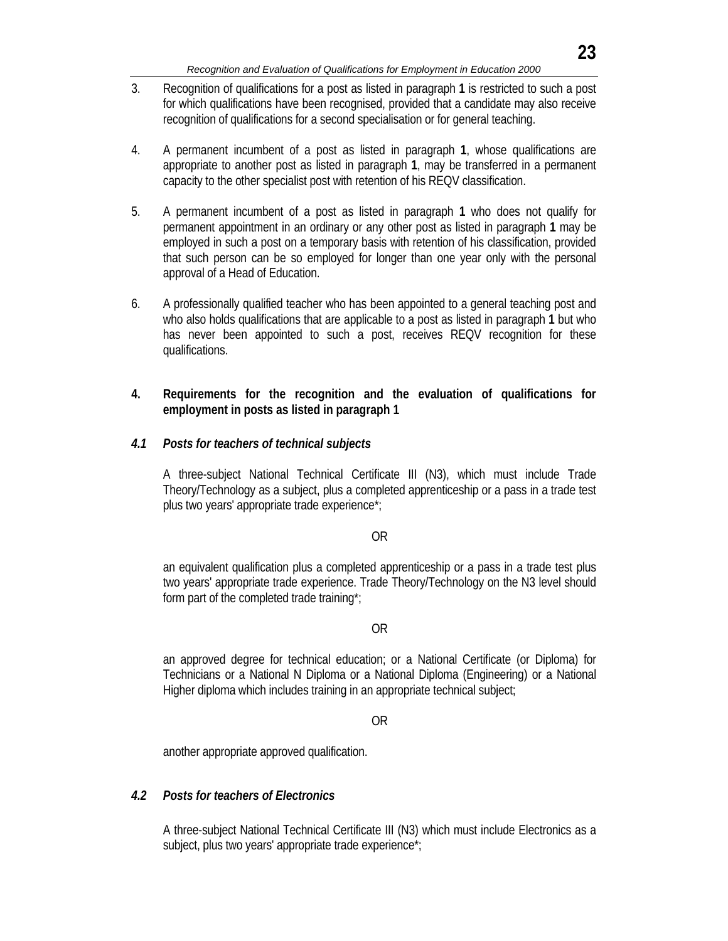- 3. Recognition of qualifications for a post as listed in paragraph **1** is restricted to such a post for which qualifications have been recognised, provided that a candidate may also receive recognition of qualifications for a second specialisation or for general teaching.
- 4. A permanent incumbent of a post as listed in paragraph **1**, whose qualifications are appropriate to another post as listed in paragraph **1**, may be transferred in a permanent capacity to the other specialist post with retention of his REQV classification.
- 5. A permanent incumbent of a post as listed in paragraph **1** who does not qualify for permanent appointment in an ordinary or any other post as listed in paragraph **1** may be employed in such a post on a temporary basis with retention of his classification, provided that such person can be so employed for longer than one year only with the personal approval of a Head of Education.
- 6. A professionally qualified teacher who has been appointed to a general teaching post and who also holds qualifications that are applicable to a post as listed in paragraph **1** but who has never been appointed to such a post, receives REQV recognition for these qualifications.
- **4. Requirements for the recognition and the evaluation of qualifications for employment in posts as listed in paragraph 1**

### *4.1 Posts for teachers of technical subjects*

 A three-subject National Technical Certificate III (N3), which must include Trade Theory/Technology as a subject, plus a completed apprenticeship or a pass in a trade test plus two years' appropriate trade experience\*;

OR

 an equivalent qualification plus a completed apprenticeship or a pass in a trade test plus two years' appropriate trade experience. Trade Theory/Technology on the N3 level should form part of the completed trade training\*;

#### OR

 an approved degree for technical education; or a National Certificate (or Diploma) for Technicians or a National N Diploma or a National Diploma (Engineering) or a National Higher diploma which includes training in an appropriate technical subject;

OR

another appropriate approved qualification.

### *4.2 Posts for teachers of Electronics*

 A three-subject National Technical Certificate III (N3) which must include Electronics as a subject, plus two years' appropriate trade experience\*;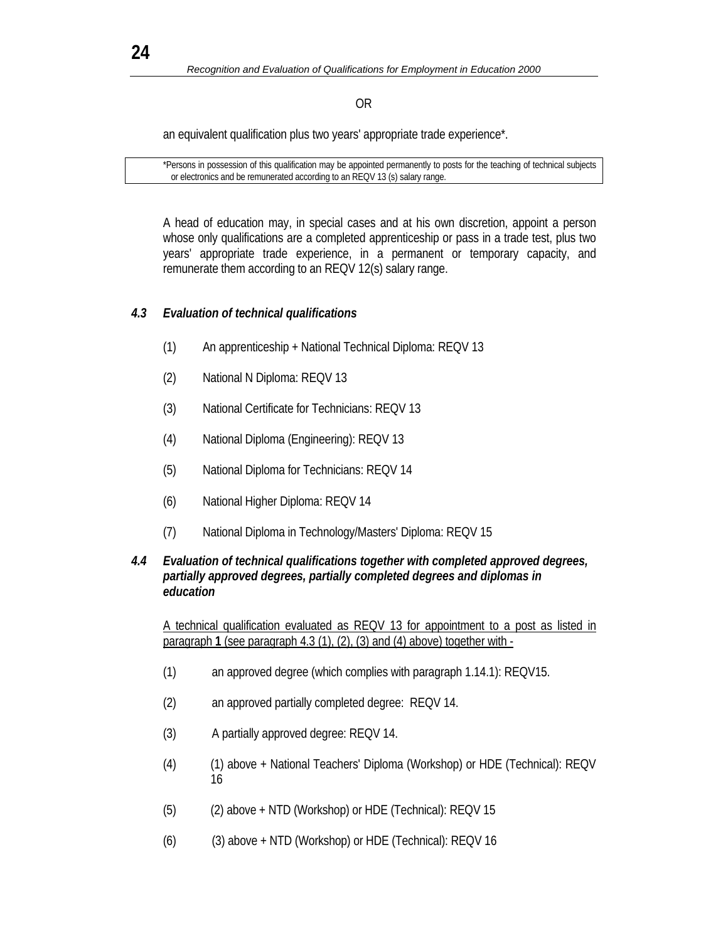### OR

an equivalent qualification plus two years' appropriate trade experience\*.

 \*Persons in possession of this qualification may be appointed permanently to posts for the teaching of technical subjects or electronics and be remunerated according to an REQV 13 (s) salary range.

 A head of education may, in special cases and at his own discretion, appoint a person whose only qualifications are a completed apprenticeship or pass in a trade test, plus two years' appropriate trade experience, in a permanent or temporary capacity, and remunerate them according to an REQV 12(s) salary range.

### *4.3 Evaluation of technical qualifications*

- (1) An apprenticeship + National Technical Diploma: REQV 13
- (2) National N Diploma: REQV 13
- (3) National Certificate for Technicians: REQV 13
- (4) National Diploma (Engineering): REQV 13
- (5) National Diploma for Technicians: REQV 14
- (6) National Higher Diploma: REQV 14
- (7) National Diploma in Technology/Masters' Diploma: REQV 15

#### *4.4 Evaluation of technical qualifications together with completed approved degrees, partially approved degrees, partially completed degrees and diplomas in education*

 A technical qualification evaluated as REQV 13 for appointment to a post as listed in paragraph **1** (see paragraph 4.3 (1), (2), (3) and (4) above) together with -

- (1) an approved degree (which complies with paragraph 1.14.1): REQV15.
- (2) an approved partially completed degree: REQV 14.
- (3) A partially approved degree: REQV 14.
- (4) (1) above + National Teachers' Diploma (Workshop) or HDE (Technical): REQV 16
- (5) (2) above + NTD (Workshop) or HDE (Technical): REQV 15
- (6) (3) above + NTD (Workshop) or HDE (Technical): REQV 16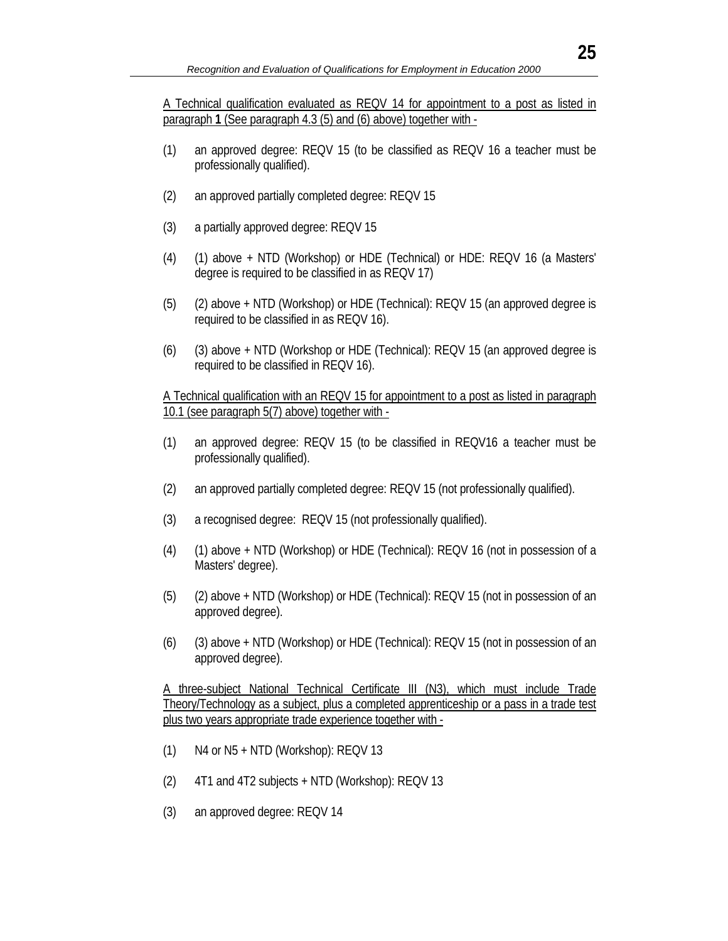A Technical qualification evaluated as REQV 14 for appointment to a post as listed in paragraph **1** (See paragraph 4.3 (5) and (6) above) together with -

- (1) an approved degree: REQV 15 (to be classified as REQV 16 a teacher must be professionally qualified).
- (2) an approved partially completed degree: REQV 15
- (3) a partially approved degree: REQV 15
- (4) (1) above + NTD (Workshop) or HDE (Technical) or HDE: REQV 16 (a Masters' degree is required to be classified in as REQV 17)
- (5) (2) above + NTD (Workshop) or HDE (Technical): REQV 15 (an approved degree is required to be classified in as REQV 16).
- (6) (3) above + NTD (Workshop or HDE (Technical): REQV 15 (an approved degree is required to be classified in REQV 16).

 A Technical qualification with an REQV 15 for appointment to a post as listed in paragraph 10.1 (see paragraph 5(7) above) together with -

- (1) an approved degree: REQV 15 (to be classified in REQV16 a teacher must be professionally qualified).
- (2) an approved partially completed degree: REQV 15 (not professionally qualified).
- (3) a recognised degree: REQV 15 (not professionally qualified).
- (4) (1) above + NTD (Workshop) or HDE (Technical): REQV 16 (not in possession of a Masters' degree).
- (5) (2) above + NTD (Workshop) or HDE (Technical): REQV 15 (not in possession of an approved degree).
- (6) (3) above + NTD (Workshop) or HDE (Technical): REQV 15 (not in possession of an approved degree).

 A three-subject National Technical Certificate III (N3), which must include Trade Theory/Technology as a subject, plus a completed apprenticeship or a pass in a trade test plus two years appropriate trade experience together with -

- (1) N4 or N5 + NTD (Workshop): REQV 13
- (2) 4T1 and 4T2 subjects + NTD (Workshop): REQV 13
- (3) an approved degree: REQV 14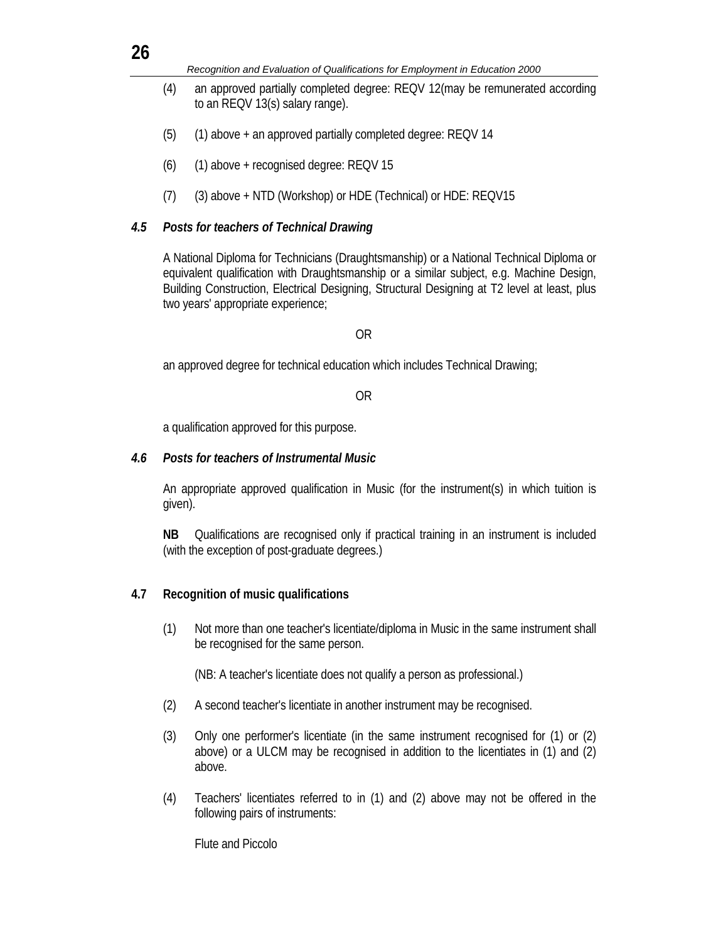| ۰.<br>×<br>v |
|--------------|

*Recognition and Evaluation of Qualifications for Employment in Education 2000* 

- (4) an approved partially completed degree: REQV 12(may be remunerated according to an REQV 13(s) salary range).
- (5) (1) above + an approved partially completed degree: REQV 14
- $(6)$   $(1)$  above + recognised degree: REQV 15
- (7) (3) above + NTD (Workshop) or HDE (Technical) or HDE: REQV15

#### *4.5 Posts for teachers of Technical Drawing*

 A National Diploma for Technicians (Draughtsmanship) or a National Technical Diploma or equivalent qualification with Draughtsmanship or a similar subject, e.g. Machine Design, Building Construction, Electrical Designing, Structural Designing at T2 level at least, plus two years' appropriate experience;

#### OR

an approved degree for technical education which includes Technical Drawing;

#### OR

a qualification approved for this purpose.

#### *4.6 Posts for teachers of Instrumental Music*

 An appropriate approved qualification in Music (for the instrument(s) in which tuition is given).

**NB** Qualifications are recognised only if practical training in an instrument is included (with the exception of post-graduate degrees.)

#### **4.7 Recognition of music qualifications**

 (1) Not more than one teacher's licentiate/diploma in Music in the same instrument shall be recognised for the same person.

(NB: A teacher's licentiate does not qualify a person as professional.)

- (2) A second teacher's licentiate in another instrument may be recognised.
- (3) Only one performer's licentiate (in the same instrument recognised for (1) or (2) above) or a ULCM may be recognised in addition to the licentiates in (1) and (2) above.
- (4) Teachers' licentiates referred to in (1) and (2) above may not be offered in the following pairs of instruments:

Flute and Piccolo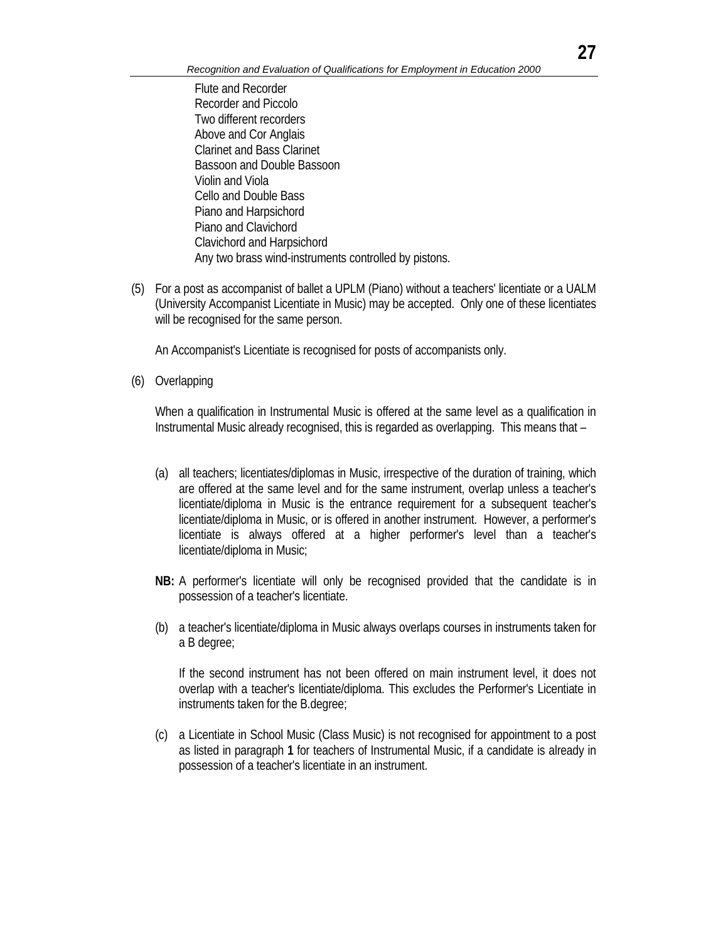Flute and Recorder Recorder and Piccolo Two different recorders Above and Cor Anglais Clarinet and Bass Clarinet Bassoon and Double Bassoon Violin and Viola Cello and Double Bass Piano and Harpsichord Piano and Clavichord Clavichord and Harpsichord Any two brass wind-instruments controlled by pistons.

(5) For a post as accompanist of ballet a UPLM (Piano) without a teachers' licentiate or a UALM (University Accompanist Licentiate in Music) may be accepted. Only one of these licentiates will be recognised for the same person.

An Accompanist's Licentiate is recognised for posts of accompanists only.

(6) Overlapping

 When a qualification in Instrumental Music is offered at the same level as a qualification in Instrumental Music already recognised, this is regarded as overlapping. This means that –

- (a) all teachers; licentiates/diplomas in Music, irrespective of the duration of training, which are offered at the same level and for the same instrument, overlap unless a teacher's licentiate/diploma in Music is the entrance requirement for a subsequent teacher's licentiate/diploma in Music, or is offered in another instrument. However, a performer's licentiate is always offered at a higher performer's level than a teacher's licentiate/diploma in Music;
- **NB:** A performer's licentiate will only be recognised provided that the candidate is in possession of a teacher's licentiate.
- (b) a teacher's licentiate/diploma in Music always overlaps courses in instruments taken for a B degree;

If the second instrument has not been offered on main instrument level, it does not overlap with a teacher's licentiate/diploma. This excludes the Performer's Licentiate in instruments taken for the B.degree;

(c) a Licentiate in School Music (Class Music) is not recognised for appointment to a post as listed in paragraph **1** for teachers of Instrumental Music, if a candidate is already in possession of a teacher's licentiate in an instrument.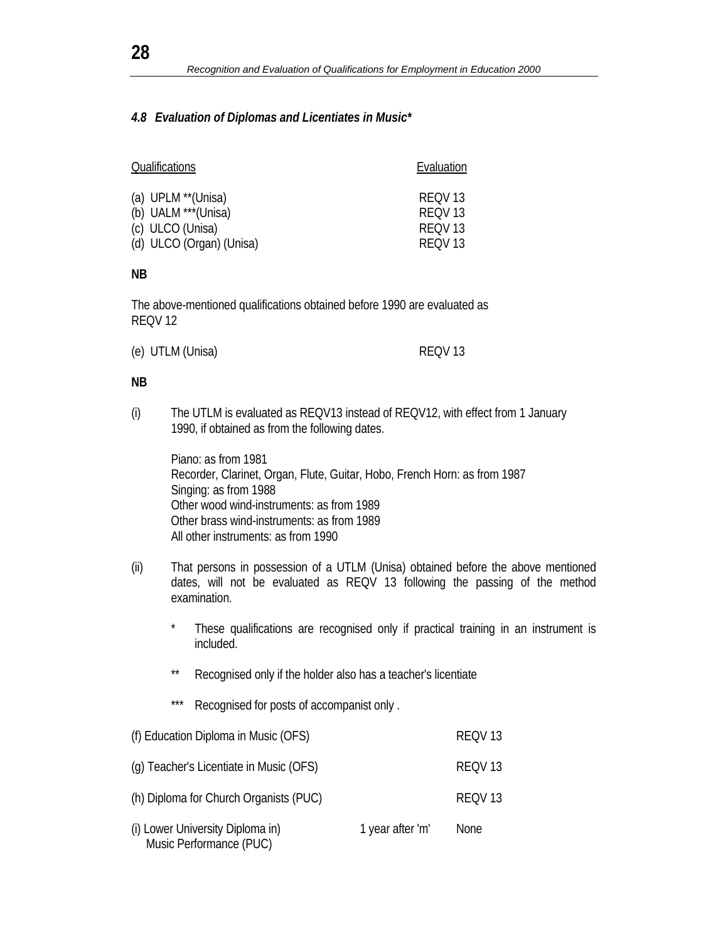#### *4.8 Evaluation of Diplomas and Licentiates in Music\**

| Qualifications           | Evaluation         |
|--------------------------|--------------------|
| (a) UPLM **(Unisa)       | RFOV <sub>13</sub> |
| (b) UALM ***(Unisa)      | RFOV <sub>13</sub> |
| (c) ULCO (Unisa)         | RFOV 13            |
| (d) ULCO (Organ) (Unisa) | REOV <sub>13</sub> |

**NB**

The above-mentioned qualifications obtained before 1990 are evaluated as REQV 12

| (e) UTLM (Unisa) | REQV13 |
|------------------|--------|
|                  |        |

#### **NB**

(i) The UTLM is evaluated as REQV13 instead of REQV12, with effect from 1 January 1990, if obtained as from the following dates.

 Piano: as from 1981 Recorder, Clarinet, Organ, Flute, Guitar, Hobo, French Horn: as from 1987 Singing: as from 1988 Other wood wind-instruments: as from 1989 Other brass wind-instruments: as from 1989 All other instruments: as from 1990

- (ii) That persons in possession of a UTLM (Unisa) obtained before the above mentioned dates, will not be evaluated as REQV 13 following the passing of the method examination.
	- These qualifications are recognised only if practical training in an instrument is included.
	- Recognised only if the holder also has a teacher's licentiate
	- \*\*\* Recognised for posts of accompanist only.

| (f) Education Diploma in Music (OFS)                        |                  | REQV13 |
|-------------------------------------------------------------|------------------|--------|
| (g) Teacher's Licentiate in Music (OFS)                     |                  | REQV13 |
| (h) Diploma for Church Organists (PUC)                      |                  | REQV13 |
| (i) Lower University Diploma in)<br>Music Performance (PUC) | 1 year after 'm' | None   |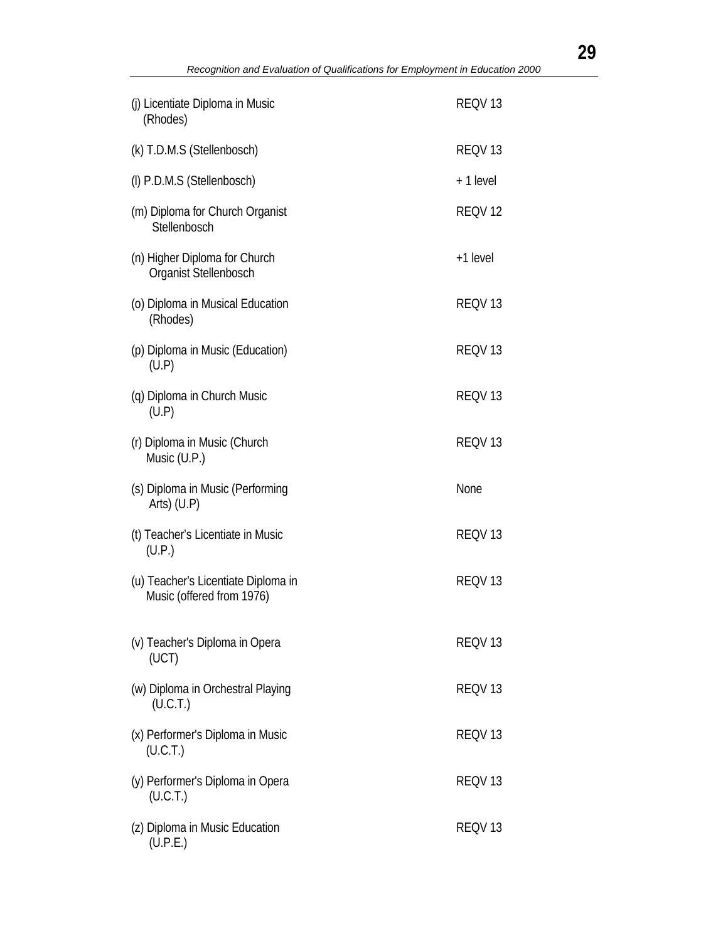| (j) Licentiate Diploma in Music<br>(Rhodes)                      | REQV <sub>13</sub> |
|------------------------------------------------------------------|--------------------|
| (k) T.D.M.S (Stellenbosch)                                       | REQV <sub>13</sub> |
| (I) P.D.M.S (Stellenbosch)                                       | +1 level           |
| (m) Diploma for Church Organist<br>Stellenbosch                  | REQV <sub>12</sub> |
| (n) Higher Diploma for Church<br>Organist Stellenbosch           | +1 level           |
| (o) Diploma in Musical Education<br>(Rhodes)                     | REQV <sub>13</sub> |
| (p) Diploma in Music (Education)<br>(U.P)                        | REQV <sub>13</sub> |
| (q) Diploma in Church Music<br>(U.P)                             | REQV <sub>13</sub> |
| (r) Diploma in Music (Church<br>Music (U.P.)                     | REQV <sub>13</sub> |
| (s) Diploma in Music (Performing                                 | None               |
| Arts) $(U.P)$                                                    |                    |
| (t) Teacher's Licentiate in Music<br>(U.P.)                      | REQV <sub>13</sub> |
| (u) Teacher's Licentiate Diploma in<br>Music (offered from 1976) | REQV <sub>13</sub> |
| (v) Teacher's Diploma in Opera<br>(UCT)                          | REQV <sub>13</sub> |
| (w) Diploma in Orchestral Playing<br>(U.C.T.)                    | REQV <sub>13</sub> |
| (x) Performer's Diploma in Music<br>(U.C.T.)                     | REQV <sub>13</sub> |
| (y) Performer's Diploma in Opera<br>(U.C.T.)                     | REQV <sub>13</sub> |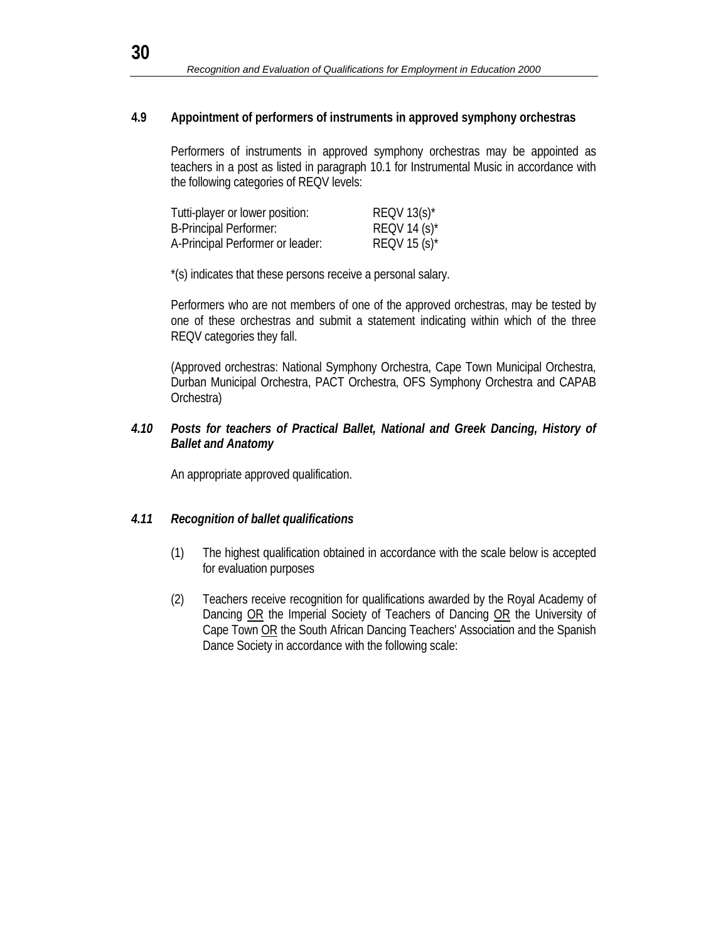#### **4.9 Appointment of performers of instruments in approved symphony orchestras**

 Performers of instruments in approved symphony orchestras may be appointed as teachers in a post as listed in paragraph 10.1 for Instrumental Music in accordance with the following categories of REQV levels:

| Tutti-player or lower position:  | REQV $13(s)^*$  |
|----------------------------------|-----------------|
| <b>B-Principal Performer:</b>    | REQV 14 $(s)^*$ |
| A-Principal Performer or leader: | REQV 15 $(s)^*$ |

\*(s) indicates that these persons receive a personal salary.

 Performers who are not members of one of the approved orchestras, may be tested by one of these orchestras and submit a statement indicating within which of the three REQV categories they fall.

 (Approved orchestras: National Symphony Orchestra, Cape Town Municipal Orchestra, Durban Municipal Orchestra, PACT Orchestra, OFS Symphony Orchestra and CAPAB Orchestra)

#### *4.10 Posts for teachers of Practical Ballet, National and Greek Dancing, History of Ballet and Anatomy*

An appropriate approved qualification.

### *4.11 Recognition of ballet qualifications*

- (1) The highest qualification obtained in accordance with the scale below is accepted for evaluation purposes
- (2) Teachers receive recognition for qualifications awarded by the Royal Academy of Dancing OR the Imperial Society of Teachers of Dancing OR the University of Cape Town OR the South African Dancing Teachers' Association and the Spanish Dance Society in accordance with the following scale: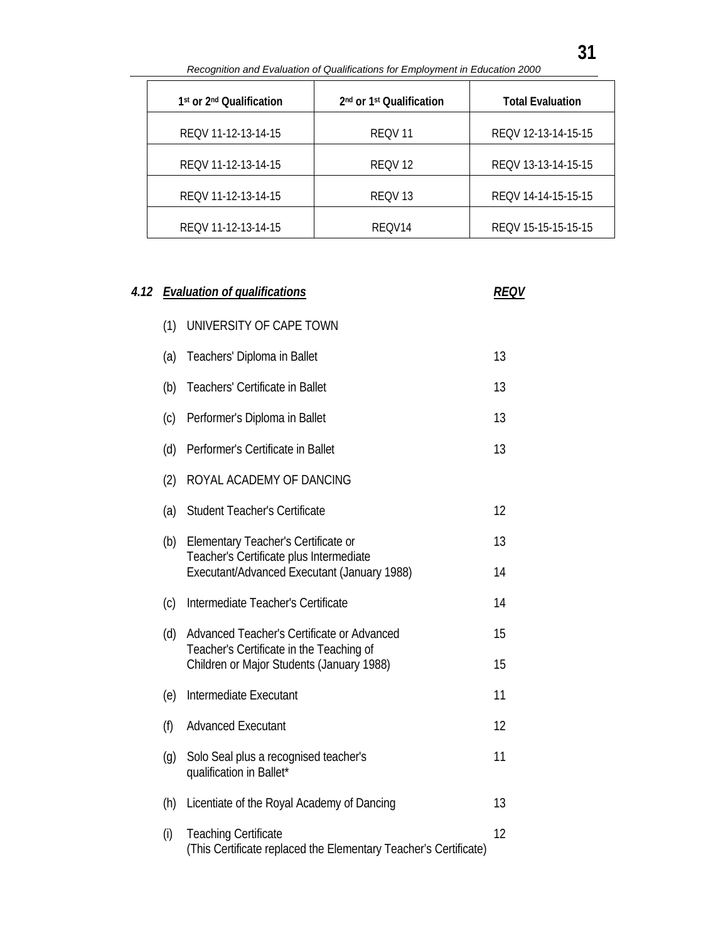| Recognition and Evaluation of Qualifications for Employment in Education 2000 |                                                  |                         |  |
|-------------------------------------------------------------------------------|--------------------------------------------------|-------------------------|--|
| 1 <sup>st</sup> or 2 <sup>nd</sup> Qualification                              | 2 <sup>nd</sup> or 1 <sup>st</sup> Qualification | <b>Total Evaluation</b> |  |
| REQV 11-12-13-14-15                                                           | REOV <sub>11</sub>                               | REQV 12-13-14-15-15     |  |
| REQV 11-12-13-14-15                                                           | REOV <sub>12</sub>                               | REQV 13-13-14-15-15     |  |
| REQV 11-12-13-14-15                                                           | REOV <sub>13</sub>                               | REOV 14-14-15-15-15     |  |
| REQV 11-12-13-14-15                                                           | RFOV <sub>14</sub>                               | REQV 15-15-15-15-15     |  |

| 4.12 |     | <b>Evaluation of qualifications</b>                                                             | REQV |
|------|-----|-------------------------------------------------------------------------------------------------|------|
|      | (1) | UNIVERSITY OF CAPE TOWN                                                                         |      |
|      | (a) | Teachers' Diploma in Ballet                                                                     | 13   |
|      | (b) | Teachers' Certificate in Ballet                                                                 | 13   |
|      | (c) | Performer's Diploma in Ballet                                                                   | 13   |
|      | (d) | Performer's Certificate in Ballet                                                               | 13   |
|      | (2) | ROYAL ACADEMY OF DANCING                                                                        |      |
|      | (a) | <b>Student Teacher's Certificate</b>                                                            | 12   |
|      | (b) | Elementary Teacher's Certificate or<br>Teacher's Certificate plus Intermediate                  | 13   |
|      |     | Executant/Advanced Executant (January 1988)                                                     | 14   |
|      | (c) | Intermediate Teacher's Certificate                                                              | 14   |
|      | (d) | Advanced Teacher's Certificate or Advanced<br>Teacher's Certificate in the Teaching of          | 15   |
|      |     | Children or Major Students (January 1988)                                                       | 15   |
|      | (e) | Intermediate Executant                                                                          | 11   |
|      | (f) | <b>Advanced Executant</b>                                                                       | 12   |
|      | (g) | Solo Seal plus a recognised teacher's<br>qualification in Ballet*                               | 11   |
|      | (h) | Licentiate of the Royal Academy of Dancing                                                      | 13   |
|      | (i) | <b>Teaching Certificate</b><br>(This Certificate replaced the Elementary Teacher's Certificate) | 12   |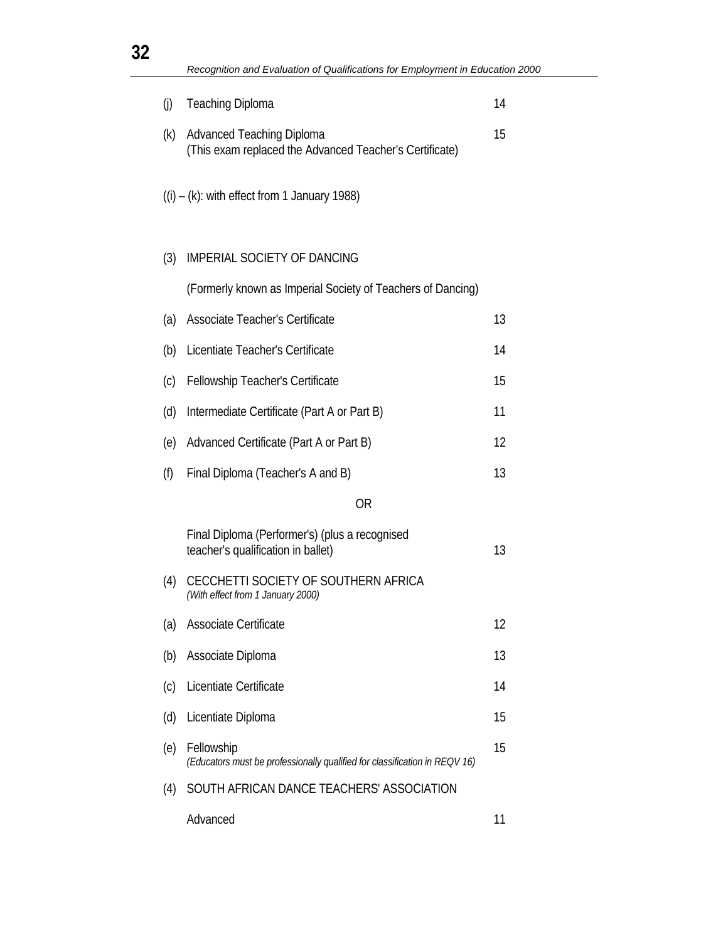| 32 |     | Recognition and Evaluation of Qualifications for Employment in Education 2000               |    |
|----|-----|---------------------------------------------------------------------------------------------|----|
|    | (i) | <b>Teaching Diploma</b>                                                                     | 14 |
|    |     |                                                                                             |    |
|    | (k) | <b>Advanced Teaching Diploma</b><br>(This exam replaced the Advanced Teacher's Certificate) | 15 |
|    |     | $((i) - (k):$ with effect from 1 January 1988)                                              |    |
|    | (3) | <b>IMPERIAL SOCIETY OF DANCING</b>                                                          |    |
|    |     | (Formerly known as Imperial Society of Teachers of Dancing)                                 |    |
|    | (a) | Associate Teacher's Certificate                                                             | 13 |
|    | (b) | Licentiate Teacher's Certificate                                                            | 14 |
|    | (c) | Fellowship Teacher's Certificate                                                            | 15 |
|    | (d) | Intermediate Certificate (Part A or Part B)                                                 | 11 |
|    | (e) | Advanced Certificate (Part A or Part B)                                                     | 12 |
|    | (f) | Final Diploma (Teacher's A and B)                                                           | 13 |
|    |     | <b>OR</b>                                                                                   |    |
|    |     | Final Diploma (Performer's) (plus a recognised<br>teacher's qualification in ballet)        | 13 |
|    |     | (4) CECCHETTI SOCIETY OF SOUTHERN AFRICA<br>(With effect from 1 January 2000)               |    |
|    | (a) | Associate Certificate                                                                       | 12 |
|    | (b) | Associate Diploma                                                                           | 13 |
|    | (c) | Licentiate Certificate                                                                      | 14 |
|    | (d) | Licentiate Diploma                                                                          | 15 |
|    | (e) | Fellowship<br>(Educators must be professionally qualified for classification in REQV 16)    | 15 |
|    | (4) | SOUTH AFRICAN DANCE TEACHERS' ASSOCIATION                                                   |    |
|    |     | Advanced                                                                                    | 11 |

**32**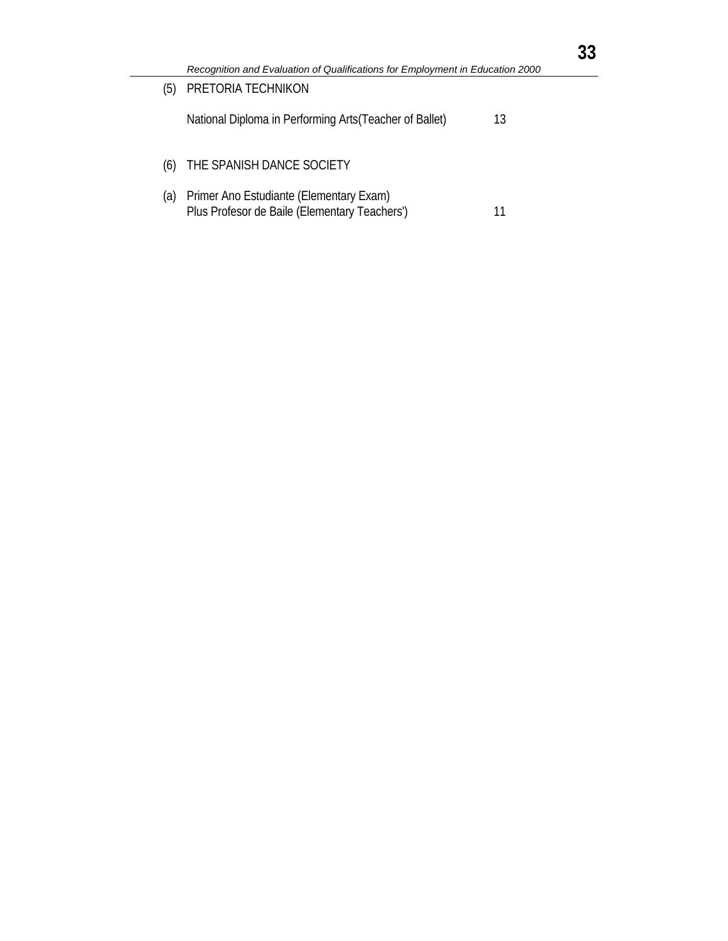| (5) | PRETORIA TECHNIKON                                                                       |    |
|-----|------------------------------------------------------------------------------------------|----|
|     | National Diploma in Performing Arts (Teacher of Ballet)                                  | 13 |
| (6) | THE SPANISH DANCE SOCIETY                                                                |    |
| (a) | Primer Ano Estudiante (Elementary Exam)<br>Plus Profesor de Baile (Elementary Teachers') |    |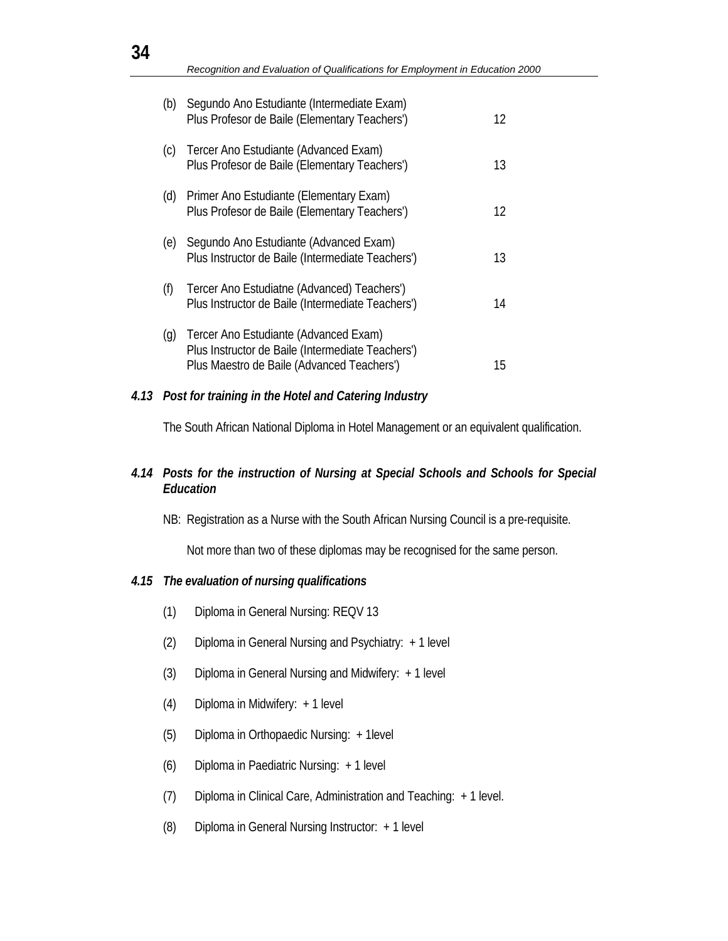| (b)                | Segundo Ano Estudiante (Intermediate Exam)<br>Plus Profesor de Baile (Elementary Teachers')                                              | 12 |
|--------------------|------------------------------------------------------------------------------------------------------------------------------------------|----|
| (c)                | Tercer Ano Estudiante (Advanced Exam)<br>Plus Profesor de Baile (Elementary Teachers')                                                   | 13 |
| (d)                | Primer Ano Estudiante (Elementary Exam)<br>Plus Profesor de Baile (Elementary Teachers')                                                 | 12 |
| (e)                | Segundo Ano Estudiante (Advanced Exam)<br>Plus Instructor de Baile (Intermediate Teachers')                                              | 13 |
| (f)                | Tercer Ano Estudiatne (Advanced) Teachers')<br>Plus Instructor de Baile (Intermediate Teachers')                                         | 14 |
| $\left( 9 \right)$ | Tercer Ano Estudiante (Advanced Exam)<br>Plus Instructor de Baile (Intermediate Teachers')<br>Plus Maestro de Baile (Advanced Teachers') | 15 |

#### *4.13 Post for training in the Hotel and Catering Industry*

The South African National Diploma in Hotel Management or an equivalent qualification.

### *4.14 Posts for the instruction of Nursing at Special Schools and Schools for Special Education*

NB: Registration as a Nurse with the South African Nursing Council is a pre-requisite.

Not more than two of these diplomas may be recognised for the same person.

### *4.15 The evaluation of nursing qualifications*

- (1) Diploma in General Nursing: REQV 13
- (2) Diploma in General Nursing and Psychiatry: + 1 level
- (3) Diploma in General Nursing and Midwifery: + 1 level
- (4) Diploma in Midwifery: + 1 level
- (5) Diploma in Orthopaedic Nursing: + 1level
- (6) Diploma in Paediatric Nursing: + 1 level
- (7) Diploma in Clinical Care, Administration and Teaching: + 1 level.
- (8) Diploma in General Nursing Instructor: + 1 level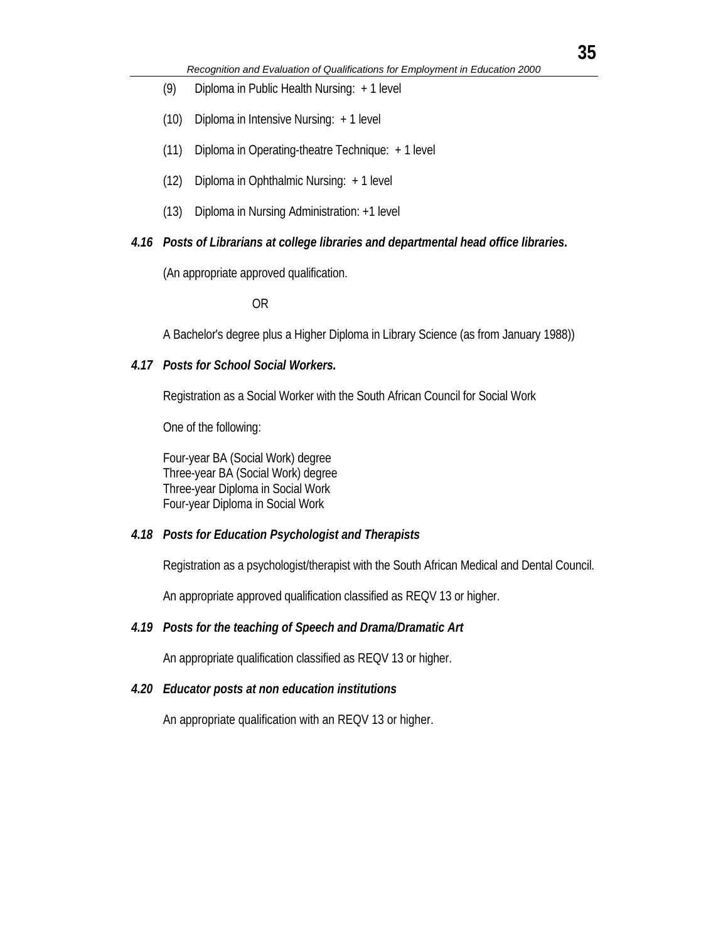- (9) Diploma in Public Health Nursing: + 1 level
- (10) Diploma in Intensive Nursing: + 1 level
- (11) Diploma in Operating-theatre Technique: + 1 level
- (12) Diploma in Ophthalmic Nursing: + 1 level
- (13) Diploma in Nursing Administration: +1 level

#### *4.16 Posts of Librarians at college libraries and departmental head office libraries.*

(An appropriate approved qualification.

OR

A Bachelor's degree plus a Higher Diploma in Library Science (as from January 1988))

#### *4.17 Posts for School Social Workers.*

Registration as a Social Worker with the South African Council for Social Work

One of the following:

Four-year BA (Social Work) degree Three-year BA (Social Work) degree Three-year Diploma in Social Work Four-year Diploma in Social Work

#### *4.18 Posts for Education Psychologist and Therapists*

Registration as a psychologist/therapist with the South African Medical and Dental Council.

An appropriate approved qualification classified as REQV 13 or higher.

#### *4.19 Posts for the teaching of Speech and Drama/Dramatic Art*

An appropriate qualification classified as REQV 13 or higher.

#### *4.20 Educator posts at non education institutions*

An appropriate qualification with an REQV 13 or higher.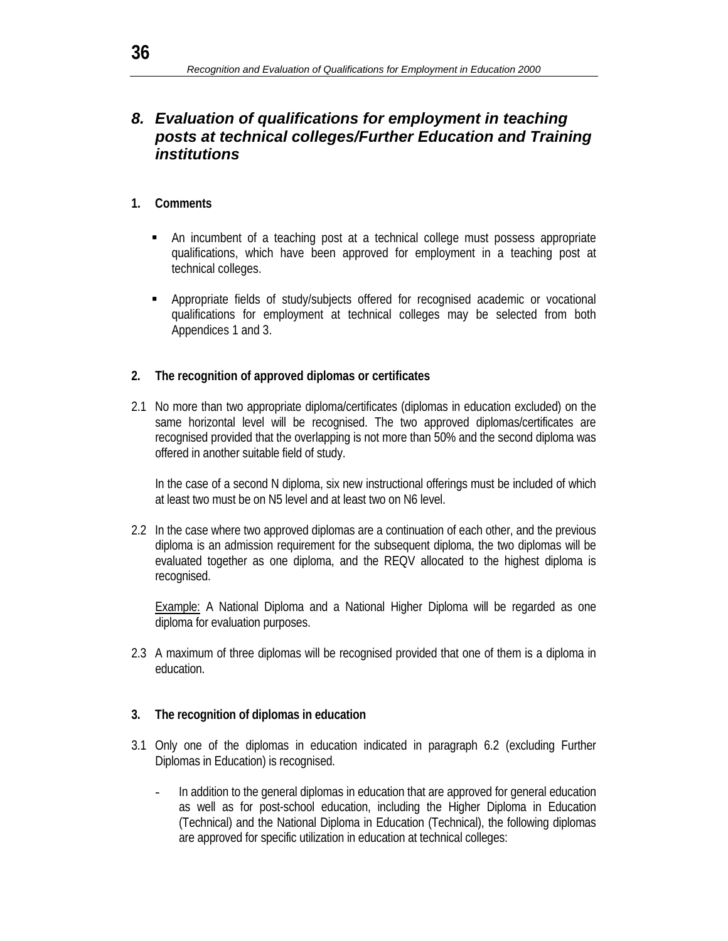## *8. Evaluation of qualifications for employment in teaching posts at technical colleges/Further Education and Training institutions*

### **1. Comments**

- An incumbent of a teaching post at a technical college must possess appropriate qualifications, which have been approved for employment in a teaching post at technical colleges.
- Appropriate fields of study/subjects offered for recognised academic or vocational qualifications for employment at technical colleges may be selected from both Appendices 1 and 3.

### **2. The recognition of approved diplomas or certificates**

2.1 No more than two appropriate diploma/certificates (diplomas in education excluded) on the same horizontal level will be recognised. The two approved diplomas/certificates are recognised provided that the overlapping is not more than 50% and the second diploma was offered in another suitable field of study.

 In the case of a second N diploma, six new instructional offerings must be included of which at least two must be on N5 level and at least two on N6 level.

2.2 In the case where two approved diplomas are a continuation of each other, and the previous diploma is an admission requirement for the subsequent diploma, the two diplomas will be evaluated together as one diploma, and the REQV allocated to the highest diploma is recognised.

**Example:** A National Diploma and a National Higher Diploma will be regarded as one diploma for evaluation purposes.

2.3 A maximum of three diplomas will be recognised provided that one of them is a diploma in education.

### **3. The recognition of diplomas in education**

- 3.1 Only one of the diplomas in education indicated in paragraph 6.2 (excluding Further Diplomas in Education) is recognised.
	- In addition to the general diplomas in education that are approved for general education as well as for post-school education, including the Higher Diploma in Education (Technical) and the National Diploma in Education (Technical), the following diplomas are approved for specific utilization in education at technical colleges: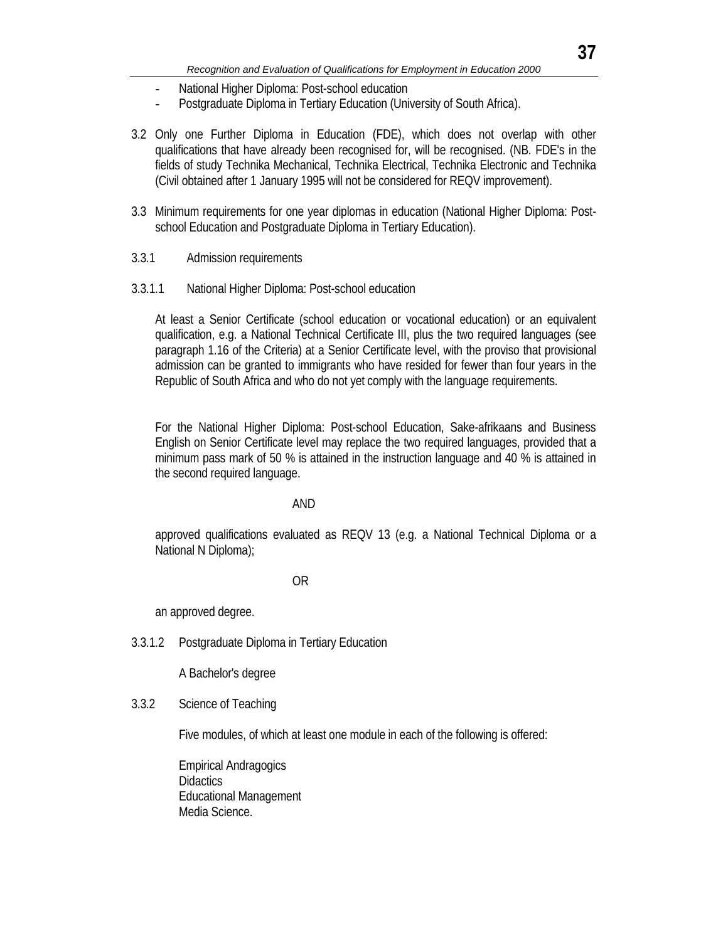- National Higher Diploma: Post-school education
- Postgraduate Diploma in Tertiary Education (University of South Africa).
- 3.2 Only one Further Diploma in Education (FDE), which does not overlap with other qualifications that have already been recognised for, will be recognised. (NB. FDE's in the fields of study Technika Mechanical, Technika Electrical, Technika Electronic and Technika (Civil obtained after 1 January 1995 will not be considered for REQV improvement).
- 3.3 Minimum requirements for one year diplomas in education (National Higher Diploma: Postschool Education and Postgraduate Diploma in Tertiary Education).
- 3.3.1 Admission requirements
- 3.3.1.1 National Higher Diploma: Post-school education

 At least a Senior Certificate (school education or vocational education) or an equivalent qualification, e.g. a National Technical Certificate III, plus the two required languages (see paragraph 1.16 of the Criteria) at a Senior Certificate level, with the proviso that provisional admission can be granted to immigrants who have resided for fewer than four years in the Republic of South Africa and who do not yet comply with the language requirements.

 For the National Higher Diploma: Post-school Education, Sake-afrikaans and Business English on Senior Certificate level may replace the two required languages, provided that a minimum pass mark of 50 % is attained in the instruction language and 40 % is attained in the second required language.

#### AND

 approved qualifications evaluated as REQV 13 (e.g. a National Technical Diploma or a National N Diploma);

#### **OR** STREET STREET AND THE STREET STREET STREET AND THE STREET STREET STREET AND THE STREET STREET STREET AND THE STREET AND THE STREET AND THE STREET AND THE STREET AND THE STREET AND THE STREET AND THE STREET AND THE STR

an approved degree.

3.3.1.2 Postgraduate Diploma in Tertiary Education

A Bachelor's degree

### 3.3.2 Science of Teaching

Five modules, of which at least one module in each of the following is offered:

 Empirical Andragogics **Didactics**  Educational Management Media Science.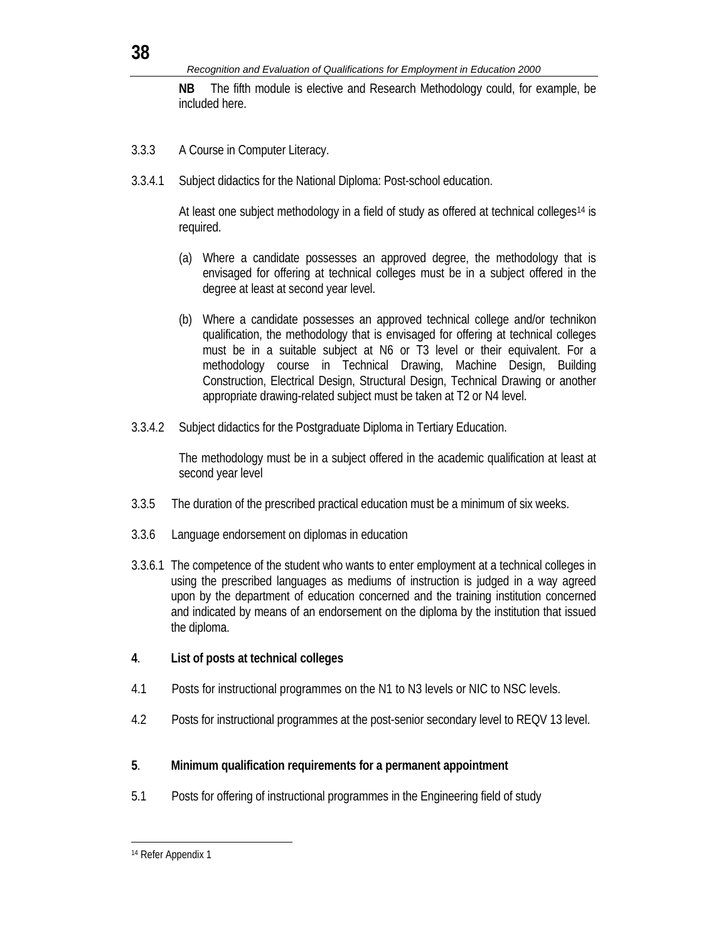**NB** The fifth module is elective and Research Methodology could, for example, be included here.

- 3.3.3 A Course in Computer Literacy.
- 3.3.4.1 Subject didactics for the National Diploma: Post-school education.

 At least one subject methodology in a field of study as offered at technical colleges14 is required.

- (a) Where a candidate possesses an approved degree, the methodology that is envisaged for offering at technical colleges must be in a subject offered in the degree at least at second year level.
- (b) Where a candidate possesses an approved technical college and/or technikon qualification, the methodology that is envisaged for offering at technical colleges must be in a suitable subject at N6 or T3 level or their equivalent. For a methodology course in Technical Drawing, Machine Design, Building Construction, Electrical Design, Structural Design, Technical Drawing or another appropriate drawing-related subject must be taken at T2 or N4 level.
- 3.3.4.2 Subject didactics for the Postgraduate Diploma in Tertiary Education.

 The methodology must be in a subject offered in the academic qualification at least at second year level

- 3.3.5 The duration of the prescribed practical education must be a minimum of six weeks.
- 3.3.6 Language endorsement on diplomas in education
- 3.3.6.1 The competence of the student who wants to enter employment at a technical colleges in using the prescribed languages as mediums of instruction is judged in a way agreed upon by the department of education concerned and the training institution concerned and indicated by means of an endorsement on the diploma by the institution that issued the diploma.
- **4**. **List of posts at technical colleges**
- 4.1 Posts for instructional programmes on the N1 to N3 levels or NIC to NSC levels.
- 4.2 Posts for instructional programmes at the post-senior secondary level to REQV 13 level.

### **5**. **Minimum qualification requirements for a permanent appointment**

5.1 Posts for offering of instructional programmes in the Engineering field of study

l 14 Refer Appendix 1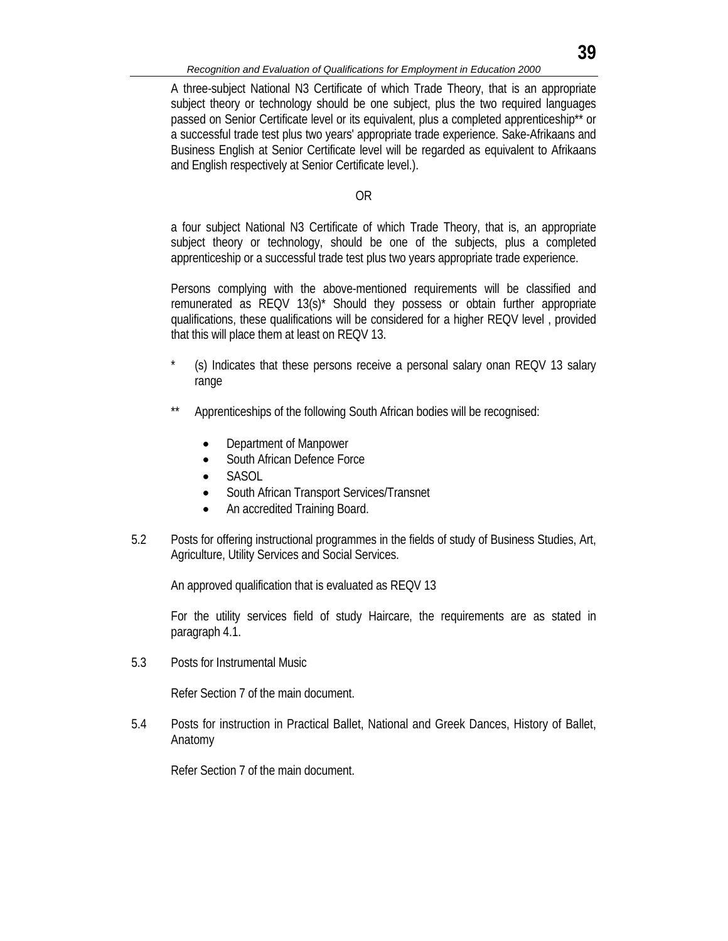A three-subject National N3 Certificate of which Trade Theory, that is an appropriate subject theory or technology should be one subject, plus the two required languages passed on Senior Certificate level or its equivalent, plus a completed apprenticeship\*\* or a successful trade test plus two years' appropriate trade experience. Sake-Afrikaans and Business English at Senior Certificate level will be regarded as equivalent to Afrikaans and English respectively at Senior Certificate level.).

#### OR

 a four subject National N3 Certificate of which Trade Theory, that is, an appropriate subject theory or technology, should be one of the subjects, plus a completed apprenticeship or a successful trade test plus two years appropriate trade experience.

 Persons complying with the above-mentioned requirements will be classified and remunerated as REQV 13(s)\* Should they possess or obtain further appropriate qualifications, these qualifications will be considered for a higher REQV level , provided that this will place them at least on REQV 13.

- (s) Indicates that these persons receive a personal salary onan REQV 13 salary range
- Apprenticeships of the following South African bodies will be recognised:
	- Department of Manpower
	- South African Defence Force
	- SASOL
	- South African Transport Services/Transnet
	- An accredited Training Board.
- 5.2 Posts for offering instructional programmes in the fields of study of Business Studies, Art, Agriculture, Utility Services and Social Services.

An approved qualification that is evaluated as REQV 13

 For the utility services field of study Haircare, the requirements are as stated in paragraph 4.1.

5.3 Posts for Instrumental Music

Refer Section 7 of the main document.

5.4 Posts for instruction in Practical Ballet, National and Greek Dances, History of Ballet, Anatomy

Refer Section 7 of the main document.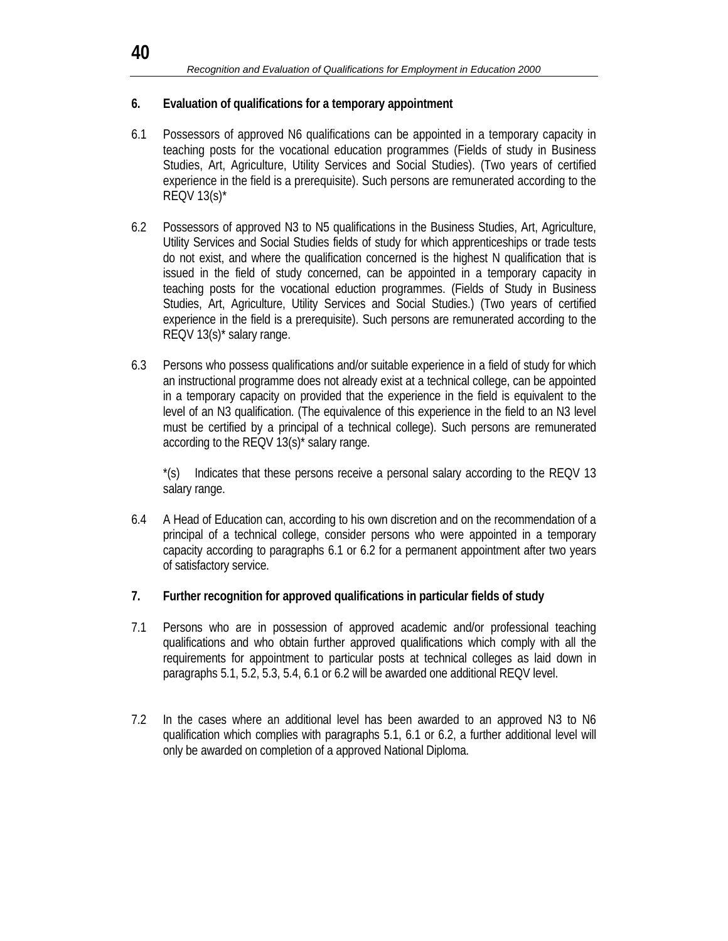### **6. Evaluation of qualifications for a temporary appointment**

- 6.1 Possessors of approved N6 qualifications can be appointed in a temporary capacity in teaching posts for the vocational education programmes (Fields of study in Business Studies, Art, Agriculture, Utility Services and Social Studies). (Two years of certified experience in the field is a prerequisite). Such persons are remunerated according to the REQV 13(s)\*
- 6.2 Possessors of approved N3 to N5 qualifications in the Business Studies, Art, Agriculture, Utility Services and Social Studies fields of study for which apprenticeships or trade tests do not exist, and where the qualification concerned is the highest N qualification that is issued in the field of study concerned, can be appointed in a temporary capacity in teaching posts for the vocational eduction programmes. (Fields of Study in Business Studies, Art, Agriculture, Utility Services and Social Studies.) (Two years of certified experience in the field is a prerequisite). Such persons are remunerated according to the REQV 13(s)\* salary range.
- 6.3 Persons who possess qualifications and/or suitable experience in a field of study for which an instructional programme does not already exist at a technical college, can be appointed in a temporary capacity on provided that the experience in the field is equivalent to the level of an N3 qualification. (The equivalence of this experience in the field to an N3 level must be certified by a principal of a technical college). Such persons are remunerated according to the REQV 13(s)\* salary range.

 \*(s) Indicates that these persons receive a personal salary according to the REQV 13 salary range.

- 6.4 A Head of Education can, according to his own discretion and on the recommendation of a principal of a technical college, consider persons who were appointed in a temporary capacity according to paragraphs 6.1 or 6.2 for a permanent appointment after two years of satisfactory service.
- **7. Further recognition for approved qualifications in particular fields of study**
- 7.1 Persons who are in possession of approved academic and/or professional teaching qualifications and who obtain further approved qualifications which comply with all the requirements for appointment to particular posts at technical colleges as laid down in paragraphs 5.1, 5.2, 5.3, 5.4, 6.1 or 6.2 will be awarded one additional REQV level.
- 7.2 In the cases where an additional level has been awarded to an approved N3 to N6 qualification which complies with paragraphs 5.1, 6.1 or 6.2, a further additional level will only be awarded on completion of a approved National Diploma.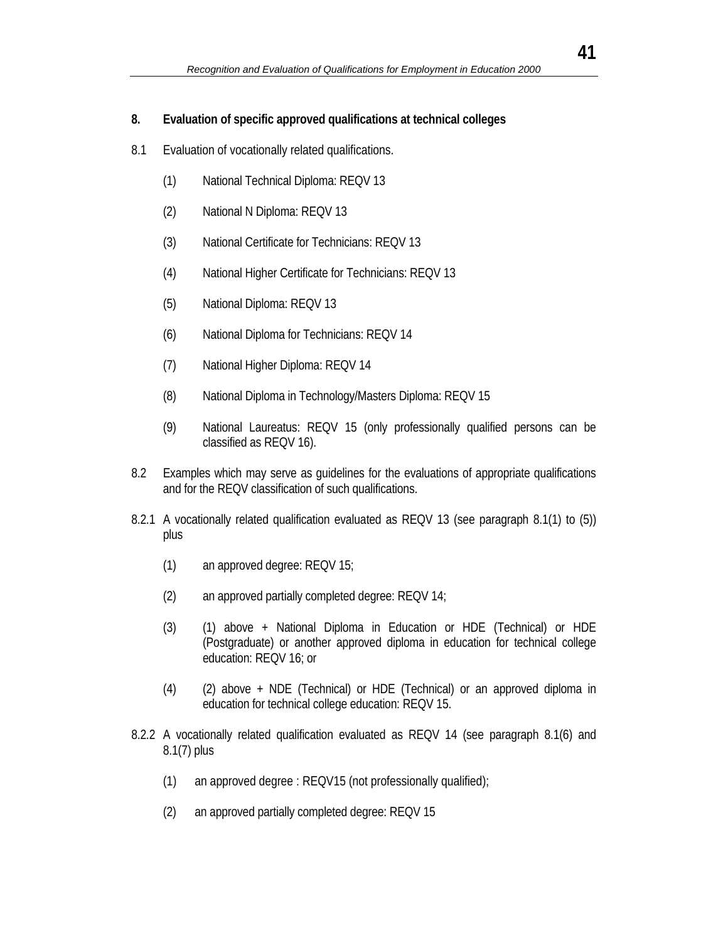#### **8. Evaluation of specific approved qualifications at technical colleges**

- 8.1 Evaluation of vocationally related qualifications.
	- (1) National Technical Diploma: REQV 13
	- (2) National N Diploma: REQV 13
	- (3) National Certificate for Technicians: REQV 13
	- (4) National Higher Certificate for Technicians: REQV 13
	- (5) National Diploma: REQV 13
	- (6) National Diploma for Technicians: REQV 14
	- (7) National Higher Diploma: REQV 14
	- (8) National Diploma in Technology/Masters Diploma: REQV 15
	- (9) National Laureatus: REQV 15 (only professionally qualified persons can be classified as REQV 16).
- 8.2 Examples which may serve as guidelines for the evaluations of appropriate qualifications and for the REQV classification of such qualifications.
- 8.2.1 A vocationally related qualification evaluated as REQV 13 (see paragraph 8.1(1) to (5)) plus
	- (1) an approved degree: REQV 15;
	- (2) an approved partially completed degree: REQV 14;
	- (3) (1) above + National Diploma in Education or HDE (Technical) or HDE (Postgraduate) or another approved diploma in education for technical college education: REQV 16; or
	- (4) (2) above + NDE (Technical) or HDE (Technical) or an approved diploma in education for technical college education: REQV 15.
- 8.2.2 A vocationally related qualification evaluated as REQV 14 (see paragraph 8.1(6) and 8.1(7) plus
	- (1) an approved degree : REQV15 (not professionally qualified);
	- (2) an approved partially completed degree: REQV 15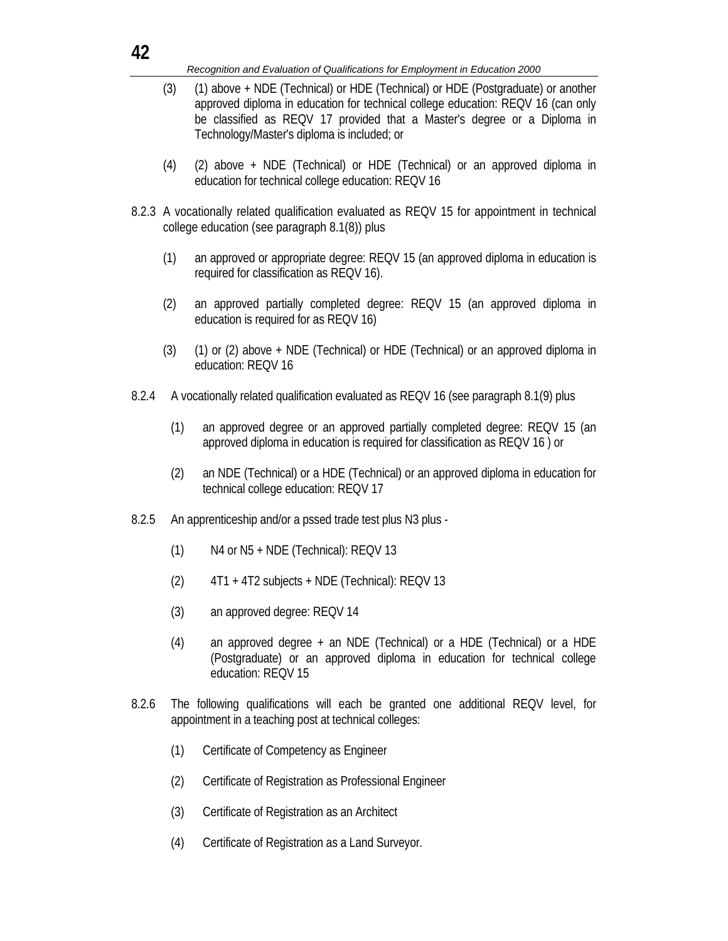- (3) (1) above + NDE (Technical) or HDE (Technical) or HDE (Postgraduate) or another approved diploma in education for technical college education: REQV 16 (can only be classified as REQV 17 provided that a Master's degree or a Diploma in Technology/Master's diploma is included; or
- (4) (2) above + NDE (Technical) or HDE (Technical) or an approved diploma in education for technical college education: REQV 16
- 8.2.3 A vocationally related qualification evaluated as REQV 15 for appointment in technical college education (see paragraph 8.1(8)) plus
	- (1) an approved or appropriate degree: REQV 15 (an approved diploma in education is required for classification as REQV 16).
	- (2) an approved partially completed degree: REQV 15 (an approved diploma in education is required for as REQV 16)
	- (3) (1) or (2) above + NDE (Technical) or HDE (Technical) or an approved diploma in education: REQV 16
- 8.2.4 A vocationally related qualification evaluated as REQV 16 (see paragraph 8.1(9) plus
	- (1) an approved degree or an approved partially completed degree: REQV 15 (an approved diploma in education is required for classification as REQV 16 ) or
	- (2) an NDE (Technical) or a HDE (Technical) or an approved diploma in education for technical college education: REQV 17
- 8.2.5 An apprenticeship and/or a pssed trade test plus N3 plus -
	- (1) N4 or N5 + NDE (Technical): REQV 13
	- (2) 4T1 + 4T2 subjects + NDE (Technical): REQV 13
	- (3) an approved degree: REQV 14
	- (4) an approved degree + an NDE (Technical) or a HDE (Technical) or a HDE (Postgraduate) or an approved diploma in education for technical college education: REQV 15
- 8.2.6 The following qualifications will each be granted one additional REQV level, for appointment in a teaching post at technical colleges:
	- (1) Certificate of Competency as Engineer
	- (2) Certificate of Registration as Professional Engineer
	- (3) Certificate of Registration as an Architect
	- (4) Certificate of Registration as a Land Surveyor.

**42**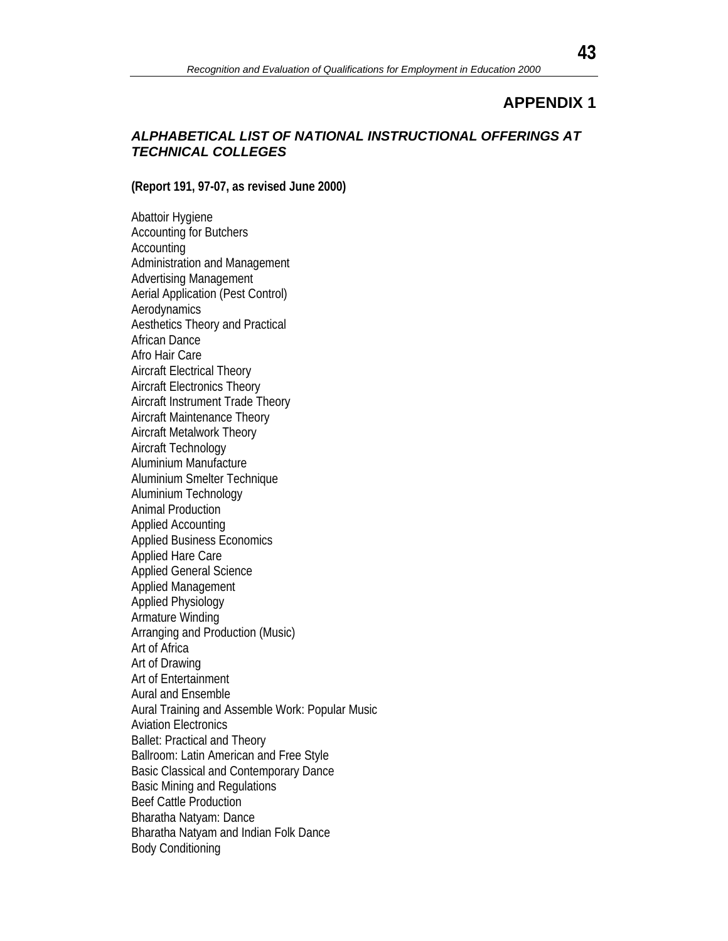#### *ALPHABETICAL LIST OF NATIONAL INSTRUCTIONAL OFFERINGS AT TECHNICAL COLLEGES*

**(Report 191, 97-07, as revised June 2000)**

Abattoir Hygiene Accounting for Butchers **Accounting** Administration and Management Advertising Management Aerial Application (Pest Control) Aerodynamics Aesthetics Theory and Practical African Dance Afro Hair Care Aircraft Electrical Theory Aircraft Electronics Theory Aircraft Instrument Trade Theory Aircraft Maintenance Theory Aircraft Metalwork Theory Aircraft Technology Aluminium Manufacture Aluminium Smelter Technique Aluminium Technology Animal Production Applied Accounting Applied Business Economics Applied Hare Care Applied General Science Applied Management Applied Physiology Armature Winding Arranging and Production (Music) Art of Africa Art of Drawing Art of Entertainment Aural and Ensemble Aural Training and Assemble Work: Popular Music Aviation Electronics Ballet: Practical and Theory Ballroom: Latin American and Free Style Basic Classical and Contemporary Dance Basic Mining and Regulations Beef Cattle Production Bharatha Natyam: Dance Bharatha Natyam and Indian Folk Dance Body Conditioning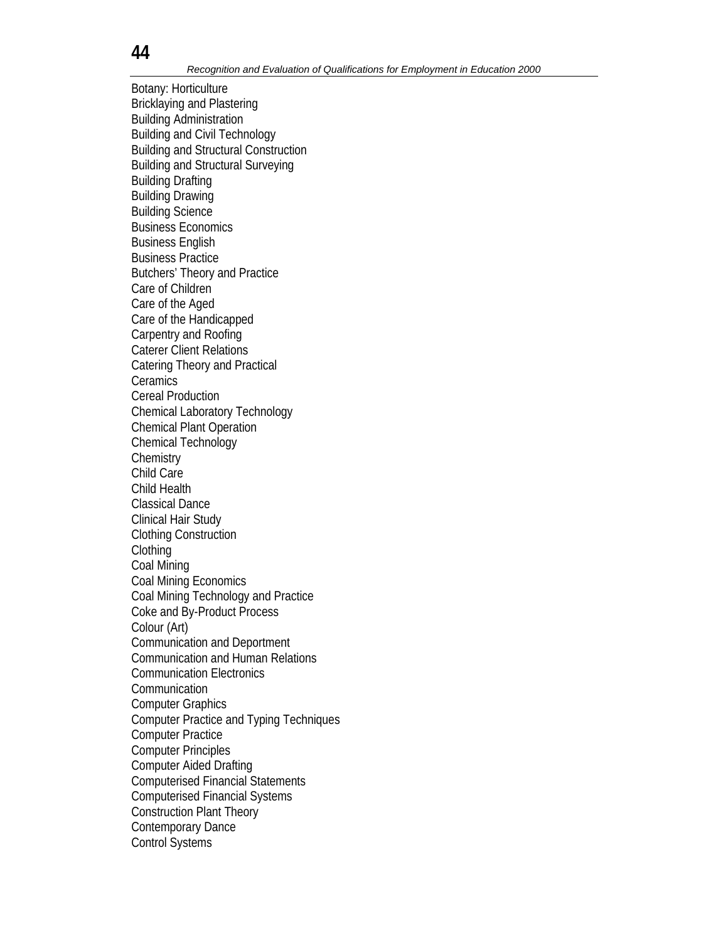Botany: Horticulture Bricklaying and Plastering Building Administration Building and Civil Technology Building and Structural Construction Building and Structural Surveying Building Drafting Building Drawing Building Science Business Economics Business English Business Practice Butchers' Theory and Practice Care of Children Care of the Aged Care of the Handicapped Carpentry and Roofing Caterer Client Relations Catering Theory and Practical **Ceramics** Cereal Production Chemical Laboratory Technology Chemical Plant Operation Chemical Technology **Chemistry** Child Care Child Health Classical Dance Clinical Hair Study Clothing Construction **Clothing** Coal Mining Coal Mining Economics Coal Mining Technology and Practice Coke and By-Product Process Colour (Art) Communication and Deportment Communication and Human Relations Communication Electronics Communication Computer Graphics Computer Practice and Typing Techniques Computer Practice Computer Principles Computer Aided Drafting Computerised Financial Statements Computerised Financial Systems Construction Plant Theory Contemporary Dance Control Systems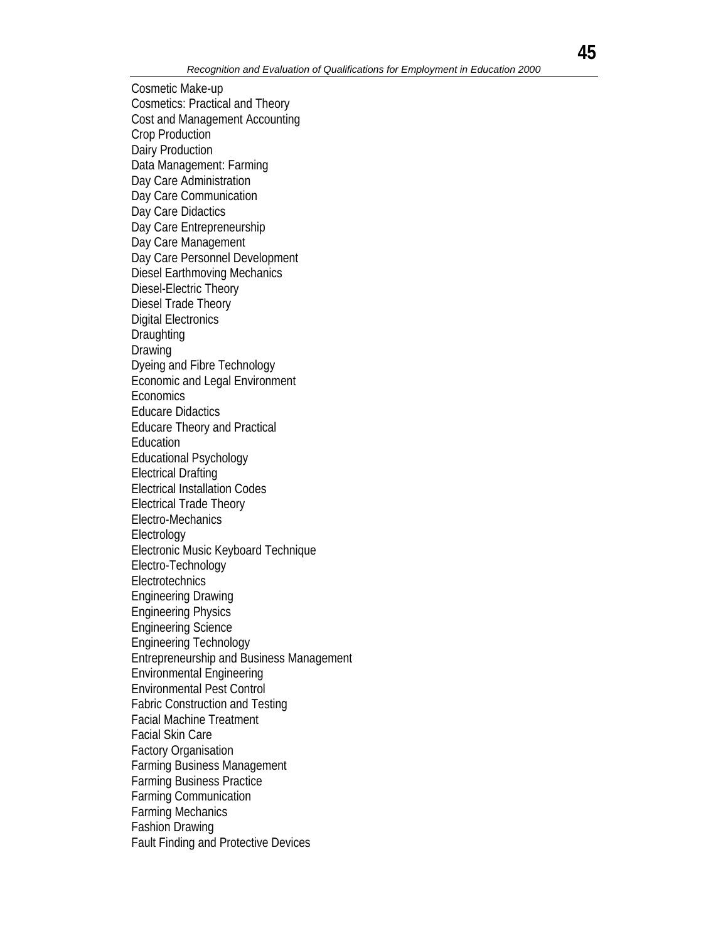Cosmetic Make-up Cosmetics: Practical and Theory Cost and Management Accounting Crop Production Dairy Production Data Management: Farming Day Care Administration Day Care Communication Day Care Didactics Day Care Entrepreneurship Day Care Management Day Care Personnel Development Diesel Earthmoving Mechanics Diesel-Electric Theory Diesel Trade Theory Digital Electronics **Draughting** Drawing Dyeing and Fibre Technology Economic and Legal Environment **Economics** Educare Didactics Educare Theory and Practical Education Educational Psychology Electrical Drafting Electrical Installation Codes Electrical Trade Theory Electro-Mechanics Electrology Electronic Music Keyboard Technique Electro-Technology **Electrotechnics** Engineering Drawing Engineering Physics Engineering Science Engineering Technology Entrepreneurship and Business Management Environmental Engineering Environmental Pest Control Fabric Construction and Testing Facial Machine Treatment Facial Skin Care Factory Organisation Farming Business Management Farming Business Practice Farming Communication Farming Mechanics Fashion Drawing Fault Finding and Protective Devices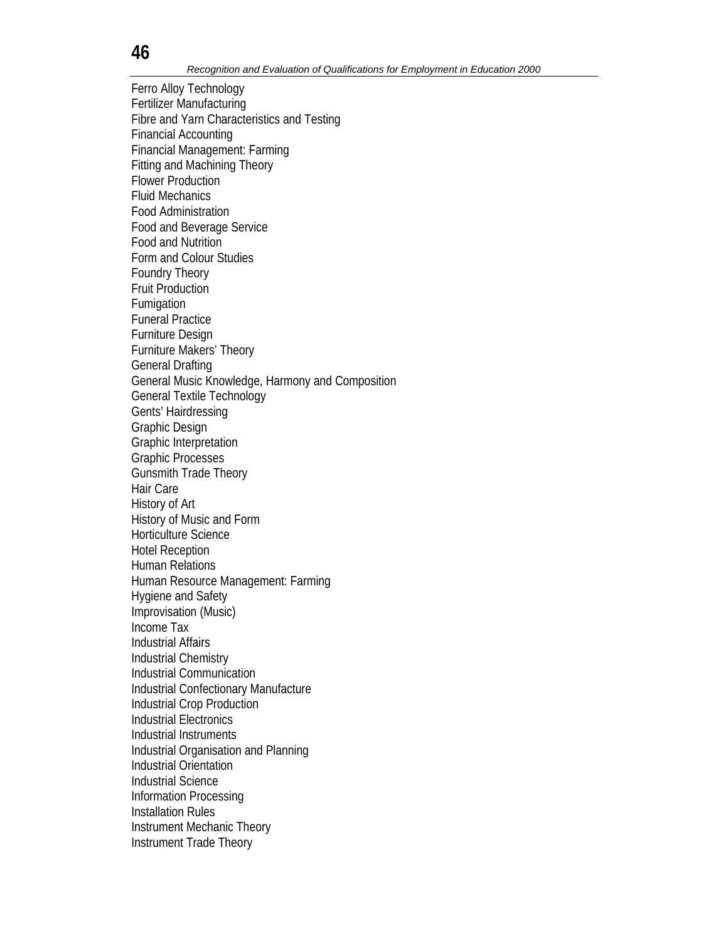Ferro Alloy Technology Fertilizer Manufacturing Fibre and Yarn Characteristics and Testing Financial Accounting Financial Management: Farming Fitting and Machining Theory Flower Production Fluid Mechanics Food Administration Food and Beverage Service Food and Nutrition Form and Colour Studies Foundry Theory Fruit Production Fumigation Funeral Practice Furniture Design Furniture Makers' Theory General Drafting General Music Knowledge, Harmony and Composition General Textile Technology Gents' Hairdressing Graphic Design Graphic Interpretation Graphic Processes Gunsmith Trade Theory Hair Care History of Art History of Music and Form Horticulture Science Hotel Reception Human Relations Human Resource Management: Farming Hygiene and Safety Improvisation (Music) Income Tax Industrial Affairs Industrial Chemistry Industrial Communication Industrial Confectionary Manufacture Industrial Crop Production Industrial Electronics Industrial Instruments Industrial Organisation and Planning Industrial Orientation Industrial Science Information Processing Installation Rules Instrument Mechanic Theory Instrument Trade Theory

**46**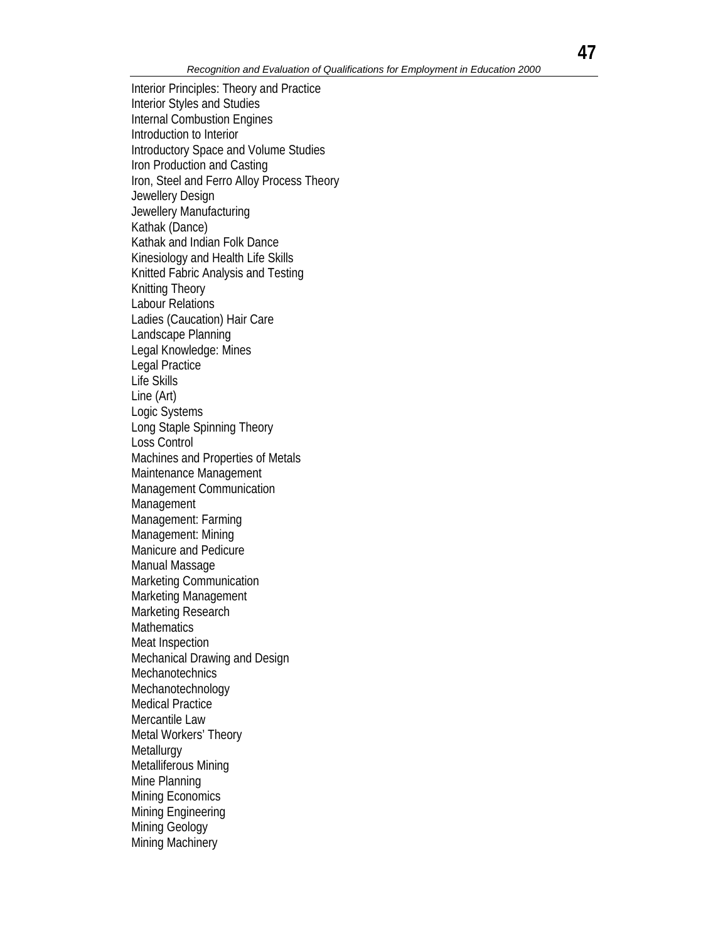Interior Principles: Theory and Practice Interior Styles and Studies Internal Combustion Engines Introduction to Interior Introductory Space and Volume Studies Iron Production and Casting Iron, Steel and Ferro Alloy Process Theory Jewellery Design Jewellery Manufacturing Kathak (Dance) Kathak and Indian Folk Dance Kinesiology and Health Life Skills Knitted Fabric Analysis and Testing Knitting Theory Labour Relations Ladies (Caucation) Hair Care Landscape Planning Legal Knowledge: Mines Legal Practice Life Skills Line (Art) Logic Systems Long Staple Spinning Theory Loss Control Machines and Properties of Metals Maintenance Management Management Communication Management Management: Farming Management: Mining Manicure and Pedicure Manual Massage Marketing Communication Marketing Management Marketing Research **Mathematics** Meat Inspection Mechanical Drawing and Design **Mechanotechnics** Mechanotechnology Medical Practice Mercantile Law Metal Workers' Theory **Metallurgy** Metalliferous Mining Mine Planning Mining Economics Mining Engineering Mining Geology Mining Machinery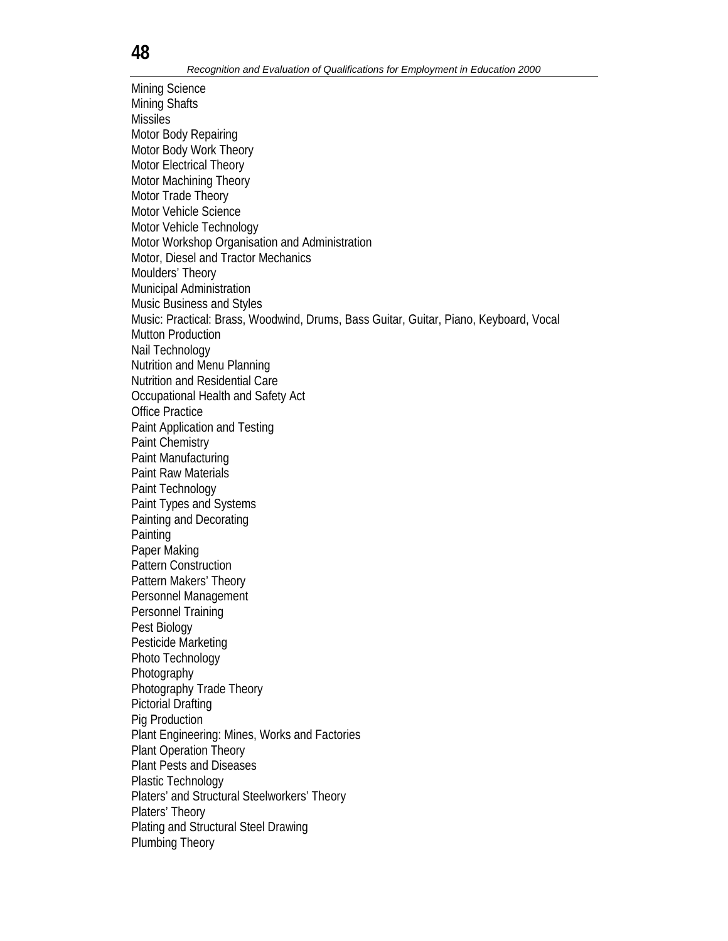Mining Science Mining Shafts Missiles Motor Body Repairing Motor Body Work Theory Motor Electrical Theory Motor Machining Theory Motor Trade Theory Motor Vehicle Science Motor Vehicle Technology Motor Workshop Organisation and Administration Motor, Diesel and Tractor Mechanics Moulders' Theory Municipal Administration Music Business and Styles Music: Practical: Brass, Woodwind, Drums, Bass Guitar, Guitar, Piano, Keyboard, Vocal Mutton Production Nail Technology Nutrition and Menu Planning Nutrition and Residential Care Occupational Health and Safety Act Office Practice Paint Application and Testing Paint Chemistry Paint Manufacturing Paint Raw Materials Paint Technology Paint Types and Systems Painting and Decorating **Painting** Paper Making Pattern Construction Pattern Makers' Theory Personnel Management Personnel Training Pest Biology Pesticide Marketing Photo Technology Photography Photography Trade Theory Pictorial Drafting Pig Production Plant Engineering: Mines, Works and Factories Plant Operation Theory Plant Pests and Diseases Plastic Technology Platers' and Structural Steelworkers' Theory Platers' Theory Plating and Structural Steel Drawing Plumbing Theory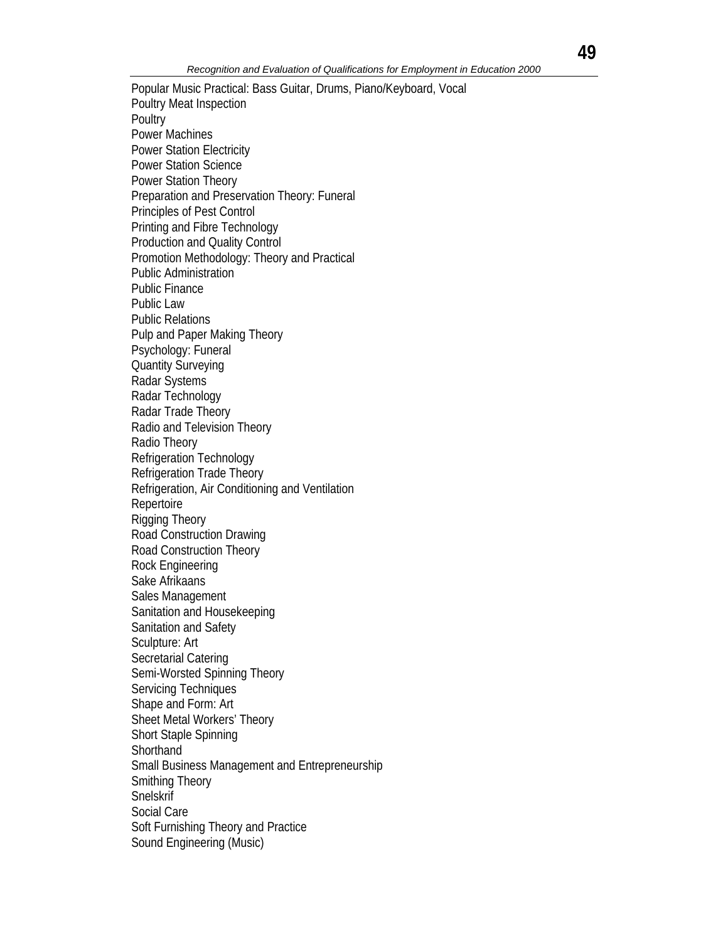Popular Music Practical: Bass Guitar, Drums, Piano/Keyboard, Vocal Poultry Meat Inspection **Poultry** Power Machines Power Station Electricity Power Station Science Power Station Theory Preparation and Preservation Theory: Funeral Principles of Pest Control Printing and Fibre Technology Production and Quality Control Promotion Methodology: Theory and Practical Public Administration Public Finance Public Law Public Relations Pulp and Paper Making Theory Psychology: Funeral Quantity Surveying Radar Systems Radar Technology Radar Trade Theory Radio and Television Theory Radio Theory Refrigeration Technology Refrigeration Trade Theory Refrigeration, Air Conditioning and Ventilation Repertoire Rigging Theory Road Construction Drawing Road Construction Theory Rock Engineering Sake Afrikaans Sales Management Sanitation and Housekeeping Sanitation and Safety Sculpture: Art Secretarial Catering Semi-Worsted Spinning Theory Servicing Techniques Shape and Form: Art Sheet Metal Workers' Theory Short Staple Spinning **Shorthand** Small Business Management and Entrepreneurship Smithing Theory Snelskrif Social Care Soft Furnishing Theory and Practice Sound Engineering (Music)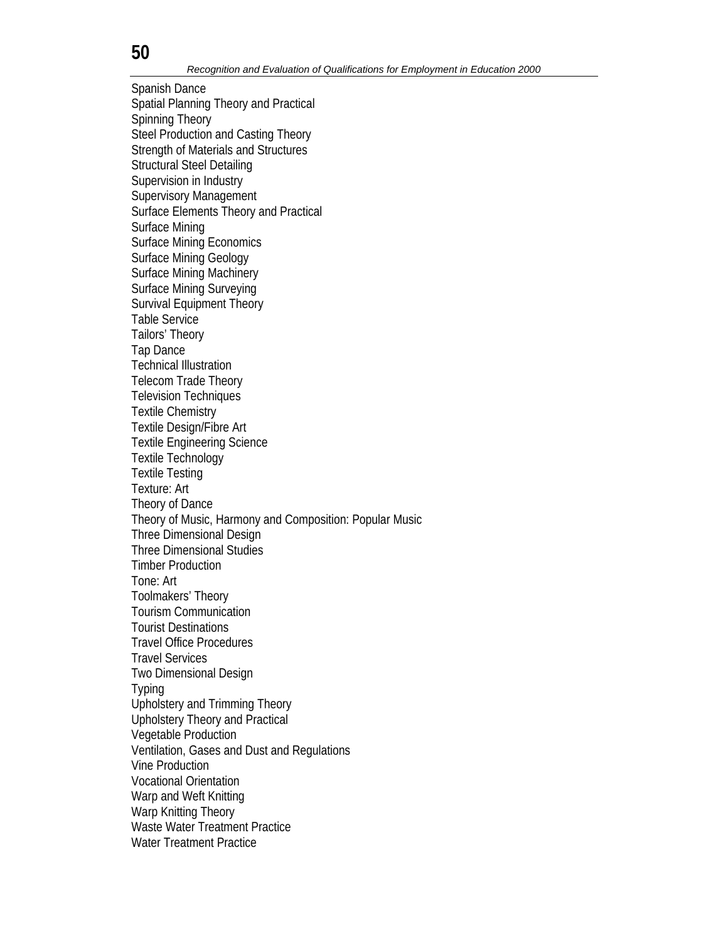Spanish Dance Spatial Planning Theory and Practical Spinning Theory Steel Production and Casting Theory Strength of Materials and Structures Structural Steel Detailing Supervision in Industry Supervisory Management Surface Elements Theory and Practical Surface Mining Surface Mining Economics Surface Mining Geology Surface Mining Machinery Surface Mining Surveying Survival Equipment Theory Table Service Tailors' Theory Tap Dance Technical Illustration Telecom Trade Theory Television Techniques Textile Chemistry Textile Design/Fibre Art Textile Engineering Science Textile Technology Textile Testing Texture: Art Theory of Dance Theory of Music, Harmony and Composition: Popular Music Three Dimensional Design Three Dimensional Studies Timber Production Tone: Art Toolmakers' Theory Tourism Communication Tourist Destinations Travel Office Procedures Travel Services Two Dimensional Design Typing Upholstery and Trimming Theory Upholstery Theory and Practical Vegetable Production Ventilation, Gases and Dust and Regulations Vine Production Vocational Orientation Warp and Weft Knitting Warp Knitting Theory Waste Water Treatment Practice Water Treatment Practice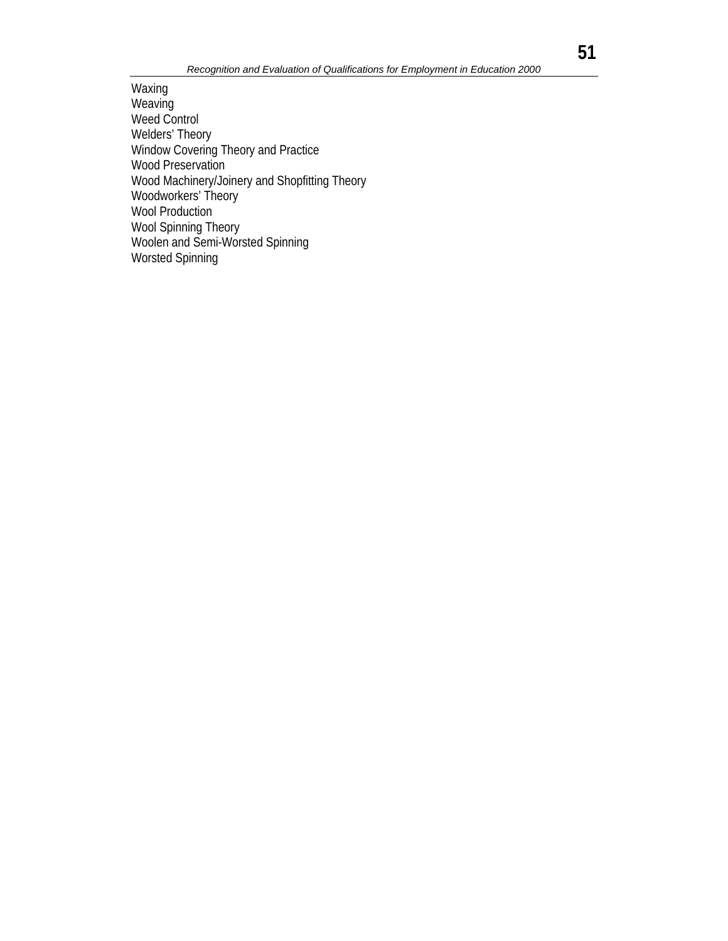Waxing **Weaving** Weed Control Welders' Theory Window Covering Theory and Practice Wood Preservation Wood Machinery/Joinery and Shopfitting Theory Woodworkers' Theory Wool Production Wool Spinning Theory Woolen and Semi-Worsted Spinning Worsted Spinning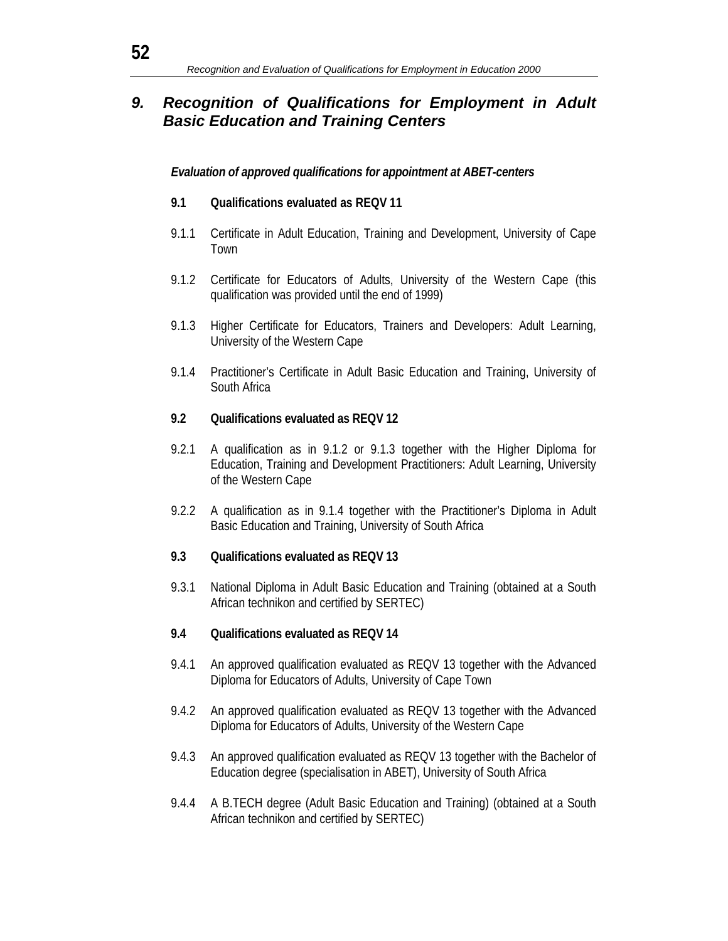## *9. Recognition of Qualifications for Employment in Adult Basic Education and Training Centers*

#### *Evaluation of approved qualifications for appointment at ABET-centers*

#### **9.1 Qualifications evaluated as REQV 11**

- 9.1.1 Certificate in Adult Education, Training and Development, University of Cape Town
- 9.1.2 Certificate for Educators of Adults, University of the Western Cape (this qualification was provided until the end of 1999)
- 9.1.3 Higher Certificate for Educators, Trainers and Developers: Adult Learning, University of the Western Cape
- 9.1.4 Practitioner's Certificate in Adult Basic Education and Training, University of South Africa

#### **9.2 Qualifications evaluated as REQV 12**

- 9.2.1 A qualification as in 9.1.2 or 9.1.3 together with the Higher Diploma for Education, Training and Development Practitioners: Adult Learning, University of the Western Cape
- 9.2.2 A qualification as in 9.1.4 together with the Practitioner's Diploma in Adult Basic Education and Training, University of South Africa

#### **9.3 Qualifications evaluated as REQV 13**

9.3.1 National Diploma in Adult Basic Education and Training (obtained at a South African technikon and certified by SERTEC)

#### **9.4 Qualifications evaluated as REQV 14**

- 9.4.1 An approved qualification evaluated as REQV 13 together with the Advanced Diploma for Educators of Adults, University of Cape Town
- 9.4.2 An approved qualification evaluated as REQV 13 together with the Advanced Diploma for Educators of Adults, University of the Western Cape
- 9.4.3 An approved qualification evaluated as REQV 13 together with the Bachelor of Education degree (specialisation in ABET), University of South Africa
- 9.4.4 A B.TECH degree (Adult Basic Education and Training) (obtained at a South African technikon and certified by SERTEC)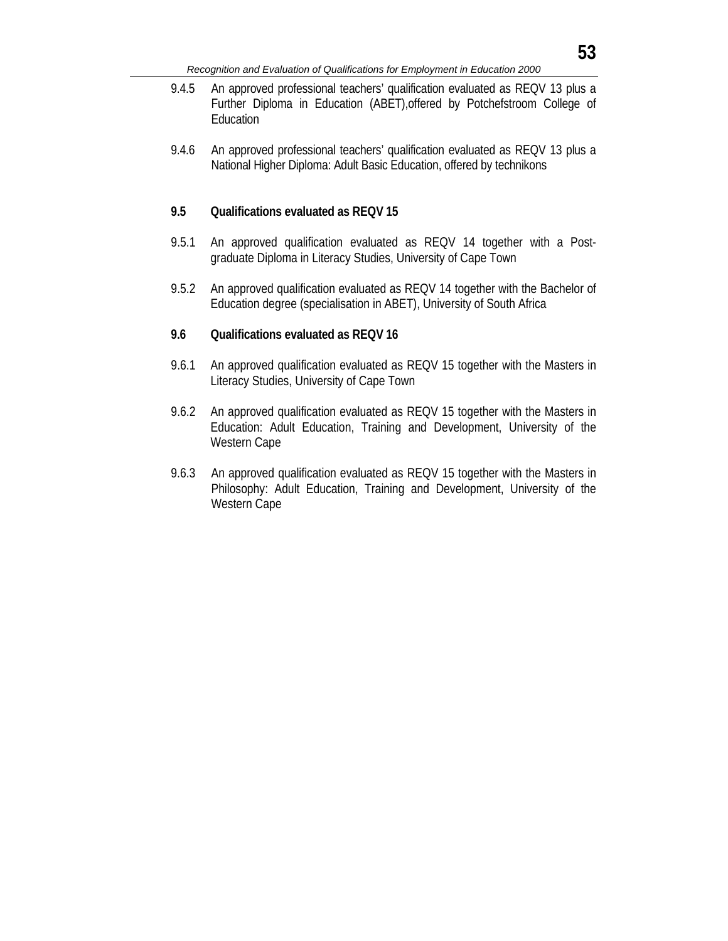- 9.4.5 An approved professional teachers' qualification evaluated as REQV 13 plus a Further Diploma in Education (ABET),offered by Potchefstroom College of Education
- 9.4.6 An approved professional teachers' qualification evaluated as REQV 13 plus a National Higher Diploma: Adult Basic Education, offered by technikons

#### **9.5 Qualifications evaluated as REQV 15**

- 9.5.1 An approved qualification evaluated as REQV 14 together with a Postgraduate Diploma in Literacy Studies, University of Cape Town
- 9.5.2 An approved qualification evaluated as REQV 14 together with the Bachelor of Education degree (specialisation in ABET), University of South Africa

#### **9.6 Qualifications evaluated as REQV 16**

- 9.6.1 An approved qualification evaluated as REQV 15 together with the Masters in Literacy Studies, University of Cape Town
- 9.6.2 An approved qualification evaluated as REQV 15 together with the Masters in Education: Adult Education, Training and Development, University of the Western Cape
- 9.6.3 An approved qualification evaluated as REQV 15 together with the Masters in Philosophy: Adult Education, Training and Development, University of the Western Cape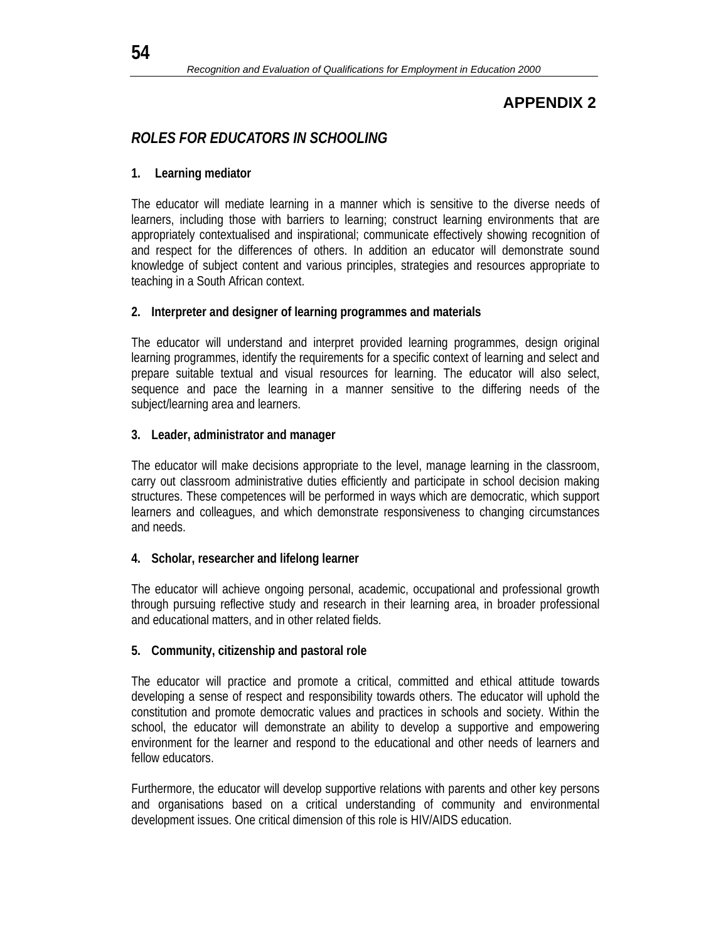# *ROLES FOR EDUCATORS IN SCHOOLING*

### **1. Learning mediator**

The educator will mediate learning in a manner which is sensitive to the diverse needs of learners, including those with barriers to learning; construct learning environments that are appropriately contextualised and inspirational; communicate effectively showing recognition of and respect for the differences of others. In addition an educator will demonstrate sound knowledge of subject content and various principles, strategies and resources appropriate to teaching in a South African context.

### **2. Interpreter and designer of learning programmes and materials**

The educator will understand and interpret provided learning programmes, design original learning programmes, identify the requirements for a specific context of learning and select and prepare suitable textual and visual resources for learning. The educator will also select, sequence and pace the learning in a manner sensitive to the differing needs of the subject/learning area and learners.

#### **3. Leader, administrator and manager**

The educator will make decisions appropriate to the level, manage learning in the classroom, carry out classroom administrative duties efficiently and participate in school decision making structures. These competences will be performed in ways which are democratic, which support learners and colleagues, and which demonstrate responsiveness to changing circumstances and needs.

### **4. Scholar, researcher and lifelong learner**

The educator will achieve ongoing personal, academic, occupational and professional growth through pursuing reflective study and research in their learning area, in broader professional and educational matters, and in other related fields.

### **5. Community, citizenship and pastoral role**

The educator will practice and promote a critical, committed and ethical attitude towards developing a sense of respect and responsibility towards others. The educator will uphold the constitution and promote democratic values and practices in schools and society. Within the school, the educator will demonstrate an ability to develop a supportive and empowering environment for the learner and respond to the educational and other needs of learners and fellow educators.

Furthermore, the educator will develop supportive relations with parents and other key persons and organisations based on a critical understanding of community and environmental development issues. One critical dimension of this role is HIV/AIDS education.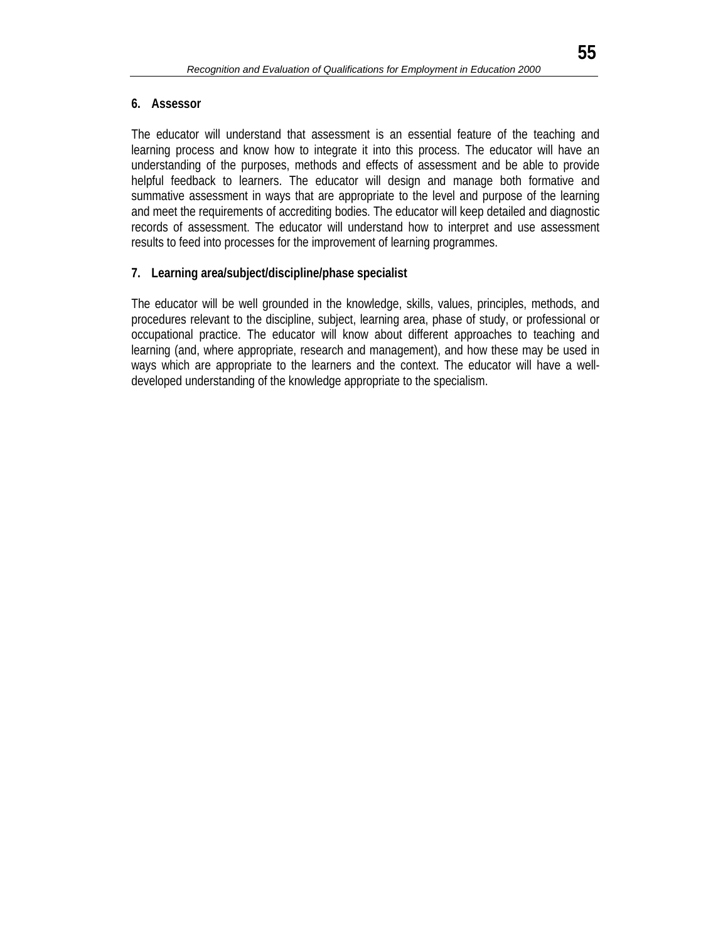#### **6. Assessor**

The educator will understand that assessment is an essential feature of the teaching and learning process and know how to integrate it into this process. The educator will have an understanding of the purposes, methods and effects of assessment and be able to provide helpful feedback to learners. The educator will design and manage both formative and summative assessment in ways that are appropriate to the level and purpose of the learning and meet the requirements of accrediting bodies. The educator will keep detailed and diagnostic records of assessment. The educator will understand how to interpret and use assessment results to feed into processes for the improvement of learning programmes.

### **7. Learning area/subject/discipline/phase specialist**

The educator will be well grounded in the knowledge, skills, values, principles, methods, and procedures relevant to the discipline, subject, learning area, phase of study, or professional or occupational practice. The educator will know about different approaches to teaching and learning (and, where appropriate, research and management), and how these may be used in ways which are appropriate to the learners and the context. The educator will have a welldeveloped understanding of the knowledge appropriate to the specialism.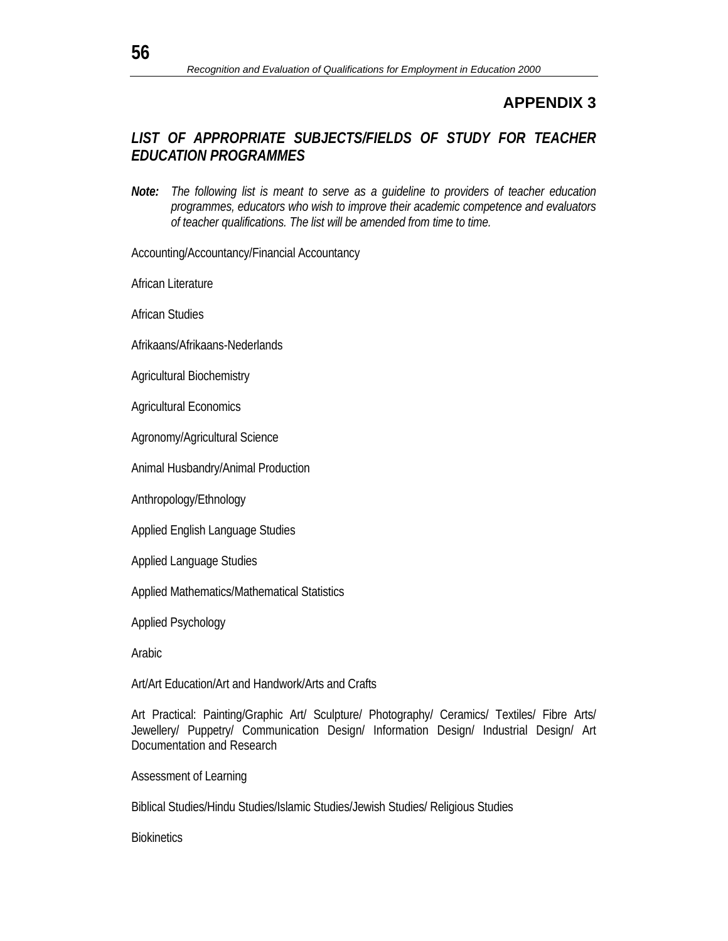## *LIST OF APPROPRIATE SUBJECTS/FIELDS OF STUDY FOR TEACHER EDUCATION PROGRAMMES*

*Note: The following list is meant to serve as a guideline to providers of teacher education programmes, educators who wish to improve their academic competence and evaluators of teacher qualifications. The list will be amended from time to time.* 

Accounting/Accountancy/Financial Accountancy

African Literature

African Studies

Afrikaans/Afrikaans-Nederlands

Agricultural Biochemistry

Agricultural Economics

Agronomy/Agricultural Science

Animal Husbandry/Animal Production

Anthropology/Ethnology

Applied English Language Studies

Applied Language Studies

Applied Mathematics/Mathematical Statistics

Applied Psychology

Arabic

Art/Art Education/Art and Handwork/Arts and Crafts

Art Practical: Painting/Graphic Art/ Sculpture/ Photography/ Ceramics/ Textiles/ Fibre Arts/ Jewellery/ Puppetry/ Communication Design/ Information Design/ Industrial Design/ Art Documentation and Research

Assessment of Learning

Biblical Studies/Hindu Studies/Islamic Studies/Jewish Studies/ Religious Studies

**Biokinetics**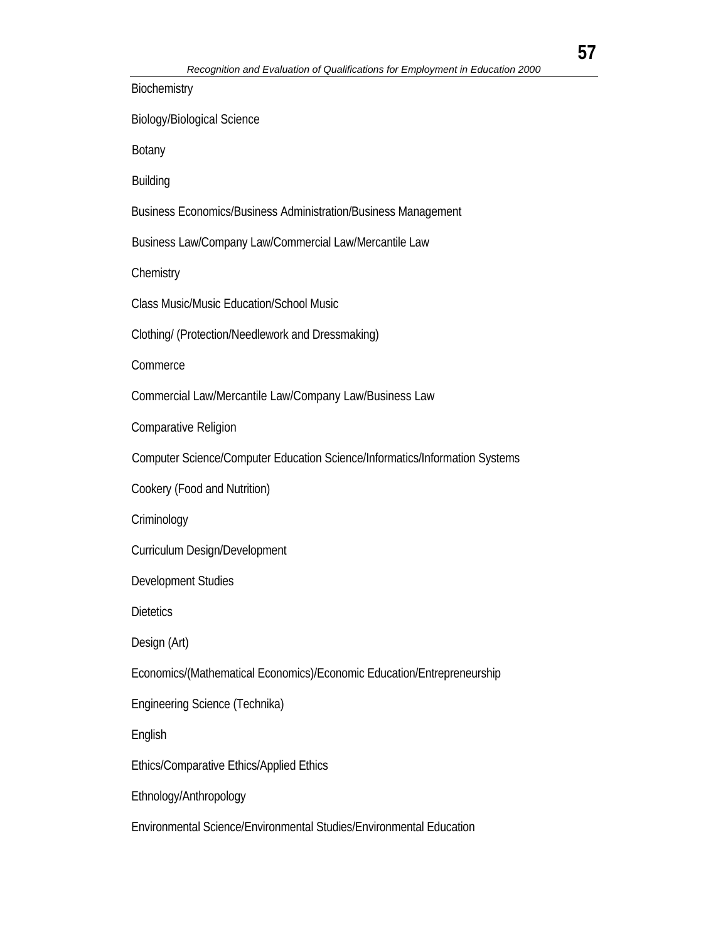**Biochemistry** Biology/Biological Science Botany Building Business Economics/Business Administration/Business Management Business Law/Company Law/Commercial Law/Mercantile Law **Chemistry** Class Music/Music Education/School Music Clothing/ (Protection/Needlework and Dressmaking) **Commerce** Commercial Law/Mercantile Law/Company Law/Business Law Comparative Religion Computer Science/Computer Education Science/Informatics/Information Systems Cookery (Food and Nutrition) **Criminology** Curriculum Design/Development Development Studies **Dietetics** Design (Art) Economics/(Mathematical Economics)/Economic Education/Entrepreneurship Engineering Science (Technika) English Ethics/Comparative Ethics/Applied Ethics Ethnology/Anthropology Environmental Science/Environmental Studies/Environmental Education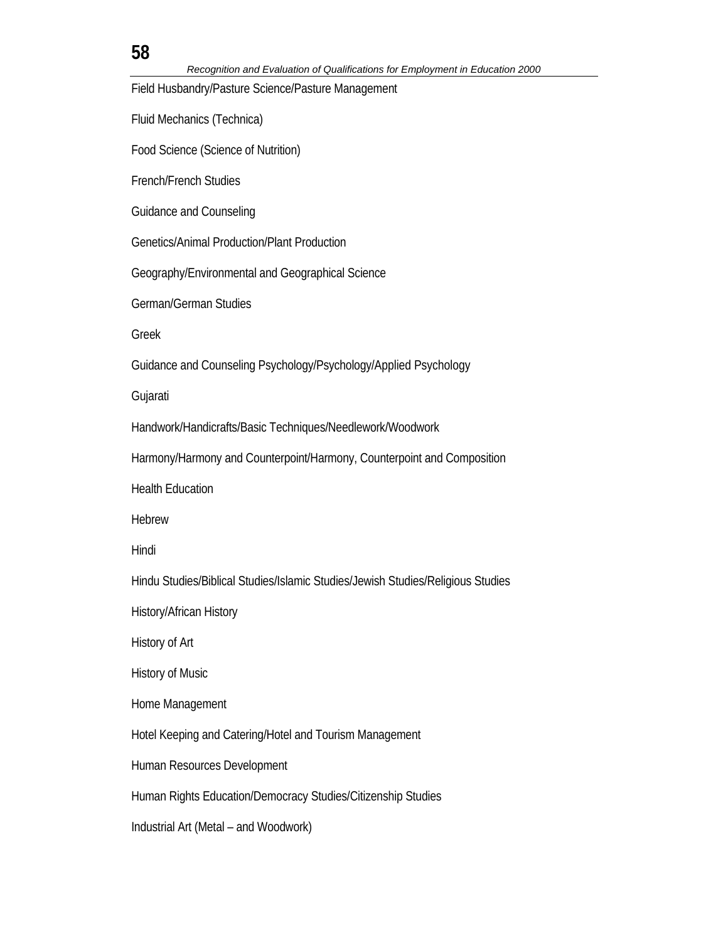# **58**

Field Husbandry/Pasture Science/Pasture Management

Fluid Mechanics (Technica)

Food Science (Science of Nutrition)

French/French Studies

Guidance and Counseling

Genetics/Animal Production/Plant Production

Geography/Environmental and Geographical Science

German/German Studies

Greek

Guidance and Counseling Psychology/Psychology/Applied Psychology

Gujarati

Handwork/Handicrafts/Basic Techniques/Needlework/Woodwork

Harmony/Harmony and Counterpoint/Harmony, Counterpoint and Composition

Health Education

Hebrew

Hindi

Hindu Studies/Biblical Studies/Islamic Studies/Jewish Studies/Religious Studies

History/African History

History of Art

History of Music

Home Management

Hotel Keeping and Catering/Hotel and Tourism Management

Human Resources Development

Human Rights Education/Democracy Studies/Citizenship Studies

Industrial Art (Metal – and Woodwork)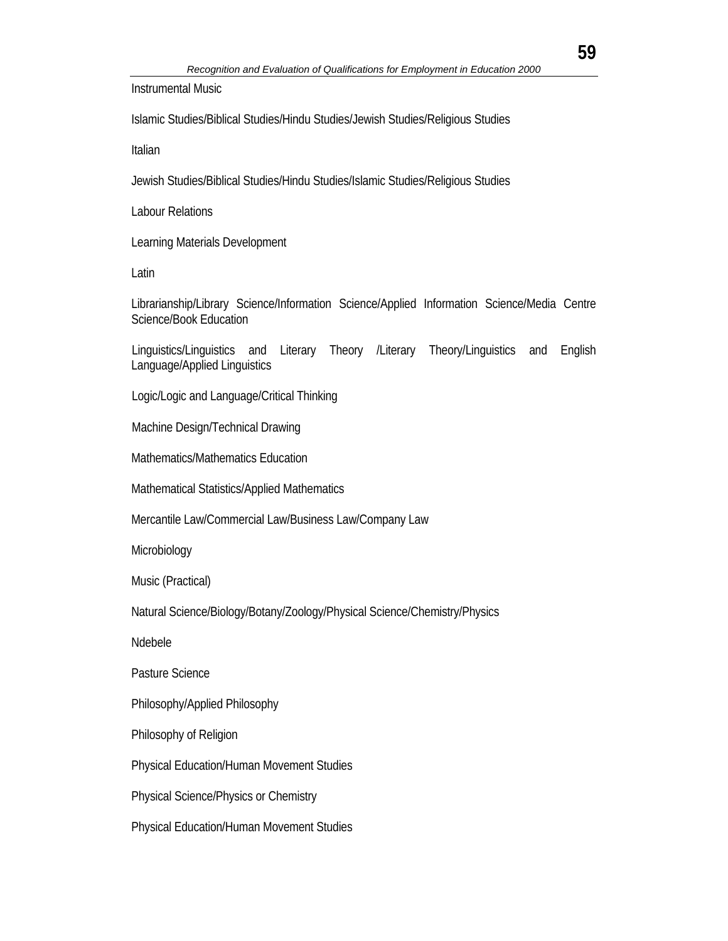Instrumental Music

Islamic Studies/Biblical Studies/Hindu Studies/Jewish Studies/Religious Studies

Italian

Jewish Studies/Biblical Studies/Hindu Studies/Islamic Studies/Religious Studies

Labour Relations

Learning Materials Development

Latin

Librarianship/Library Science/Information Science/Applied Information Science/Media Centre Science/Book Education

Linguistics/Linguistics and Literary Theory /Literary Theory/Linguistics and English Language/Applied Linguistics

Logic/Logic and Language/Critical Thinking

Machine Design/Technical Drawing

Mathematics/Mathematics Education

Mathematical Statistics/Applied Mathematics

Mercantile Law/Commercial Law/Business Law/Company Law

Microbiology

Music (Practical)

Natural Science/Biology/Botany/Zoology/Physical Science/Chemistry/Physics

Ndebele

Pasture Science

Philosophy/Applied Philosophy

Philosophy of Religion

Physical Education/Human Movement Studies

Physical Science/Physics or Chemistry

Physical Education/Human Movement Studies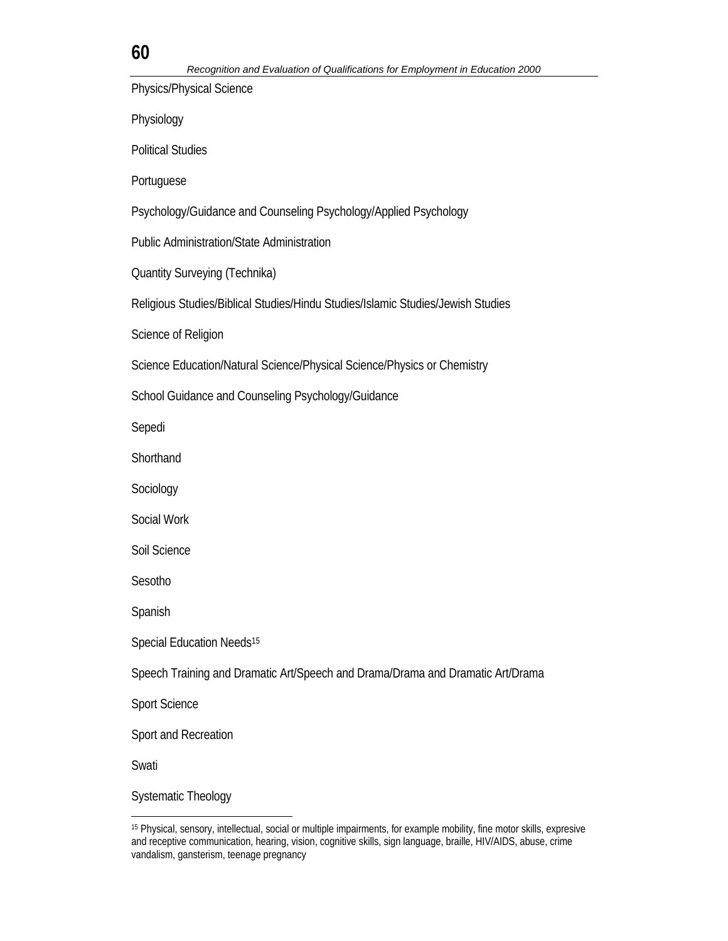## **60**

Physics/Physical Science

Physiology

Political Studies

Portuguese

Psychology/Guidance and Counseling Psychology/Applied Psychology

Public Administration/State Administration

Quantity Surveying (Technika)

Religious Studies/Biblical Studies/Hindu Studies/Islamic Studies/Jewish Studies

Science of Religion

Science Education/Natural Science/Physical Science/Physics or Chemistry

School Guidance and Counseling Psychology/Guidance

Sepedi

**Shorthand** 

Sociology

Social Work

Soil Science

Sesotho

Spanish

Special Education Needs<sup>15</sup>

Speech Training and Dramatic Art/Speech and Drama/Drama and Dramatic Art/Drama

Sport Science

Sport and Recreation

Swati

l

Systematic Theology

<sup>15</sup> Physical, sensory, intellectual, social or multiple impairments, for example mobility, fine motor skills, expresive and receptive communication, hearing, vision, cognitive skills, sign language, braille, HIV/AIDS, abuse, crime vandalism, gansterism, teenage pregnancy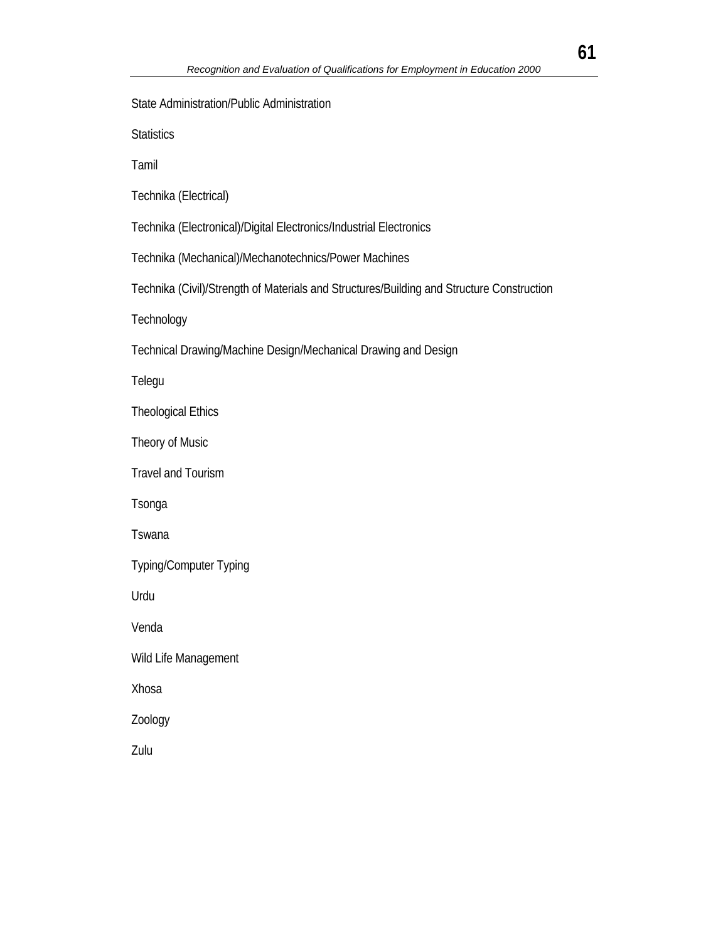**Statistics** Tamil Technika (Electrical) Technika (Electronical)/Digital Electronics/Industrial Electronics Technika (Mechanical)/Mechanotechnics/Power Machines Technika (Civil)/Strength of Materials and Structures/Building and Structure Construction **Technology** Technical Drawing/Machine Design/Mechanical Drawing and Design Telegu Theological Ethics Theory of Music Travel and Tourism Tsonga Tswana Typing/Computer Typing Urdu Venda Wild Life Management Xhosa

State Administration/Public Administration

Zoology

Zulu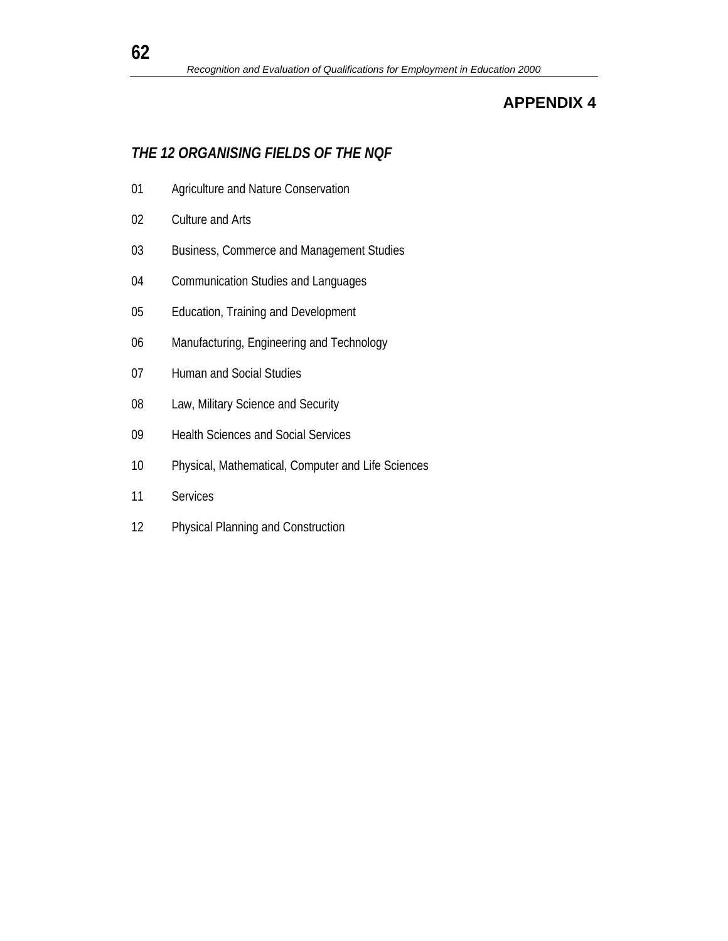# *THE 12 ORGANISING FIELDS OF THE NQF*

- Agriculture and Nature Conservation
- Culture and Arts
- Business, Commerce and Management Studies
- Communication Studies and Languages
- Education, Training and Development
- Manufacturing, Engineering and Technology
- Human and Social Studies
- 08 Law, Military Science and Security
- Health Sciences and Social Services
- Physical, Mathematical, Computer and Life Sciences
- Services
- Physical Planning and Construction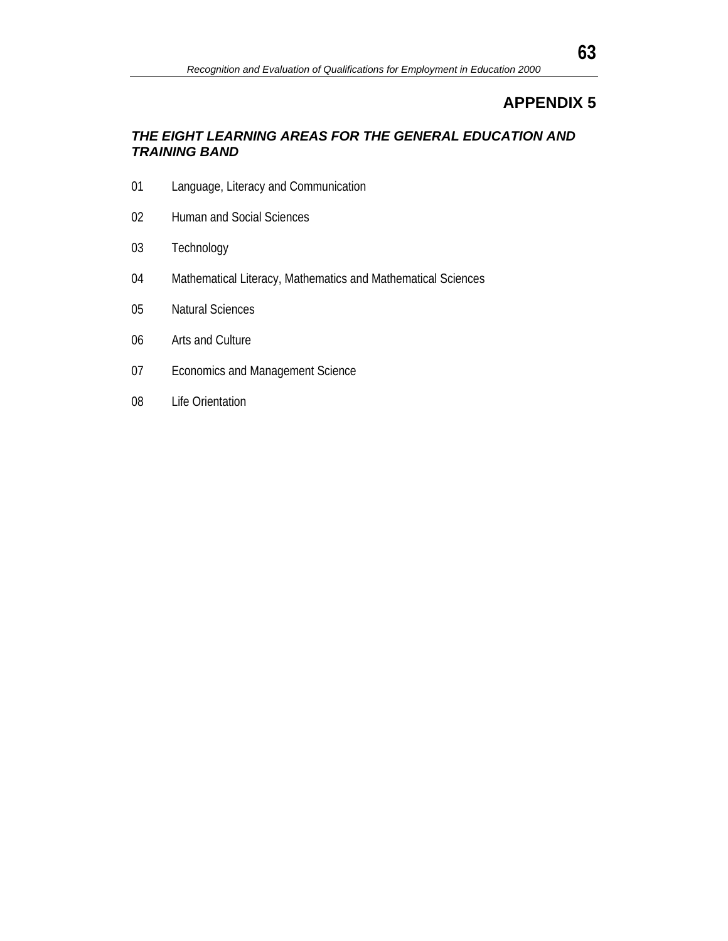## *THE EIGHT LEARNING AREAS FOR THE GENERAL EDUCATION AND TRAINING BAND*

- Language, Literacy and Communication
- Human and Social Sciences
- Technology
- Mathematical Literacy, Mathematics and Mathematical Sciences
- Natural Sciences
- Arts and Culture
- Economics and Management Science
- Life Orientation